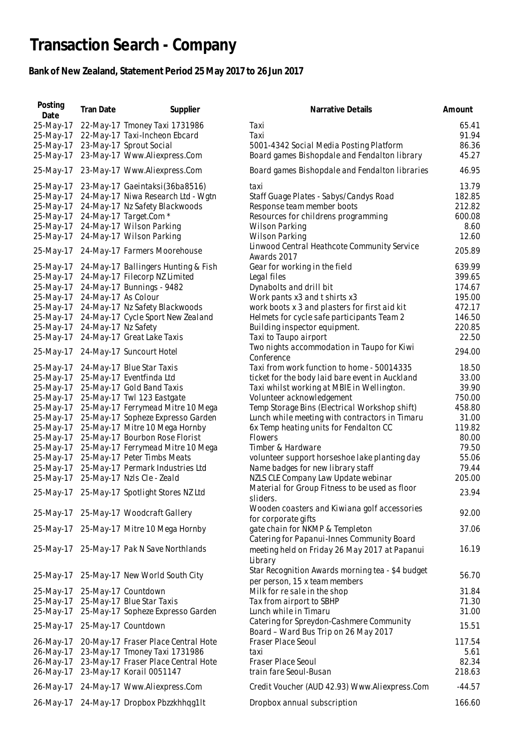## **Transaction Search - Company**

## **Bank of New Zealand, Statement Period 25 May 2017 to 26 Jun 2017**

| Posting<br>Date | <b>Tran Date</b>    | Supplier                                    | Narrative Details                                                                           | Amount   |
|-----------------|---------------------|---------------------------------------------|---------------------------------------------------------------------------------------------|----------|
| 25-May-17       |                     | 22-May-17 Tmoney Taxi 1731986               | Taxi                                                                                        | 65.41    |
| 25-May-17       |                     | 22-May-17 Taxi-Incheon Ebcard               | Taxi                                                                                        | 91.94    |
| 25-May-17       |                     | 23-May-17 Sprout Social                     | 5001-4342 Social Media Posting Platform                                                     | 86.36    |
| 25-May-17       |                     | 23-May-17 Www.Aliexpress.Com                | Board games Bishopdale and Fendalton library                                                | 45.27    |
| 25-May-17       |                     | 23-May-17 Www.Aliexpress.Com                | Board games Bishopdale and Fendalton libraries                                              | 46.95    |
| 25-May-17       |                     | 23-May-17 Gaeintaksi(36ba8516)              | taxi                                                                                        | 13.79    |
| 25-May-17       |                     | 24-May-17 Niwa Research Ltd - Wgtn          | Staff Guage Plates - Sabys/Candys Road                                                      | 182.85   |
| 25-May-17       |                     | 24-May-17 Nz Safety Blackwoods              | Response team member boots                                                                  | 212.82   |
| 25-May-17       |                     | 24-May-17 Target.Com *                      | Resources for childrens programming                                                         | 600.08   |
| 25-May-17       |                     | 24-May-17 Wilson Parking                    | Wilson Parking                                                                              | 8.60     |
| 25-May-17       |                     | 24-May-17 Wilson Parking                    | Wilson Parking                                                                              | 12.60    |
|                 |                     |                                             |                                                                                             |          |
| 25-May-17       |                     | 24-May-17 Farmers Moorehouse                | Linwood Central Heathcote Community Service<br>Awards 2017                                  | 205.89   |
| 25-May-17       |                     | 24-May-17 Ballingers Hunting & Fish         | Gear for working in the field                                                               | 639.99   |
| 25-May-17       |                     | 24-May-17 Filecorp NZ Limited               | Legal files                                                                                 | 399.65   |
| 25-May-17       |                     | 24-May-17 Bunnings - 9482                   | Dynabolts and drill bit                                                                     | 174.67   |
| 25-May-17       | 24-May-17 As Colour |                                             | Work pants x3 and t shirts x3                                                               | 195.00   |
| 25-May-17       |                     | 24-May-17 Nz Safety Blackwoods              | work boots x 3 and plasters for first aid kit                                               | 472.17   |
| 25-May-17       |                     | 24-May-17 Cycle Sport New Zealand           | Helmets for cycle safe participants Team 2                                                  | 146.50   |
| 25-May-17       | 24-May-17 Nz Safety |                                             | Building inspector equipment.                                                               | 220.85   |
| 25-May-17       |                     | 24-May-17 Great Lake Taxis                  | Taxi to Taupo airport                                                                       | 22.50    |
| 25-May-17       |                     | 24-May-17 Suncourt Hotel                    | Two nights accommodation in Taupo for Kiwi                                                  | 294.00   |
|                 |                     |                                             | Conference                                                                                  |          |
| 25-May-17       |                     | 24-May-17 Blue Star Taxis                   | Taxi from work function to home - 50014335                                                  | 18.50    |
| 25-May-17       |                     | 25-May-17 Eventfinda Ltd                    | ticket for the body laid bare event in Auckland                                             | 33.00    |
| 25-May-17       |                     | 25-May-17 Gold Band Taxis                   | Taxi whilst working at MBIE in Wellington.                                                  | 39.90    |
| 25-May-17       |                     | 25-May-17 Twl 123 Eastgate                  | Volunteer acknowledgement                                                                   | 750.00   |
| 25-May-17       |                     | 25-May-17 Ferrymead Mitre 10 Mega           | Temp Storage Bins (Electrical Workshop shift)                                               | 458.80   |
| 25-May-17       |                     | 25-May-17 Sopheze Expresso Garden           | Lunch while meeting with contractors in Timaru                                              | 31.00    |
| 25-May-17       |                     | 25-May-17 Mitre 10 Mega Hornby              | 6x Temp heating units for Fendalton CC                                                      | 119.82   |
| 25-May-17       |                     | 25-May-17 Bourbon Rose Florist              | <b>Flowers</b>                                                                              | 80.00    |
| 25-May-17       |                     | 25-May-17 Ferrymead Mitre 10 Mega           | Timber & Hardware                                                                           | 79.50    |
| 25-May-17       |                     | 25-May-17 Peter Timbs Meats                 | volunteer support horseshoe lake planting day                                               | 55.06    |
| 25-May-17       |                     | 25-May-17 Permark Industries Ltd            | Name badges for new library staff                                                           | 79.44    |
| 25-May-17       |                     | 25-May-17 Nzls Cle - Zeald                  | NZLS CLE Company Law Update webinar                                                         | 205.00   |
|                 |                     | 25-May-17 25-May-17 Spotlight Stores NZ Ltd | Material for Group Fitness to be used as floor                                              | 23.94    |
|                 |                     |                                             | sliders.                                                                                    |          |
|                 |                     | 25-May-17 25-May-17 Woodcraft Gallery       | Wooden coasters and Kiwiana golf accessories<br>for corporate gifts                         | 92.00    |
|                 |                     | 25-May-17 25-May-17 Mitre 10 Mega Hornby    | gate chain for NKMP & Templeton                                                             | 37.06    |
|                 |                     | 25-May-17 25-May-17 Pak N Save Northlands   | Catering for Papanui-Innes Community Board<br>meeting held on Friday 26 May 2017 at Papanui | 16.19    |
|                 |                     |                                             | Library                                                                                     |          |
|                 |                     |                                             | Star Recognition Awards morning tea - \$4 budget                                            |          |
| 25-May-17       |                     | 25-May-17 New World South City              | per person, 15 x team members                                                               | 56.70    |
| 25-May-17       |                     | 25-May-17 Countdown                         | Milk for resale in the shop                                                                 | 31.84    |
| 25-May-17       |                     | 25-May-17 Blue Star Taxis                   | Tax from airport to SBHP                                                                    | 71.30    |
| 25-May-17       |                     | 25-May-17 Sopheze Expresso Garden           | Lunch while in Timaru                                                                       | 31.00    |
|                 |                     |                                             | Catering for Spreydon-Cashmere Community                                                    |          |
|                 |                     | 25-May-17 25-May-17 Countdown               | Board - Ward Bus Trip on 26 May 2017                                                        | 15.51    |
| 26-May-17       |                     | 20-May-17 Fraser Place Central Hote         | Fraser Place Seoul                                                                          | 117.54   |
| 26-May-17       |                     | 23-May-17 Tmoney Taxi 1731986               | taxi                                                                                        | 5.61     |
| 26-May-17       |                     | 23-May-17 Fraser Place Central Hote         | Fraser Place Seoul                                                                          | 82.34    |
| 26-May-17       |                     | 23-May-17 Korail 0051147                    | train fare Seoul-Busan                                                                      | 218.63   |
|                 |                     | 26-May-17 24-May-17 Www.Aliexpress.Com      | Credit Voucher (AUD 42.93) Www.Aliexpress.Com                                               | $-44.57$ |
| 26-May-17       |                     | 24-May-17 Dropbox Pbzzkhhqq1lt              | Dropbox annual subscription                                                                 | 166.60   |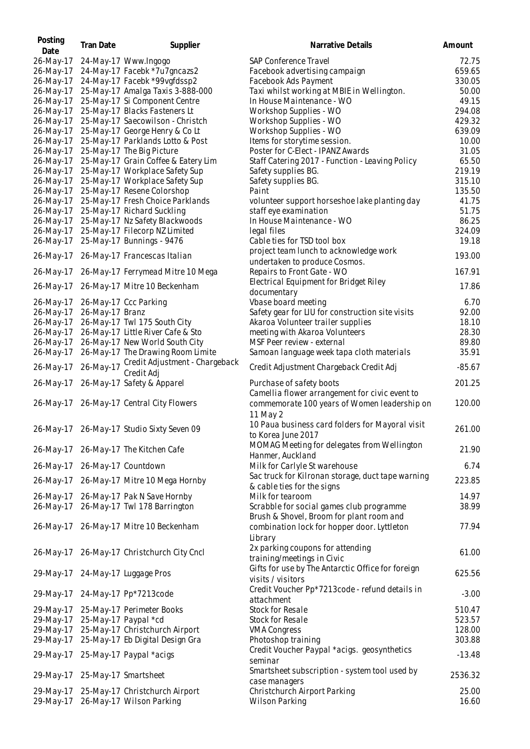| Posting<br>Date | <b>Tran Date</b> | Supplier                                               | Narrative Details                                                          | Amount         |
|-----------------|------------------|--------------------------------------------------------|----------------------------------------------------------------------------|----------------|
| 26-May-17       |                  | 24-May-17 Www.Ingogo                                   | SAP Conference Travel                                                      | 72.75          |
| 26-May-17       |                  | 24-May-17 Facebk *7u7gncazs2                           | Facebook advertising campaign                                              | 659.65         |
| 26-May-17       |                  | 24-May-17 Facebk *99vgfdssp2                           | Facebook Ads Payment                                                       | 330.05         |
| 26-May-17       |                  | 25-May-17 Amalga Taxis 3-888-000                       | Taxi whilst working at MBIE in Wellington.                                 | 50.00          |
| 26-May-17       |                  | 25-May-17 Si Component Centre                          | In House Maintenance - WO                                                  | 49.15          |
| 26-May-17       |                  | 25-May-17 Blacks Fasteners Lt                          | Workshop Supplies - WO                                                     | 294.08         |
| 26-May-17       |                  | 25-May-17 Saecowilson - Christch                       | Workshop Supplies - WO                                                     | 429.32         |
| 26-May-17       |                  | 25-May-17 George Henry & Co Lt                         | Workshop Supplies - WO                                                     | 639.09         |
|                 |                  |                                                        | Items for storytime session.                                               |                |
| 26-May-17       |                  | 25-May-17 Parklands Lotto & Post                       |                                                                            | 10.00<br>31.05 |
| 26-May-17       |                  | 25-May-17 The Big Picture                              | Poster for C-Elect - IPANZ Awards                                          |                |
| 26-May-17       |                  | 25-May-17 Grain Coffee & Eatery Lim                    | Staff Catering 2017 - Function - Leaving Policy                            | 65.50          |
| 26-May-17       |                  | 25-May-17 Workplace Safety Sup                         | Safety supplies BG.                                                        | 219.19         |
| 26-May-17       |                  | 25-May-17 Workplace Safety Sup                         | Safety supplies BG.                                                        | 315.10         |
| 26-May-17       |                  | 25-May-17 Resene Colorshop                             | Paint                                                                      | 135.50         |
| 26-May-17       |                  | 25-May-17 Fresh Choice Parklands                       | volunteer support horseshoe lake planting day                              | 41.75          |
| 26-May-17       |                  | 25-May-17 Richard Suckling                             | staff eye examination                                                      | 51.75          |
| 26-May-17       |                  | 25-May-17 Nz Safety Blackwoods                         | In House Maintenance - WO                                                  | 86.25          |
| 26-May-17       |                  | 25-May-17 Filecorp NZ Limited                          | legal files                                                                | 324.09         |
| 26-May-17       |                  | 25-May-17 Bunnings - 9476                              | Cable ties for TSD tool box                                                | 19.18          |
|                 |                  |                                                        | project team lunch to acknowledge work                                     | 193.00         |
| 26-May-17       |                  | 26-May-17 Francescas Italian                           | undertaken to produce Cosmos.                                              |                |
| 26-May-17       |                  | 26-May-17 Ferrymead Mitre 10 Mega                      | Repairs to Front Gate - WO                                                 | 167.91         |
|                 |                  |                                                        | Electrical Equipment for Bridget Riley                                     |                |
| 26-May-17       |                  | 26-May-17 Mitre 10 Beckenham                           | documentary                                                                | 17.86          |
| 26-May-17       |                  | 26-May-17 Ccc Parking                                  | Vbase board meeting                                                        | 6.70           |
|                 | 26-May-17 Branz  |                                                        |                                                                            | 92.00          |
| 26-May-17       |                  |                                                        | Safety gear for LIU for construction site visits                           |                |
| 26-May-17       |                  | 26-May-17 Twl 175 South City                           | Akaroa Volunteer trailer supplies                                          | 18.10          |
| 26-May-17       |                  | 26-May-17 Little River Cafe & Sto                      | meeting with Akaroa Volunteers                                             | 28.30          |
| 26-May-17       |                  | 26-May-17 New World South City                         | MSF Peer review - external                                                 | 89.80          |
| 26-May-17       |                  | 26-May-17 The Drawing Room Limite                      | Samoan language week tapa cloth materials                                  | 35.91          |
| 26-May-17       |                  | 26-May-17 Credit Adjustment - Chargeback<br>Credit Adj | Credit Adjustment Chargeback Credit Adj                                    | $-85.67$       |
| 26-May-17       |                  | 26-May-17 Safety & Apparel                             | Purchase of safety boots<br>Camellia flower arrangement for civic event to | 201.25         |
|                 |                  | 26-May-17 26-May-17 Central City Flowers               | commemorate 100 years of Women leadership on<br>11 May 2                   | 120.00         |
|                 |                  |                                                        | 10 Paua business card folders for Mayoral visit                            |                |
|                 |                  | 26-May-17 26-May-17 Studio Sixty Seven 09              | to Korea June 2017                                                         | 261.00         |
|                 |                  |                                                        | MOMAG Meeting for delegates from Wellington                                |                |
|                 |                  | 26-May-17 26-May-17 The Kitchen Cafe                   | Hanmer, Auckland                                                           | 21.90          |
| 26-May-17       |                  | 26-May-17 Countdown                                    | Milk for Carlyle St warehouse                                              | 6.74           |
|                 |                  |                                                        | Sac truck for Kilronan storage, duct tape warning                          |                |
|                 |                  | 26-May-17 26-May-17 Mitre 10 Mega Hornby               | & cable ties for the signs                                                 | 223.85         |
|                 |                  | 26-May-17 26-May-17 Pak N Save Hornby                  | Milk for tearoom                                                           | 14.97          |
|                 |                  |                                                        |                                                                            |                |
|                 |                  | 26-May-17 26-May-17 Twl 178 Barrington                 | Scrabble for social games club programme                                   | 38.99          |
|                 |                  | 26-May-17 26-May-17 Mitre 10 Beckenham                 | Brush & Shovel, Broom for plant room and                                   | 77.94          |
|                 |                  |                                                        | combination lock for hopper door. Lyttleton<br>Library                     |                |
|                 |                  | 26-May-17 26-May-17 Christchurch City Cncl             | 2x parking coupons for attending                                           | 61.00          |
|                 |                  |                                                        | training/meetings in Civic                                                 |                |
|                 |                  |                                                        | Gifts for use by The Antarctic Office for foreign                          |                |
|                 |                  | 29-May-17 24-May-17 Luggage Pros                       | visits / visitors                                                          | 625.56         |
|                 |                  |                                                        | Credit Voucher Pp*7213code - refund details in                             |                |
|                 |                  | 29-May-17 24-May-17 Pp*7213code                        | attachment                                                                 | $-3.00$        |
| 29-May-17       |                  | 25-May-17 Perimeter Books                              | Stock for Resale                                                           | 510.47         |
| 29-May-17       |                  | 25-May-17 Paypal *cd                                   | Stock for Resale                                                           | 523.57         |
|                 |                  |                                                        |                                                                            |                |
| 29-May-17       |                  | 25-May-17 Christchurch Airport                         | <b>VMA Congress</b>                                                        | 128.00         |
| 29-May-17       |                  | 25-May-17 Eb Digital Design Gra                        | Photoshop training                                                         | 303.88         |
|                 |                  | 29-May-17 25-May-17 Paypal *acigs                      | Credit Voucher Paypal *acigs. geosynthetics<br>seminar                     | $-13.48$       |
|                 |                  |                                                        |                                                                            |                |
|                 |                  | 29-May-17 25-May-17 Smartsheet                         | Smartsheet subscription - system tool used by                              | 2536.32        |
|                 |                  |                                                        | case managers                                                              |                |
| 29-May-17       |                  | 25-May-17 Christchurch Airport                         | Christchurch Airport Parking                                               | 25.00          |
| 29-May-17       |                  | 26-May-17 Wilson Parking                               | Wilson Parking                                                             | 16.60          |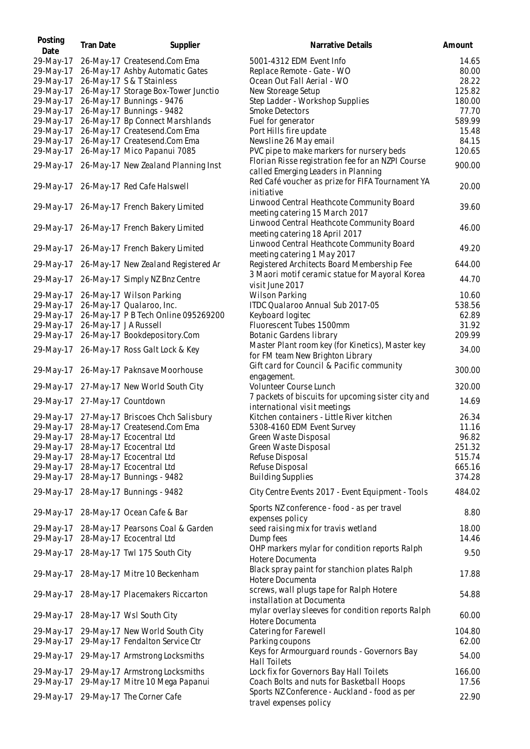| Posting<br>Date | Tran Date            | Supplier                                    | Narrative Details                                                                       | Amount |
|-----------------|----------------------|---------------------------------------------|-----------------------------------------------------------------------------------------|--------|
| 29-May-17       |                      | 26-May-17 Createsend.Com Ema                | 5001-4312 EDM Event Info                                                                | 14.65  |
| 29-May-17       |                      | 26-May-17 Ashby Automatic Gates             | Replace Remote - Gate - WO                                                              | 80.00  |
| 29-May-17       |                      | 26-May-17 S & T Stainless                   | Ocean Out Fall Aerial - WO                                                              | 28.22  |
| 29-May-17       |                      | 26-May-17 Storage Box-Tower Junctio         | New Storeage Setup                                                                      | 125.82 |
| 29-May-17       |                      | 26-May-17 Bunnings - 9476                   | Step Ladder - Workshop Supplies                                                         | 180.00 |
| 29-May-17       |                      | 26-May-17 Bunnings - 9482                   | <b>Smoke Detectors</b>                                                                  | 77.70  |
| 29-May-17       |                      | 26-May-17 Bp Connect Marshlands             | Fuel for generator                                                                      | 589.99 |
| 29-May-17       |                      | 26-May-17 Createsend.Com Ema                | Port Hills fire update                                                                  | 15.48  |
| 29-May-17       |                      | 26-May-17 Createsend.Com Ema                | Newsline 26 May email                                                                   | 84.15  |
| 29-May-17       |                      | 26-May-17 Mico Papanui 7085                 | PVC pipe to make markers for nursery beds                                               | 120.65 |
|                 |                      |                                             | Florian Risse registration fee for an NZPI Course                                       |        |
| 29-May-17       |                      | 26-May-17 New Zealand Planning Inst         | called Emerging Leaders in Planning<br>Red Café voucher as prize for FIFA Tournament YA | 900.00 |
| 29-May-17       |                      | 26-May-17 Red Cafe Halswell                 | initiative                                                                              | 20.00  |
|                 |                      | 29-May-17 26-May-17 French Bakery Limited   | Linwood Central Heathcote Community Board<br>meeting catering 15 March 2017             | 39.60  |
|                 |                      | 29-May-17 26-May-17 French Bakery Limited   | Linwood Central Heathcote Community Board<br>meeting catering 18 April 2017             | 46.00  |
| 29-May-17       |                      | 26-May-17 French Bakery Limited             | Linwood Central Heathcote Community Board<br>meeting catering 1 May 2017                | 49.20  |
| 29-May-17       |                      | 26-May-17 New Zealand Registered Ar         | Registered Architects Board Membership Fee                                              | 644.00 |
| 29-May-17       |                      | 26-May-17 Simply NZ Bnz Centre              | 3 Maori motif ceramic statue for Mayoral Korea<br>visit June 2017                       | 44.70  |
| 29-May-17       |                      | 26-May-17 Wilson Parking                    | Wilson Parking                                                                          | 10.60  |
| 29-May-17       |                      | 26-May-17 Qualaroo, Inc.                    | ITDC Qualaroo Annual Sub 2017-05                                                        | 538.56 |
| 29-May-17       |                      | 26-May-17 P B Tech Online 095269200         | Keyboard logitec                                                                        | 62.89  |
| 29-May-17       | 26-May-17 JA Russell |                                             | Fluorescent Tubes 1500mm                                                                | 31.92  |
| 29-May-17       |                      | 26-May-17 Bookdepository.Com                | Botanic Gardens library                                                                 | 209.99 |
| 29-May-17       |                      | 26-May-17 Ross Galt Lock & Key              | Master Plant room key (for Kinetics), Master key<br>for FM team New Brighton Library    | 34.00  |
| 29-May-17       |                      | 26-May-17 Paknsave Moorhouse                | Gift card for Council & Pacific community<br>engagement.                                | 300.00 |
| 29-May-17       |                      | 27-May-17 New World South City              | Volunteer Course Lunch<br>7 packets of biscuits for upcoming sister city and            | 320.00 |
| 29-May-17       |                      | 27-May-17 Countdown                         | international visit meetings                                                            | 14.69  |
|                 |                      | 29-May-17 27-May-17 Briscoes Chch Salisbury | Kitchen containers - Little River kitchen                                               | 26.34  |
|                 |                      | 29-May-17 28-May-17 Createsend.Com Ema      | 5308-4160 EDM Event Survey                                                              | 11.16  |
| 29-May-17       |                      | 28-May-17 Ecocentral Ltd                    | Green Waste Disposal                                                                    | 96.82  |
| 29-May-17       |                      | 28-May-17 Ecocentral Ltd                    | Green Waste Disposal                                                                    | 251.32 |
| 29-May-17       |                      | 28-May-17 Ecocentral Ltd                    | Refuse Disposal                                                                         | 515.74 |
| 29-May-17       |                      | 28-May-17 Ecocentral Ltd                    | Refuse Disposal                                                                         | 665.16 |
| 29-May-17       |                      | 28-May-17 Bunnings - 9482                   | <b>Building Supplies</b>                                                                | 374.28 |
| 29-May-17       |                      | 28-May-17 Bunnings - 9482                   | City Centre Events 2017 - Event Equipment - Tools                                       | 484.02 |
| 29-May-17       |                      | 28-May-17 Ocean Cafe & Bar                  | Sports NZ conference - food - as per travel<br>expenses policy                          | 8.80   |
| 29-May-17       |                      | 28-May-17 Pearsons Coal & Garden            | seed raising mix for travis wetland                                                     | 18.00  |
| 29-May-17       |                      | 28-May-17 Ecocentral Ltd                    | Dump fees                                                                               | 14.46  |
|                 |                      | 29-May-17 28-May-17 Twl 175 South City      | OHP markers mylar for condition reports Ralph<br>Hotere Documenta                       | 9.50   |
|                 |                      | 29-May-17 28-May-17 Mitre 10 Beckenham      | Black spray paint for stanchion plates Ralph<br>Hotere Documenta                        | 17.88  |
|                 |                      | 29-May-17 28-May-17 Placemakers Riccarton   | screws, wall plugs tape for Ralph Hotere<br>installation at Documenta                   | 54.88  |
| 29-May-17       |                      | 28-May-17 Wsl South City                    | mylar overlay sleeves for condition reports Ralph<br>Hotere Documenta                   | 60.00  |
| 29-May-17       |                      | 29-May-17 New World South City              | Catering for Farewell                                                                   | 104.80 |
| 29-May-17       |                      | 29-May-17 Fendalton Service Ctr             | Parking coupons                                                                         | 62.00  |
| 29-May-17       |                      | 29-May-17 Armstrong Locksmiths              | Keys for Armourguard rounds - Governors Bay<br><b>Hall Toilets</b>                      | 54.00  |
| 29-May-17       |                      | 29-May-17 Armstrong Locksmiths              | Lock fix for Governors Bay Hall Toilets                                                 | 166.00 |
| 29-May-17       |                      | 29-May-17 Mitre 10 Mega Papanui             | Coach Bolts and nuts for Basketball Hoops                                               | 17.56  |
|                 |                      | 29-May-17 29-May-17 The Corner Cafe         | Sports NZ Conference - Auckland - food as per<br>travel expenses policy                 | 22.90  |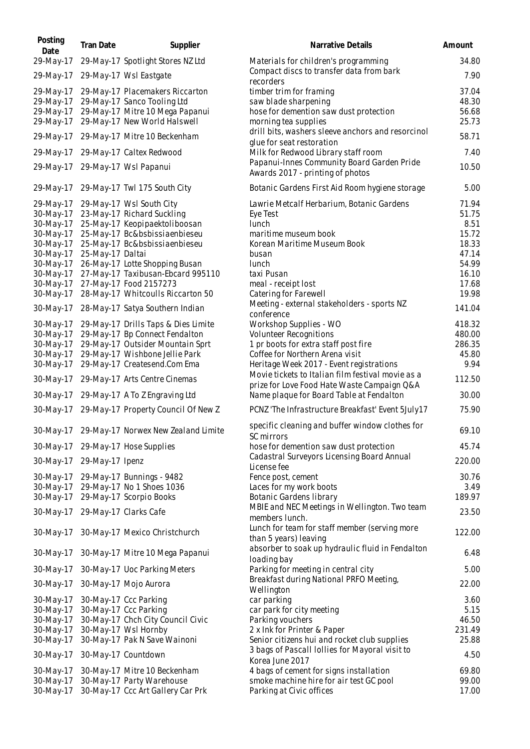| Posting<br>Date        | <b>Tran Date</b> | Supplier                                                    | Narrative Details                                                                                | Amount         |
|------------------------|------------------|-------------------------------------------------------------|--------------------------------------------------------------------------------------------------|----------------|
| 29-May-17              |                  | 29-May-17 Spotlight Stores NZ Ltd                           | Materials for children's programming                                                             | 34.80          |
| 29-May-17              |                  | 29-May-17 Wsl Eastgate                                      | Compact discs to transfer data from bark<br>recorders                                            | 7.90           |
| 29-May-17              |                  | 29-May-17 Placemakers Riccarton                             | timber trim for framing                                                                          | 37.04          |
| 29-May-17              |                  | 29-May-17 Sanco Tooling Ltd                                 | saw blade sharpening                                                                             | 48.30          |
| 29-May-17              |                  | 29-May-17 Mitre 10 Mega Papanui                             | hose for demention saw dust protection                                                           | 56.68          |
| 29-May-17              |                  | 29-May-17 New World Halswell                                | morning tea supplies<br>drill bits, washers sleeve anchors and resorcinol                        | 25.73          |
| 29-May-17              |                  | 29-May-17 Mitre 10 Beckenham                                | glue for seat restoration                                                                        | 58.71          |
| 29-May-17              |                  | 29-May-17 Caltex Redwood                                    | Milk for Redwood Library staff room<br>Papanui-Innes Community Board Garden Pride                | 7.40           |
| 29-May-17              |                  | 29-May-17 Wsl Papanui                                       | Awards 2017 - printing of photos                                                                 | 10.50          |
| 29-May-17              |                  | 29-May-17 Twl 175 South City                                | Botanic Gardens First Aid Room hygiene storage                                                   | 5.00           |
| 29-May-17              |                  | 29-May-17 Wsl South City                                    | Lawrie Metcalf Herbarium, Botanic Gardens                                                        | 71.94          |
| 30-May-17              |                  | 23-May-17 Richard Suckling                                  | Eye Test                                                                                         | 51.75          |
| 30-May-17              |                  | 25-May-17 Keopipaektoliboosan                               | lunch                                                                                            | 8.51           |
| 30-May-17              |                  | 25-May-17 Bc&bsbissiaenbieseu                               | maritime museum book                                                                             | 15.72          |
| 30-May-17              |                  | 25-May-17 Bc&bsbissiaenbieseu                               | Korean Maritime Museum Book                                                                      | 18.33          |
| 30-May-17              | 25-May-17 Daltai |                                                             | busan                                                                                            | 47.14          |
| 30-May-17              |                  | 26-May-17 Lotte Shopping Busan                              | lunch                                                                                            | 54.99          |
| 30-May-17              |                  | 27-May-17 Taxibusan-Ebcard 995110                           | taxi Pusan                                                                                       | 16.10          |
| 30-May-17<br>30-May-17 |                  | 27-May-17 Food 2157273<br>28-May-17 Whitcoulls Riccarton 50 | meal - receipt lost<br>Catering for Farewell                                                     | 17.68<br>19.98 |
| 30-May-17              |                  | 28-May-17 Satya Southern Indian                             | Meeting - external stakeholders - sports NZ                                                      | 141.04         |
| 30-May-17              |                  | 29-May-17 Drills Taps & Dies Limite                         | conference<br>Workshop Supplies - WO                                                             | 418.32         |
| 30-May-17              |                  | 29-May-17 Bp Connect Fendalton                              | Volunteer Recognitions                                                                           | 480.00         |
| 30-May-17              |                  | 29-May-17 Outsider Mountain Sprt                            | 1 pr boots for extra staff post fire                                                             | 286.35         |
| 30-May-17              |                  | 29-May-17 Wishbone Jellie Park                              | Coffee for Northern Arena visit                                                                  | 45.80          |
| 30-May-17              |                  | 29-May-17 Createsend.Com Ema                                | Heritage Week 2017 - Event registrations                                                         | 9.94           |
| 30-May-17              |                  | 29-May-17 Arts Centre Cinemas                               | Movie tickets to Italian film festival movie as a<br>prize for Love Food Hate Waste Campaign Q&A | 112.50         |
| 30-May-17              |                  | 29-May-17 A To Z Engraving Ltd                              | Name plaque for Board Table at Fendalton                                                         | 30.00          |
| 30-May-17              |                  | 29-May-17 Property Council Of New Z                         | PCNZ 'The Infrastructure Breakfast' Event 5July17                                                | 75.90          |
|                        |                  | 30-May-17 29-May-17 Norwex New Zealand Limite               | specific cleaning and buffer window clothes for<br>SC mirrors                                    | 69.10          |
|                        |                  | 30-May-17 29-May-17 Hose Supplies                           | hose for demention saw dust protection                                                           | 45.74          |
| 30-May-17              | 29-May-17 Ipenz  |                                                             | Cadastral Surveyors Licensing Board Annual<br>License fee                                        | 220.00         |
| 30-May-17              |                  | 29-May-17 Bunnings - 9482                                   | Fence post, cement                                                                               | 30.76          |
| 30-May-17              |                  | 29-May-17 No 1 Shoes 1036                                   | Laces for my work boots                                                                          | 3.49           |
| 30-May-17              |                  | 29-May-17 Scorpio Books                                     | Botanic Gardens library                                                                          | 189.97         |
| 30-May-17              |                  | 29-May-17 Clarks Cafe                                       | MBIE and NEC Meetings in Wellington. Two team<br>members lunch.                                  | 23.50          |
| 30-May-17              |                  | 30-May-17 Mexico Christchurch                               | Lunch for team for staff member (serving more<br>than 5 years) leaving                           | 122.00         |
| 30-May-17              |                  | 30-May-17 Mitre 10 Mega Papanui                             | absorber to soak up hydraulic fluid in Fendalton<br>loading bay                                  | 6.48           |
| 30-May-17              |                  | 30-May-17 Uoc Parking Meters                                | Parking for meeting in central city                                                              | 5.00           |
| 30-May-17              |                  | 30-May-17 Mojo Aurora                                       | Breakfast during National PRFO Meeting,<br>Wellington                                            | 22.00          |
| 30-May-17              |                  | 30-May-17 Ccc Parking                                       | car parking                                                                                      | 3.60           |
| 30-May-17              |                  | 30-May-17 Ccc Parking                                       | car park for city meeting                                                                        | 5.15           |
| 30-May-17              |                  | 30-May-17 Chch City Council Civic                           | Parking vouchers                                                                                 | 46.50          |
| 30-May-17              |                  | 30-May-17 Wsl Hornby                                        | 2 x Ink for Printer & Paper                                                                      | 231.49         |
| 30-May-17              |                  | 30-May-17 Pak N Save Wainoni                                | Senior citizens hui and rocket club supplies                                                     | 25.88          |
| 30-May-17              |                  | 30-May-17 Countdown                                         | 3 bags of Pascall Iollies for Mayoral visit to<br>Korea June 2017                                | 4.50           |
| 30-May-17              |                  | 30-May-17 Mitre 10 Beckenham                                | 4 bags of cement for signs installation                                                          | 69.80          |
| 30-May-17              |                  | 30-May-17 Party Warehouse                                   | smoke machine hire for air test GC pool                                                          | 99.00          |
| 30-May-17              |                  | 30-May-17 Ccc Art Gallery Car Prk                           | Parking at Civic offices                                                                         | 17.00          |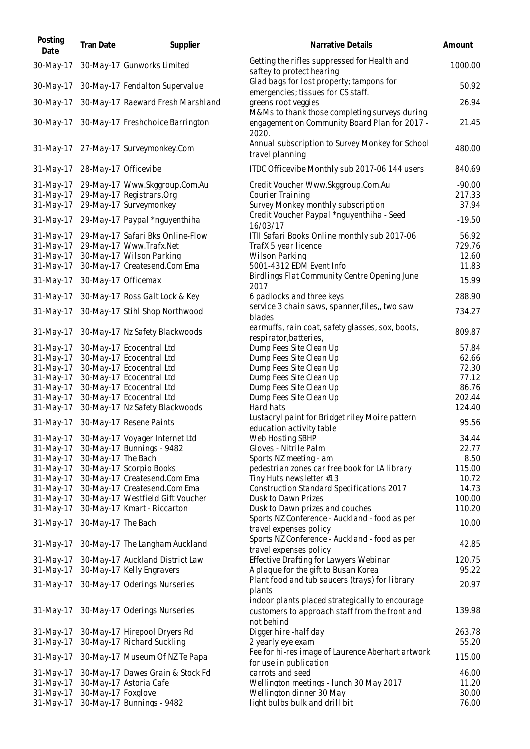| Posting<br>Date        | Tran Date            | Supplier                                                     | Narrative Details                                                                                               | Amount          |
|------------------------|----------------------|--------------------------------------------------------------|-----------------------------------------------------------------------------------------------------------------|-----------------|
| 30-May-17              |                      | 30-May-17 Gunworks Limited                                   | Getting the rifles suppressed for Health and<br>saftey to protect hearing                                       | 1000.00         |
| 30-May-17              |                      | 30-May-17 Fendalton Supervalue                               | Glad bags for lost property; tampons for<br>emergencies; tissues for CS staff.                                  | 50.92           |
| 30-May-17              |                      | 30-May-17 Raeward Fresh Marshland                            | greens root veggies<br>M&Ms to thank those completing surveys during                                            | 26.94           |
|                        |                      | 30-May-17 30-May-17 Freshchoice Barrington                   | engagement on Community Board Plan for 2017 -<br>2020.                                                          | 21.45           |
|                        |                      | 31-May-17 27-May-17 Surveymonkey.Com                         | Annual subscription to Survey Monkey for School<br>travel planning                                              | 480.00          |
| 31-May-17              | 28-May-17 Officevibe |                                                              | ITDC Officevibe Monthly sub 2017-06 144 users                                                                   | 840.69          |
| 31-May-17              |                      | 29-May-17 Www.Skggroup.Com.Au                                | Credit Voucher Www.Skggroup.Com.Au                                                                              | $-90.00$        |
| $31-May-17$            |                      | 29-May-17 Registrars.Org                                     | Courier Training                                                                                                | 217.33          |
| 31-May-17              |                      | 29-May-17 Surveymonkey                                       | Survey Monkey monthly subscription                                                                              | 37.94           |
| 31-May-17              |                      | 29-May-17 Paypal *nguyenthiha                                | Credit Voucher Paypal *nguyenthiha - Seed<br>16/03/17                                                           | $-19.50$        |
| 31-May-17              |                      | 29-May-17 Safari Bks Online-Flow                             | ITII Safari Books Online monthly sub 2017-06                                                                    | 56.92           |
| 31-May-17              |                      | 29-May-17 Www.Trafx.Net                                      | TrafX 5 year licence                                                                                            | 729.76          |
| 31-May-17              |                      | 30-May-17 Wilson Parking                                     | <b>Wilson Parking</b>                                                                                           | 12.60           |
| 31-May-17              |                      | 30-May-17 Createsend.Com Ema                                 | 5001-4312 EDM Event Info                                                                                        | 11.83           |
| 31-May-17              |                      | 30-May-17 Officemax                                          | Birdlings Flat Community Centre Opening June                                                                    | 15.99           |
| 31-May-17              |                      | 30-May-17 Ross Galt Lock & Key                               | 2017<br>6 padlocks and three keys                                                                               | 288.90          |
| 31-May-17              |                      | 30-May-17 Stihl Shop Northwood                               | service 3 chain saws, spanner, files,, two saw                                                                  | 734.27          |
|                        |                      |                                                              | blades                                                                                                          |                 |
| 31-May-17              |                      | 30-May-17 Nz Safety Blackwoods                               | earmuffs, rain coat, safety glasses, sox, boots,<br>respirator, batteries,                                      | 809.87          |
| 31-May-17              |                      | 30-May-17 Ecocentral Ltd                                     | Dump Fees Site Clean Up                                                                                         | 57.84           |
| 31-May-17              |                      | 30-May-17 Ecocentral Ltd                                     | Dump Fees Site Clean Up                                                                                         | 62.66           |
| 31-May-17              |                      | 30-May-17 Ecocentral Ltd                                     | Dump Fees Site Clean Up                                                                                         | 72.30           |
| 31-May-17              |                      | 30-May-17 Ecocentral Ltd                                     | Dump Fees Site Clean Up                                                                                         | 77.12           |
| 31-May-17              |                      | 30-May-17 Ecocentral Ltd                                     | Dump Fees Site Clean Up                                                                                         | 86.76           |
| 31-May-17              |                      | 30-May-17 Ecocentral Ltd                                     | Dump Fees Site Clean Up                                                                                         | 202.44          |
| 31-May-17              |                      | 30-May-17 Nz Safety Blackwoods                               | Hard hats                                                                                                       | 124.40          |
| 31-May-17              |                      | 30-May-17 Resene Paints                                      | Lustacryl paint for Bridget riley Moire pattern<br>education activity table                                     | 95.56           |
| 31-May-17              |                      | 30-May-17 Voyager Internet Ltd                               | Web Hosting SBHP                                                                                                | 34.44           |
| 31-May-17              |                      | 30-May-17 Bunnings - 9482                                    | Gloves - Nitrile Palm                                                                                           | 22.77           |
| 31-May-17              | 30-May-17 The Bach   |                                                              | Sports NZ meeting - am                                                                                          | 8.50            |
| 31-May-17              |                      | 30-May-17 Scorpio Books                                      | pedestrian zones car free book for LA library                                                                   | 115.00          |
| 31-May-17              |                      | 30-May-17 Createsend.Com Ema<br>30-May-17 Createsend.Com Ema | Tiny Huts newsletter #13                                                                                        | 10.72           |
| 31-May-17<br>31-May-17 |                      | 30-May-17 Westfield Gift Voucher                             | <b>Construction Standard Specifications 2017</b><br>Dusk to Dawn Prizes                                         | 14.73<br>100.00 |
| 31-May-17              |                      | 30-May-17 Kmart - Riccarton                                  | Dusk to Dawn prizes and couches                                                                                 | 110.20          |
| 31-May-17              | 30-May-17 The Bach   |                                                              | Sports NZ Conference - Auckland - food as per<br>travel expenses policy                                         | 10.00           |
| 31-May-17              |                      | 30-May-17 The Langham Auckland                               | Sports NZ Conference - Auckland - food as per                                                                   | 42.85           |
|                        |                      |                                                              | travel expenses policy                                                                                          |                 |
| 31-May-17<br>31-May-17 |                      | 30-May-17 Auckland District Law<br>30-May-17 Kelly Engravers | Effective Drafting for Lawyers Webinar<br>A plaque for the gift to Busan Korea                                  | 120.75<br>95.22 |
|                        |                      |                                                              | Plant food and tub saucers (trays) for library                                                                  |                 |
| 31-May-17              |                      | 30-May-17 Oderings Nurseries                                 | plants                                                                                                          | 20.97           |
|                        |                      | 31-May-17 30-May-17 Oderings Nurseries                       | indoor plants placed strategically to encourage<br>customers to approach staff from the front and<br>not behind | 139.98          |
| 31-May-17              |                      | 30-May-17 Hirepool Dryers Rd                                 | Digger hire - half day                                                                                          | 263.78          |
| 31-May-17              |                      | 30-May-17 Richard Suckling                                   | 2 yearly eye exam                                                                                               | 55.20           |
| 31-May-17              |                      | 30-May-17 Museum Of NZ Te Papa                               | Fee for hi-res image of Laurence Aberhart artwork                                                               | 115.00          |
|                        |                      |                                                              | for use in publication                                                                                          |                 |
| 31-May-17<br>31-May-17 |                      | 30-May-17 Dawes Grain & Stock Fd<br>30-May-17 Astoria Cafe   | carrots and seed<br>Wellington meetings - lunch 30 May 2017                                                     | 46.00<br>11.20  |
| 31-May-17              | 30-May-17 Foxglove   |                                                              | Wellington dinner 30 May                                                                                        | 30.00           |
| 31-May-17              |                      | 30-May-17 Bunnings - 9482                                    | light bulbs bulk and drill bit                                                                                  | 76.00           |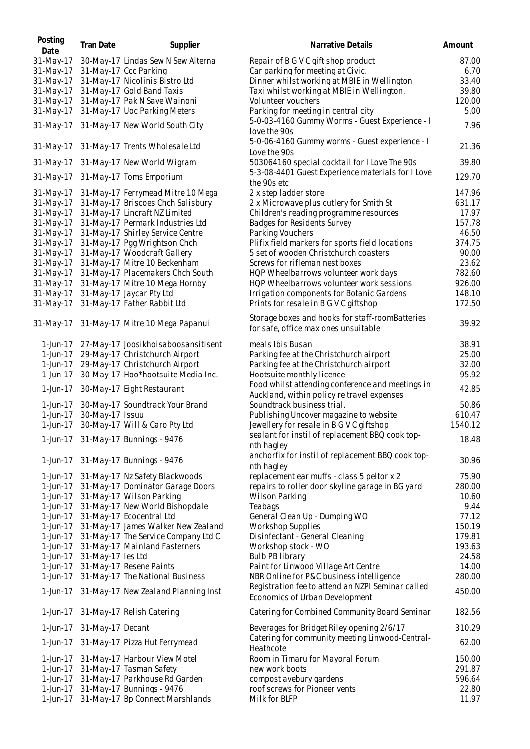| Posting<br>Date | <b>Tran Date</b>  | Supplier                            | Narrative Details                                                                              | Amount  |
|-----------------|-------------------|-------------------------------------|------------------------------------------------------------------------------------------------|---------|
| 31-May-17       |                   | 30-May-17 Lindas Sew N Sew Alterna  | Repair of B G V C gift shop product                                                            | 87.00   |
| 31-May-17       |                   | 31-May-17 Ccc Parking               | Car parking for meeting at Civic.                                                              | 6.70    |
| 31-May-17       |                   | 31-May-17 Nicolinis Bistro Ltd      | Dinner whilst working at MBIE in Wellington                                                    | 33.40   |
| 31-May-17       |                   | 31-May-17 Gold Band Taxis           | Taxi whilst working at MBIE in Wellington.                                                     | 39.80   |
| 31-May-17       |                   | 31-May-17 Pak N Save Wainoni        | Volunteer vouchers                                                                             | 120.00  |
| 31-May-17       |                   | 31-May-17 Uoc Parking Meters        | Parking for meeting in central city                                                            | 5.00    |
| 31-May-17       |                   | 31-May-17 New World South City      | 5-0-03-4160 Gummy Worms - Guest Experience - I<br>love the 90s                                 | 7.96    |
| 31-May-17       |                   | 31-May-17 Trents Wholesale Ltd      | 5-0-06-4160 Gummy worms - Guest experience - I<br>Love the 90s                                 | 21.36   |
| 31-May-17       |                   | 31-May-17 New World Wigram          | 503064160 special cocktail for I Love The 90s                                                  | 39.80   |
| 31-May-17       |                   | 31-May-17 Toms Emporium             | 5-3-08-4401 Guest Experience materials for I Love<br>the 90s etc                               | 129.70  |
| 31-May-17       |                   | 31-May-17 Ferrymead Mitre 10 Mega   | 2 x step ladder store                                                                          | 147.96  |
| 31-May-17       |                   | 31-May-17 Briscoes Chch Salisbury   | 2 x Microwave plus cutlery for Smith St                                                        | 631.17  |
| 31-May-17       |                   | 31-May-17 Lincraft NZ Limited       | Children's reading programme resources                                                         | 17.97   |
| 31-May-17       |                   | 31-May-17 Permark Industries Ltd    | Badges for Residents Survey                                                                    | 157.78  |
| 31-May-17       |                   | 31-May-17 Shirley Service Centre    | Parking Vouchers                                                                               | 46.50   |
| 31-May-17       |                   | 31-May-17 Pgg Wrightson Chch        | Plifix field markers for sports field locations                                                | 374.75  |
| 31-May-17       |                   | 31-May-17 Woodcraft Gallery         | 5 set of wooden Christchurch coasters                                                          | 90.00   |
| 31-May-17       |                   | 31-May-17 Mitre 10 Beckenham        | Screws for rifleman nest boxes                                                                 | 23.62   |
| 31-May-17       |                   | 31-May-17 Placemakers Chch South    | HQP Wheelbarrows volunteer work days                                                           | 782.60  |
| 31-May-17       |                   | 31-May-17 Mitre 10 Mega Hornby      | HQP Wheelbarrows volunteer work sessions                                                       | 926.00  |
| 31-May-17       |                   | 31-May-17 Jaycar Pty Ltd            | Irrigation components for Botanic Gardens                                                      | 148.10  |
| 31-May-17       |                   | 31-May-17 Father Rabbit Ltd         | Prints for resale in B G V C giftshop                                                          | 172.50  |
| 31-May-17       |                   | 31-May-17 Mitre 10 Mega Papanui     | Storage boxes and hooks for staff-roomBatteries<br>for safe, office max ones unsuitable        | 39.92   |
| 1-Jun-17        |                   | 27-May-17 Joosikhoisaboosansitisent | meals Ibis Busan                                                                               | 38.91   |
| 1-Jun-17        |                   | 29-May-17 Christchurch Airport      | Parking fee at the Christchurch airport                                                        | 25.00   |
| 1-Jun-17        |                   | 29-May-17 Christchurch Airport      | Parking fee at the Christchurch airport                                                        | 32.00   |
| 1-Jun-17        |                   | 30-May-17 Hoo*hootsuite Media Inc.  | Hootsuite monthly licence                                                                      | 95.92   |
| 1-Jun-17        |                   | 30-May-17 Eight Restaurant          | Food whilst attending conference and meetings in<br>Auckland, within policy re travel expenses | 42.85   |
| 1-Jun-17        |                   | 30-May-17 Soundtrack Your Brand     | Soundtrack business trial.                                                                     | 50.86   |
| 1-Jun-17        | 30-May-17 Issuu   |                                     | Publishing Uncover magazine to website                                                         | 610.47  |
| 1-Jun-17        |                   | 30-May-17 Will & Caro Pty Ltd       | Jewellery for resale in B G V C giftshop                                                       | 1540.12 |
|                 |                   | 1-Jun-17 31-May-17 Bunnings - 9476  | sealant for instil of replacement BBQ cook top-<br>nth hagley                                  | 18.48   |
| 1-Jun-17        |                   | 31-May-17 Bunnings - 9476           | anchorfix for instil of replacement BBQ cook top-<br>nth hagley                                | 30.96   |
| 1-Jun-17        |                   | 31-May-17 Nz Safety Blackwoods      | replacement ear muffs - class 5 peltor x 2                                                     | 75.90   |
| 1-Jun-17        |                   | 31-May-17 Dominator Garage Doors    | repairs to roller door skyline garage in BG yard                                               | 280.00  |
| 1-Jun-17        |                   | 31-May-17 Wilson Parking            | Wilson Parking                                                                                 | 10.60   |
| 1-Jun-17        |                   | 31-May-17 New World Bishopdale      | Teabags                                                                                        | 9.44    |
| 1-Jun-17        |                   | 31-May-17 Ecocentral Ltd            | General Clean Up - Dumping WO                                                                  | 77.12   |
| 1-Jun-17        |                   | 31-May-17 James Walker New Zealand  | Workshop Supplies                                                                              | 150.19  |
| 1-Jun-17        |                   | 31-May-17 The Service Company Ltd C | Disinfectant - General Cleaning                                                                | 179.81  |
| 1-Jun-17        |                   | 31-May-17 Mainland Fasterners       | Workshop stock - WO                                                                            | 193.63  |
| 1-Jun-17        | 31-May-17 les Ltd |                                     | <b>Bulb PB library</b>                                                                         | 24.58   |
| 1-Jun-17        |                   | 31-May-17 Resene Paints             | Paint for Linwood Village Art Centre                                                           | 14.00   |
| 1-Jun-17        |                   | 31-May-17 The National Business     | NBR Online for P&C business intelligence                                                       | 280.00  |
| 1-Jun-17        |                   | 31-May-17 New Zealand Planning Inst | Registration fee to attend an NZPI Seminar called<br>Economics of Urban Development            | 450.00  |
| 1-Jun-17        |                   | 31-May-17 Relish Catering           | Catering for Combined Community Board Seminar                                                  | 182.56  |
| 1-Jun-17        | 31-May-17 Decant  |                                     | Beverages for Bridget Riley opening 2/6/17                                                     | 310.29  |
| 1-Jun-17        |                   | 31-May-17 Pizza Hut Ferrymead       | Catering for community meeting Linwood-Central-<br>Heathcote                                   | 62.00   |
| 1-Jun-17        |                   | 31-May-17 Harbour View Motel        | Room in Timaru for Mayoral Forum                                                               | 150.00  |
| 1-Jun-17        |                   | 31-May-17 Tasman Safety             | new work boots                                                                                 | 291.87  |
| 1-Jun-17        |                   | 31-May-17 Parkhouse Rd Garden       | compost avebury gardens                                                                        | 596.64  |
| 1-Jun-17        |                   | 31-May-17 Bunnings - 9476           | roof screws for Pioneer vents                                                                  | 22.80   |
| 1-Jun-17        |                   | 31-May-17 Bp Connect Marshlands     | Milk for BLFP                                                                                  | 11.97   |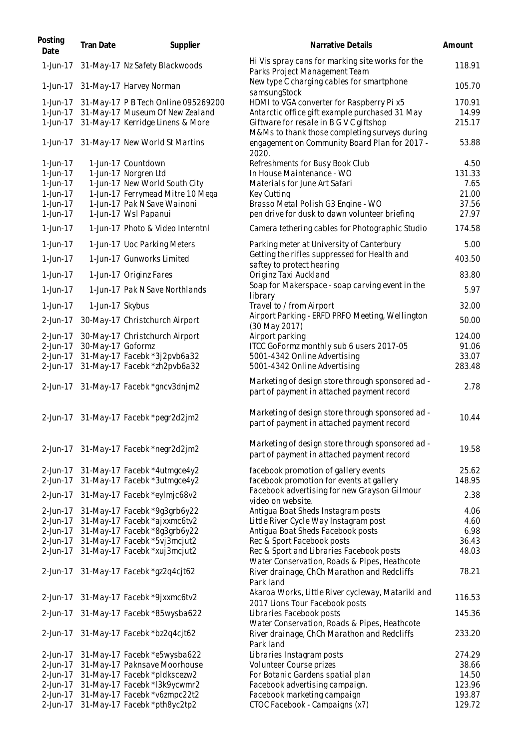| Posting<br>Date | Tran Date         | Supplier                                  | Narrative Details                                                                              | Amount |
|-----------------|-------------------|-------------------------------------------|------------------------------------------------------------------------------------------------|--------|
| 1-Jun-17        |                   | 31-May-17 Nz Safety Blackwoods            | Hi Vis spray cans for marking site works for the<br>Parks Project Management Team              | 118.91 |
|                 |                   | 1-Jun-17 31-May-17 Harvey Norman          | New type C charging cables for smartphone<br>samsungStock                                      | 105.70 |
| 1-Jun-17        |                   | 31-May-17 P B Tech Online 095269200       | HDMI to VGA converter for Raspberry Pi x5                                                      | 170.91 |
|                 |                   | 1-Jun-17 31-May-17 Museum Of New Zealand  | Antarctic office gift example purchased 31 May                                                 | 14.99  |
|                 |                   | 1-Jun-17 31-May-17 Kerridge Linens & More | Giftware for resale in B G V C giftshop                                                        | 215.17 |
|                 |                   | 1-Jun-17 31-May-17 New World St Martins   | M&Ms to thank those completing surveys during<br>engagement on Community Board Plan for 2017 - | 53.88  |
|                 |                   |                                           | 2020.                                                                                          |        |
| 1-Jun-17        |                   | 1-Jun-17 Countdown                        | Refreshments for Busy Book Club                                                                | 4.50   |
| 1-Jun-17        |                   | 1-Jun-17 Norgren Ltd                      | In House Maintenance - WO                                                                      | 131.33 |
| 1-Jun-17        |                   | 1-Jun-17 New World South City             | Materials for June Art Safari                                                                  | 7.65   |
| 1-Jun-17        |                   | 1-Jun-17 Ferrymead Mitre 10 Mega          | Key Cutting                                                                                    | 21.00  |
| 1-Jun-17        |                   | 1-Jun-17 Pak N Save Wainoni               | Brasso Metal Polish G3 Engine - WO                                                             | 37.56  |
| 1-Jun-17        |                   | 1-Jun-17 Wsl Papanui                      | pen drive for dusk to dawn volunteer briefing                                                  | 27.97  |
| 1-Jun-17        |                   | 1-Jun-17 Photo & Video Interntnl          | Camera tethering cables for Photographic Studio                                                | 174.58 |
| 1-Jun-17        |                   | 1-Jun-17 Uoc Parking Meters               | Parking meter at University of Canterbury                                                      | 5.00   |
| 1-Jun-17        |                   | 1-Jun-17 Gunworks Limited                 | Getting the rifles suppressed for Health and                                                   | 403.50 |
|                 |                   |                                           | saftey to protect hearing                                                                      |        |
| 1-Jun-17        |                   | 1-Jun-17 Originz Fares                    | Originz Taxi Auckland                                                                          | 83.80  |
| 1-Jun-17        |                   | 1-Jun-17 Pak N Save Northlands            | Soap for Makerspace - soap carving event in the                                                | 5.97   |
|                 |                   |                                           | library                                                                                        |        |
| 1-Jun-17        | 1-Jun-17 Skybus   |                                           | Travel to / from Airport<br>Airport Parking - ERFD PRFO Meeting, Wellington                    | 32.00  |
| 2-Jun-17        |                   | 30-May-17 Christchurch Airport            | (30 May 2017)                                                                                  | 50.00  |
| 2-Jun-17        |                   | 30-May-17 Christchurch Airport            | Airport parking                                                                                | 124.00 |
| 2-Jun-17        | 30-May-17 Goformz |                                           | ITCC GoFormz monthly sub 6 users 2017-05                                                       | 91.06  |
| 2-Jun-17        |                   | 31-May-17 Facebk *3j2pvb6a32              | 5001-4342 Online Advertising                                                                   | 33.07  |
| 2-Jun-17        |                   | 31-May-17 Facebk *zh2pvb6a32              | 5001-4342 Online Advertising                                                                   | 283.48 |
| 2-Jun-17        |                   | 31-May-17 Facebk *gncv3dnjm2              | Marketing of design store through sponsored ad -<br>part of payment in attached payment record | 2.78   |
| 2-Jun-17        |                   | 31-May-17 Facebk *pegr2d2jm2              | Marketing of design store through sponsored ad -<br>part of payment in attached payment record | 10.44  |
|                 |                   | 2-Jun-17 31-May-17 Facebk *negr2d2jm2     | Marketing of design store through sponsored ad -<br>part of payment in attached payment record | 19.58  |
|                 |                   | 2-Jun-17 31-May-17 Facebk *4utmgce4y2     | facebook promotion of gallery events                                                           | 25.62  |
| 2-Jun-17        |                   | 31-May-17 Facebk *3utmgce4y2              | facebook promotion for events at gallery                                                       | 148.95 |
|                 |                   |                                           | Facebook advertising for new Grayson Gilmour                                                   |        |
| 2-Jun-17        |                   | 31-May-17 Facebk *eylmjc68v2              | video on website.                                                                              | 2.38   |
| 2-Jun-17        |                   | 31-May-17 Facebk *9q3qrb6y22              | Antigua Boat Sheds Instagram posts                                                             | 4.06   |
| 2-Jun-17        |                   | 31-May-17 Facebk *ajxxmc6tv2              | Little River Cycle Way Instagram post                                                          | 4.60   |
| 2-Jun-17        |                   |                                           | Antiqua Boat Sheds Facebook posts                                                              | 6.98   |
|                 |                   | 31-May-17 Facebk *8g3grb6y22              |                                                                                                |        |
| 2-Jun-17        |                   | 31-May-17 Facebk *5vj3mcjut2              | Rec & Sport Facebook posts                                                                     | 36.43  |
| 2-Jun-17        |                   | 31-May-17 Facebk *xuj3mcjut2              | Rec & Sport and Libraries Facebook posts                                                       | 48.03  |
|                 |                   | 2-Jun-17 31-May-17 Facebk *gz2q4cjt62     | Water Conservation, Roads & Pipes, Heathcote<br>River drainage, ChCh Marathon and Redcliffs    | 78.21  |
| 2-Jun-17        |                   | 31-May-17 Facebk *9jxxmc6tv2              | Park land<br>Akaroa Works, Little River cycleway, Matariki and                                 | 116.53 |
|                 |                   |                                           | 2017 Lions Tour Facebook posts                                                                 |        |
| 2-Jun-17        |                   | 31-May-17 Facebk *85wysba622              | Libraries Facebook posts<br>Water Conservation, Roads & Pipes, Heathcote                       | 145.36 |
|                 |                   | 2-Jun-17 31-May-17 Facebk *bz2q4cjt62     | River drainage, ChCh Marathon and Redcliffs                                                    | 233.20 |
| 2-Jun-17        |                   | 31-May-17 Facebk *e5wysba622              | Park land<br>Libraries Instagram posts                                                         | 274.29 |
| 2-Jun-17        |                   | 31-May-17 Paknsave Moorhouse              | Volunteer Course prizes                                                                        |        |
|                 |                   |                                           |                                                                                                | 38.66  |
| 2-Jun-17        |                   | 31-May-17 Facebk *pldkscezw2              | For Botanic Gardens spatial plan                                                               | 14.50  |
| 2-Jun-17        |                   | 31-May-17 Facebk *I3k9ycwmr2              | Facebook advertising campaign.                                                                 | 123.96 |
| 2-Jun-17        |                   | 31-May-17 Facebk *v6zmpc22t2              | Facebook marketing campaign                                                                    | 193.87 |
| 2-Jun-17        |                   | 31-May-17 Facebk *pth8yc2tp2              | CTOC Facebook - Campaigns (x7)                                                                 | 129.72 |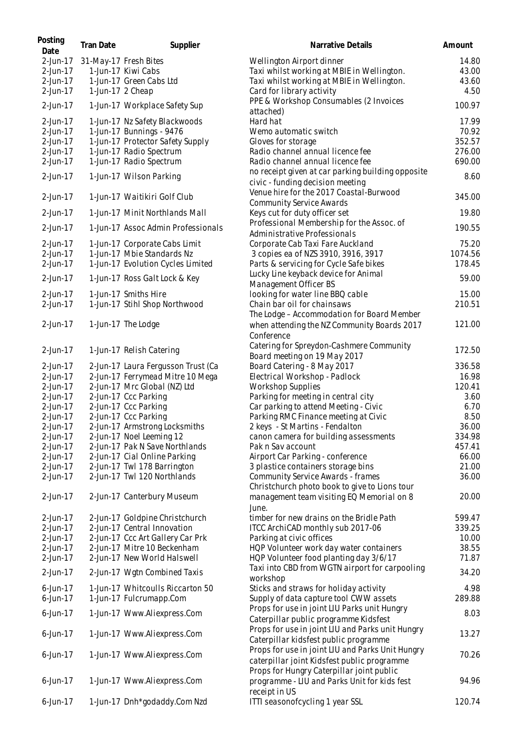| Posting<br>Date | <b>Tran Date</b> | Supplier                           | Narrative Details                                                                     | Amount  |
|-----------------|------------------|------------------------------------|---------------------------------------------------------------------------------------|---------|
| 2-Jun-17        |                  | 31-May-17 Fresh Bites              | Wellington Airport dinner                                                             | 14.80   |
| 2-Jun-17        |                  | 1-Jun-17 Kiwi Cabs                 | Taxi whilst working at MBIE in Wellington.                                            | 43.00   |
| 2-Jun-17        |                  | 1-Jun-17 Green Cabs Ltd            | Taxi whilst working at MBIE in Wellington.                                            | 43.60   |
| 2-Jun-17        | 1-Jun-17 2 Cheap |                                    | Card for library activity                                                             | 4.50    |
| 2-Jun-17        |                  | 1-Jun-17 Workplace Safety Sup      | PPE & Workshop Consumables (2 Invoices                                                | 100.97  |
|                 |                  |                                    | attached)                                                                             |         |
| 2-Jun-17        |                  | 1-Jun-17 Nz Safety Blackwoods      | Hard hat                                                                              | 17.99   |
| 2-Jun-17        |                  | 1-Jun-17 Bunnings - 9476           | Wemo automatic switch                                                                 | 70.92   |
| 2-Jun-17        |                  | 1-Jun-17 Protector Safety Supply   | Gloves for storage                                                                    | 352.57  |
| 2-Jun-17        |                  | 1-Jun-17 Radio Spectrum            | Radio channel annual licence fee                                                      | 276.00  |
| 2-Jun-17        |                  | 1-Jun-17 Radio Spectrum            | Radio channel annual licence fee                                                      | 690.00  |
| 2-Jun-17        |                  | 1-Jun-17 Wilson Parking            | no receipt given at car parking building opposite<br>civic - funding decision meeting | 8.60    |
|                 |                  |                                    | Venue hire for the 2017 Coastal-Burwood                                               |         |
| 2-Jun-17        |                  | 1-Jun-17 Waitikiri Golf Club       | <b>Community Service Awards</b>                                                       | 345.00  |
| 2-Jun-17        |                  | 1-Jun-17 Minit Northlands Mall     | Keys cut for duty officer set                                                         | 19.80   |
| 2-Jun-17        |                  | 1-Jun-17 Assoc Admin Professionals | Professional Membership for the Assoc. of                                             | 190.55  |
|                 |                  |                                    | Administrative Professionals                                                          |         |
| 2-Jun-17        |                  | 1-Jun-17 Corporate Cabs Limit      | Corporate Cab Taxi Fare Auckland                                                      | 75.20   |
| 2-Jun-17        |                  | 1-Jun-17 Mbie Standards Nz         | 3 copies ea of NZS 3910, 3916, 3917                                                   | 1074.56 |
| 2-Jun-17        |                  | 1-Jun-17 Evolution Cycles Limited  | Parts & servicing for Cycle Safe bikes                                                | 178.45  |
| 2-Jun-17        |                  | 1-Jun-17 Ross Galt Lock & Key      | Lucky Line keyback device for Animal                                                  | 59.00   |
|                 |                  |                                    | Management Officer BS                                                                 |         |
| 2-Jun-17        |                  | 1-Jun-17 Smiths Hire               | looking for water line BBQ cable                                                      | 15.00   |
| 2-Jun-17        |                  | 1-Jun-17 Stihl Shop Northwood      | Chain bar oil for chainsaws                                                           | 210.51  |
|                 |                  |                                    | The Lodge - Accommodation for Board Member                                            |         |
| 2-Jun-17        |                  | 1-Jun-17 The Lodge                 | when attending the NZ Community Boards 2017                                           | 121.00  |
|                 |                  |                                    | Conference                                                                            |         |
|                 |                  |                                    | Catering for Spreydon-Cashmere Community                                              |         |
| 2-Jun-17        |                  | 1-Jun-17 Relish Catering           | Board meeting on 19 May 2017                                                          | 172.50  |
| 2-Jun-17        |                  | 2-Jun-17 Laura Fergusson Trust (Ca | Board Catering - 8 May 2017                                                           | 336.58  |
| 2-Jun-17        |                  | 2-Jun-17 Ferrymead Mitre 10 Mega   | Electrical Workshop - Padlock                                                         | 16.98   |
| 2-Jun-17        |                  | 2-Jun-17 Mrc Global (NZ) Ltd       | <b>Workshop Supplies</b>                                                              | 120.41  |
| 2-Jun-17        |                  | 2-Jun-17 Ccc Parking               | Parking for meeting in central city                                                   | 3.60    |
| 2-Jun-17        |                  | 2-Jun-17 Ccc Parking               | Car parking to attend Meeting - Civic                                                 | 6.70    |
| 2-Jun-17        |                  | 2-Jun-17 Ccc Parking               | Parking RMC Finance meeting at Civic                                                  | 8.50    |
| 2-Jun-17        |                  | 2-Jun-17 Armstrong Locksmiths      | 2 keys - St Martins - Fendalton                                                       | 36.00   |
| 2-Jun-17        |                  | 2-Jun-17 Noel Leeming 12           | canon camera for building assessments                                                 | 334.98  |
| 2-Jun-17        |                  | 2-Jun-17 Pak N Save Northlands     | Pak n Sav account                                                                     | 457.41  |
|                 |                  |                                    |                                                                                       |         |
| 2-Jun-17        |                  | 2-Jun-17 Cial Online Parking       | Airport Car Parking - conference                                                      | 66.00   |
| 2-Jun-17        |                  | 2-Jun-17 Twl 178 Barrington        | 3 plastice containers storage bins                                                    | 21.00   |
| 2-Jun-17        |                  | 2-Jun-17 Twl 120 Northlands        | Community Service Awards - frames                                                     | 36.00   |
|                 |                  |                                    | Christchurch photo book to give to Lions tour                                         |         |
| 2-Jun-17        |                  | 2-Jun-17 Canterbury Museum         | management team visiting EQ Memorial on 8<br>June.                                    | 20.00   |
| 2-Jun-17        |                  | 2-Jun-17 Goldpine Christchurch     | timber for new drains on the Bridle Path                                              | 599.47  |
| 2-Jun-17        |                  | 2-Jun-17 Central Innovation        | ITCC ArchiCAD monthly sub 2017-06                                                     | 339.25  |
| 2-Jun-17        |                  | 2-Jun-17 Ccc Art Gallery Car Prk   | Parking at civic offices                                                              | 10.00   |
| 2-Jun-17        |                  | 2-Jun-17 Mitre 10 Beckenham        | HQP Volunteer work day water containers                                               | 38.55   |
| 2-Jun-17        |                  | 2-Jun-17 New World Halswell        | HQP Volunteer food planting day 3/6/17                                                | 71.87   |
|                 |                  |                                    | Taxi into CBD from WGTN airport for carpooling                                        |         |
| 2-Jun-17        |                  | 2-Jun-17 Wgtn Combined Taxis       | workshop                                                                              | 34.20   |
| $6$ -Jun-17     |                  | 1-Jun-17 Whitcoulls Riccarton 50   | Sticks and straws for holiday activity                                                | 4.98    |
| $6$ -Jun-17     |                  | 1-Jun-17 Fulcrumapp.Com            | Supply of data capture tool CWW assets                                                | 289.88  |
|                 |                  |                                    | Props for use in joint LIU Parks unit Hungry                                          |         |
| $6$ -Jun-17     |                  | 1-Jun-17 Www.Aliexpress.Com        | Caterpillar public programme Kidsfest                                                 | 8.03    |
|                 |                  |                                    | Props for use in joint LIU and Parks unit Hungry                                      |         |
| $6$ -Jun-17     |                  | 1-Jun-17 Www.Aliexpress.Com        | Caterpillar kidsfest public programme                                                 | 13.27   |
|                 |                  |                                    | Props for use in joint LIU and Parks Unit Hungry                                      |         |
| $6$ -Jun-17     |                  | 1-Jun-17 Www.Aliexpress.Com        | caterpillar joint Kidsfest public programme                                           | 70.26   |
|                 |                  |                                    | Props for Hungry Caterpillar joint public                                             |         |
| $6$ -Jun-17     |                  | 1-Jun-17 Www.Aliexpress.Com        |                                                                                       | 94.96   |
|                 |                  |                                    | programme - LIU and Parks Unit for kids fest                                          |         |
|                 |                  |                                    | receipt in US                                                                         |         |
| 6-Jun-17        |                  | 1-Jun-17 Dnh*godaddy.Com Nzd       | ITTI seasonofcycling 1 year SSL                                                       | 120.74  |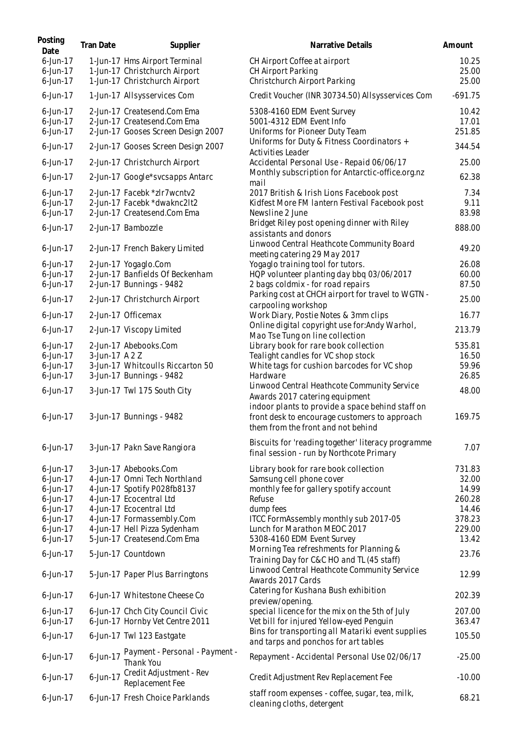| Posting<br>Date            | <b>Tran Date</b> | Supplier                                                          | Narrative Details                                                                             | Amount          |
|----------------------------|------------------|-------------------------------------------------------------------|-----------------------------------------------------------------------------------------------|-----------------|
| $6$ -Jun-17                |                  | 1-Jun-17 Hms Airport Terminal                                     | CH Airport Coffee at airport                                                                  | 10.25           |
| $6$ -Jun-17                |                  | 1-Jun-17 Christchurch Airport                                     | CH Airport Parking                                                                            | 25.00           |
| $6$ -Jun-17                |                  | 1-Jun-17 Christchurch Airport                                     | Christchurch Airport Parking                                                                  | 25.00           |
| $6$ -Jun-17                |                  | 1-Jun-17 Allsysservices Com                                       | Credit Voucher (INR 30734.50) Allsysservices Com                                              | $-691.75$       |
| $6$ -Jun-17                |                  | 2-Jun-17 Createsend.Com Ema                                       | 5308-4160 EDM Event Survey                                                                    | 10.42           |
| $6$ -Jun-17<br>$6$ -Jun-17 |                  | 2-Jun-17 Createsend.Com Ema<br>2-Jun-17 Gooses Screen Design 2007 | 5001-4312 EDM Event Info<br>Uniforms for Pioneer Duty Team                                    | 17.01<br>251.85 |
|                            |                  |                                                                   | Uniforms for Duty & Fitness Coordinators +                                                    |                 |
| $6$ -Jun-17                |                  | 2-Jun-17 Gooses Screen Design 2007                                | Activities Leader                                                                             | 344.54          |
| $6$ -Jun-17                |                  | 2-Jun-17 Christchurch Airport                                     | Accidental Personal Use - Repaid 06/06/17<br>Monthly subscription for Antarctic-office.org.nz | 25.00           |
| $6$ -Jun-17                |                  | 2-Jun-17 Google*svcsapps Antarc                                   | mail                                                                                          | 62.38           |
| 6-Jun-17                   |                  | 2-Jun-17 Facebk *zlr7wcntv2                                       | 2017 British & Irish Lions Facebook post                                                      | 7.34            |
| $6$ -Jun-17<br>$6$ -Jun-17 |                  | 2-Jun-17 Facebk *dwaknc2lt2<br>2-Jun-17 Createsend.Com Ema        | Kidfest More FM lantern Festival Facebook post                                                | 9.11<br>83.98   |
|                            |                  |                                                                   | Newsline 2 June<br>Bridget Riley post opening dinner with Riley                               |                 |
| $6$ -Jun-17                |                  | 2-Jun-17 Bambozzle                                                | assistants and donors                                                                         | 888.00          |
| $6$ -Jun-17                |                  | 2-Jun-17 French Bakery Limited                                    | Linwood Central Heathcote Community Board                                                     | 49.20           |
|                            |                  |                                                                   | meeting catering 29 May 2017                                                                  |                 |
| $6$ -Jun-17                |                  | 2-Jun-17 Yogaglo.Com                                              | Yogaglo training tool for tutors.                                                             | 26.08           |
| $6$ -Jun-17<br>$6$ -Jun-17 |                  | 2-Jun-17 Banfields Of Beckenham<br>2-Jun-17 Bunnings - 9482       | HQP volunteer planting day bbq 03/06/2017<br>2 bags coldmix - for road repairs                | 60.00<br>87.50  |
|                            |                  |                                                                   | Parking cost at CHCH airport for travel to WGTN -                                             |                 |
| $6$ -Jun-17                |                  | 2-Jun-17 Christchurch Airport                                     | carpooling workshop                                                                           | 25.00           |
| $6$ -Jun-17                |                  | 2-Jun-17 Officemax                                                | Work Diary, Postie Notes & 3mm clips                                                          | 16.77           |
| $6$ -Jun-17                |                  | 2-Jun-17 Viscopy Limited                                          | Online digital copyright use for: Andy Warhol,<br>Mao Tse Tung on line collection             | 213.79          |
| $6$ -Jun-17                |                  | 2-Jun-17 Abebooks.Com                                             | Library book for rare book collection                                                         | 535.81          |
| $6$ -Jun-17                | 3-Jun-17 A 2 Z   |                                                                   | Tealight candles for VC shop stock                                                            | 16.50           |
| $6$ -Jun-17                |                  | 3-Jun-17 Whitcoulls Riccarton 50                                  | White tags for cushion barcodes for VC shop                                                   | 59.96           |
| $6$ -Jun-17                |                  | 3-Jun-17 Bunnings - 9482                                          | Hardware                                                                                      | 26.85           |
| $6$ -Jun-17                |                  | 3-Jun-17 Twl 175 South City                                       | Linwood Central Heathcote Community Service<br>Awards 2017 catering equipment                 | 48.00           |
|                            |                  |                                                                   | indoor plants to provide a space behind staff on                                              |                 |
| $6$ -Jun-17                |                  | 3-Jun-17 Bunnings - 9482                                          | front desk to encourage customers to approach                                                 | 169.75          |
|                            |                  |                                                                   | them from the front and not behind                                                            |                 |
| 6-Jun-17                   |                  | 3-Jun-17 Pakn Save Rangiora                                       | Biscuits for 'reading together' literacy programme                                            | 7.07            |
|                            |                  |                                                                   | final session - run by Northcote Primary                                                      |                 |
| $6$ -Jun-17                |                  | 3-Jun-17 Abebooks.Com                                             | Library book for rare book collection                                                         | 731.83          |
| 6-Jun-17                   |                  | 4-Jun-17 Omni Tech Northland                                      | Samsung cell phone cover                                                                      | 32.00           |
| $6$ -Jun-17                |                  | 4-Jun-17 Spotify P028fb8137                                       | monthly fee for gallery spotify account                                                       | 14.99           |
| $6$ -Jun-17                |                  | 4-Jun-17 Ecocentral Ltd                                           | Refuse                                                                                        | 260.28          |
| $6$ -Jun-17                |                  | 4-Jun-17 Ecocentral Ltd                                           | dump fees                                                                                     | 14.46           |
| $6$ -Jun-17                |                  | 4-Jun-17 Formassembly.Com                                         | ITCC FormAssembly monthly sub 2017-05<br>Lunch for Marathon MEOC 2017                         | 378.23          |
| $6$ -Jun-17<br>$6$ -Jun-17 |                  | 4-Jun-17 Hell Pizza Sydenham<br>5-Jun-17 Createsend.Com Ema       | 5308-4160 EDM Event Survey                                                                    | 229.00<br>13.42 |
|                            |                  |                                                                   | Morning Tea refreshments for Planning &                                                       |                 |
| $6$ -Jun-17                |                  | 5-Jun-17 Countdown                                                | Training Day for C&C HO and TL (45 staff)                                                     | 23.76           |
| $6$ -Jun-17                |                  | 5-Jun-17 Paper Plus Barringtons                                   | Linwood Central Heathcote Community Service                                                   | 12.99           |
|                            |                  |                                                                   | Awards 2017 Cards                                                                             |                 |
| $6$ -Jun-17                |                  | 6-Jun-17 Whitestone Cheese Co                                     | Catering for Kushana Bush exhibition<br>preview/opening.                                      | 202.39          |
| $6$ -Jun-17                |                  | 6-Jun-17 Chch City Council Civic                                  | special licence for the mix on the 5th of July                                                | 207.00          |
| $6$ -Jun-17                |                  | 6-Jun-17 Hornby Vet Centre 2011                                   | Vet bill for injured Yellow-eyed Penguin                                                      | 363.47          |
| $6$ -Jun-17                |                  | 6-Jun-17 Twl 123 Eastgate                                         | Bins for transporting all Matariki event supplies<br>and tarps and ponchos for art tables     | 105.50          |
| $6$ -Jun-17                | 6-Jun-17         | Payment - Personal - Payment -                                    | Repayment - Accidental Personal Use 02/06/17                                                  | $-25.00$        |
|                            |                  | Thank You                                                         |                                                                                               |                 |
| $6$ -Jun-17                | 6-Jun-17         | Credit Adjustment - Rev<br>Replacement Fee                        | Credit Adjustment Rev Replacement Fee                                                         | $-10.00$        |
| $6$ -Jun-17                |                  | 6-Jun-17 Fresh Choice Parklands                                   | staff room expenses - coffee, sugar, tea, milk,<br>cleaning cloths, detergent                 | 68.21           |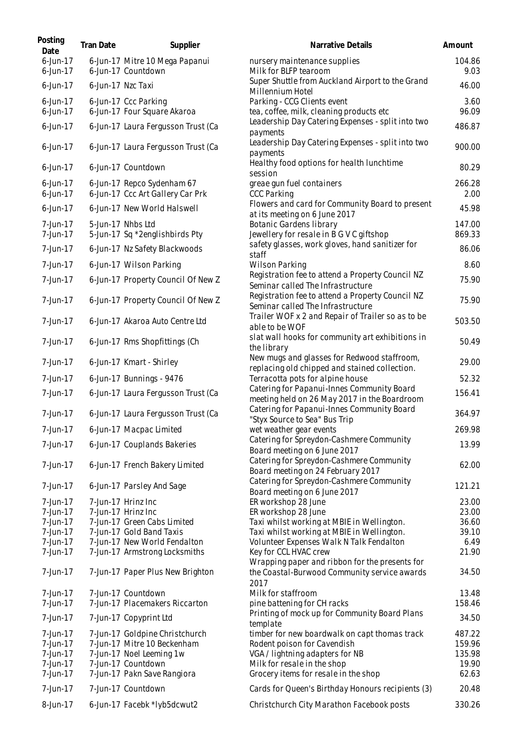| Posting<br>Date            | <b>Tran Date</b>  | Supplier                                                       | Narrative Details                                                                            | Amount           |
|----------------------------|-------------------|----------------------------------------------------------------|----------------------------------------------------------------------------------------------|------------------|
| $6$ -Jun-17<br>$6$ -Jun-17 |                   | 6-Jun-17 Mitre 10 Mega Papanui<br>6-Jun-17 Countdown           | nursery maintenance supplies<br>Milk for BLFP tearoom                                        | 104.86<br>9.03   |
| $6$ -Jun-17                | 6-Jun-17 Nzc Taxi |                                                                | Super Shuttle from Auckland Airport to the Grand<br>Millennium Hotel                         | 46.00            |
| 6-Jun-17<br>$6$ -Jun-17    |                   | 6-Jun-17 Ccc Parking<br>6-Jun-17 Four Square Akaroa            | Parking - CCG Clients event<br>tea, coffee, milk, cleaning products etc                      | 3.60<br>96.09    |
| $6$ -Jun-17                |                   | 6-Jun-17 Laura Fergusson Trust (Ca                             | Leadership Day Catering Expenses - split into two<br>payments                                | 486.87           |
| $6$ -Jun-17                |                   | 6-Jun-17 Laura Fergusson Trust (Ca                             | Leadership Day Catering Expenses - split into two<br>payments                                | 900.00           |
| $6$ -Jun-17                |                   | 6-Jun-17 Countdown                                             | Healthy food options for health lunchtime<br>session                                         | 80.29            |
| $6$ -Jun-17<br>$6$ -Jun-17 |                   | 6-Jun-17 Repco Sydenham 67<br>6-Jun-17 Ccc Art Gallery Car Prk | greae gun fuel containers<br><b>CCC Parking</b>                                              | 266.28<br>2.00   |
| 6-Jun-17                   |                   | 6-Jun-17 New World Halswell                                    | Flowers and card for Community Board to present<br>at its meeting on 6 June 2017             | 45.98            |
| 7-Jun-17<br>7-Jun-17       |                   | 5-Jun-17 Nhbs Ltd<br>5-Jun-17 Sq *2englishbirds Pty            | <b>Botanic Gardens library</b><br>Jewellery for resale in B G V C giftshop                   | 147.00<br>869.33 |
| 7-Jun-17                   |                   | 6-Jun-17 Nz Safety Blackwoods                                  | safety glasses, work gloves, hand sanitizer for<br>staff                                     | 86.06            |
| 7-Jun-17                   |                   | 6-Jun-17 Wilson Parking                                        | <b>Wilson Parking</b>                                                                        | 8.60             |
| 7-Jun-17                   |                   | 6-Jun-17 Property Council Of New Z                             | Registration fee to attend a Property Council NZ<br>Seminar called The Infrastructure        | 75.90            |
| 7-Jun-17                   |                   | 6-Jun-17 Property Council Of New Z                             | Registration fee to attend a Property Council NZ<br>Seminar called The Infrastructure        | 75.90            |
| 7-Jun-17                   |                   | 6-Jun-17 Akaroa Auto Centre Ltd                                | Trailer WOF x 2 and Repair of Trailer so as to be<br>able to be WOF                          | 503.50           |
| 7-Jun-17                   |                   | 6-Jun-17 Rms Shopfittings (Ch                                  | slat wall hooks for community art exhibitions in<br>the library                              | 50.49            |
| 7-Jun-17                   |                   | 6-Jun-17 Kmart - Shirley                                       | New mugs and glasses for Redwood staffroom,<br>replacing old chipped and stained collection. | 29.00            |
| 7-Jun-17                   |                   | 6-Jun-17 Bunnings - 9476                                       | Terracotta pots for alpine house                                                             | 52.32            |
| 7-Jun-17                   |                   | 6-Jun-17 Laura Fergusson Trust (Ca                             | Catering for Papanui-Innes Community Board<br>meeting held on 26 May 2017 in the Boardroom   | 156.41           |
| 7-Jun-17                   |                   | 6-Jun-17 Laura Fergusson Trust (Ca                             | Catering for Papanui-Innes Community Board<br>"Styx Source to Sea" Bus Trip                  | 364.97           |
| 7-Jun-17                   |                   | 6-Jun-17 Macpac Limited                                        | wet weather gear events                                                                      | 269.98           |
| 7-Jun-17                   |                   | 6-Jun-17 Couplands Bakeries                                    | Catering for Spreydon-Cashmere Community<br>Board meeting on 6 June 2017                     | 13.99            |
| 7-Jun-17                   |                   | 6-Jun-17 French Bakery Limited                                 | Catering for Spreydon-Cashmere Community<br>Board meeting on 24 February 2017                | 62.00            |
| 7-Jun-17                   |                   | 6-Jun-17 Parsley And Sage                                      | Catering for Spreydon-Cashmere Community<br>Board meeting on 6 June 2017                     | 121.21           |
| 7-Jun-17<br>7-Jun-17       |                   | 7-Jun-17 Hrinz Inc<br>7-Jun-17 Hrinz Inc                       | ER workshop 28 June<br>ER workshop 28 June                                                   | 23.00<br>23.00   |
| 7-Jun-17                   |                   | 7-Jun-17 Green Cabs Limited                                    | Taxi whilst working at MBIE in Wellington.                                                   | 36.60            |
| 7-Jun-17                   |                   | 7-Jun-17 Gold Band Taxis                                       | Taxi whilst working at MBIE in Wellington.                                                   | 39.10            |
| 7-Jun-17                   |                   | 7-Jun-17 New World Fendalton                                   | Volunteer Expenses Walk N Talk Fendalton                                                     | 6.49             |
| 7-Jun-17                   |                   | 7-Jun-17 Armstrong Locksmiths                                  | Key for CCL HVAC crew<br>Wrapping paper and ribbon for the presents for                      | 21.90            |
| 7-Jun-17                   |                   | 7-Jun-17 Paper Plus New Brighton                               | the Coastal-Burwood Community service awards<br>2017                                         | 34.50            |
| 7-Jun-17                   |                   | 7-Jun-17 Countdown                                             | Milk for staffroom                                                                           | 13.48            |
| 7-Jun-17<br>7-Jun-17       |                   | 7-Jun-17 Placemakers Riccarton<br>7-Jun-17 Copyprint Ltd       | pine battening for CH racks<br>Printing of mock up for Community Board Plans                 | 158.46<br>34.50  |
|                            |                   |                                                                | template                                                                                     |                  |
| 7-Jun-17<br>7-Jun-17       |                   | 7-Jun-17 Goldpine Christchurch<br>7-Jun-17 Mitre 10 Beckenham  | timber for new boardwalk on capt thomas track                                                | 487.22<br>159.96 |
| 7-Jun-17                   |                   | 7-Jun-17 Noel Leeming 1w                                       | Rodent poison for Cavendish<br>VGA / lightning adapters for NB                               | 135.98           |
| 7-Jun-17                   |                   | 7-Jun-17 Countdown                                             | Milk for resale in the shop                                                                  | 19.90            |
| 7-Jun-17                   |                   | 7-Jun-17 Pakn Save Rangiora                                    | Grocery items for resale in the shop                                                         | 62.63            |
| 7-Jun-17                   |                   | 7-Jun-17 Countdown                                             | Cards for Queen's Birthday Honours recipients (3)                                            | 20.48            |
| 8-Jun-17                   |                   | 6-Jun-17 Facebk *lyb5dcwut2                                    | Christchurch City Marathon Facebook posts                                                    | 330.26           |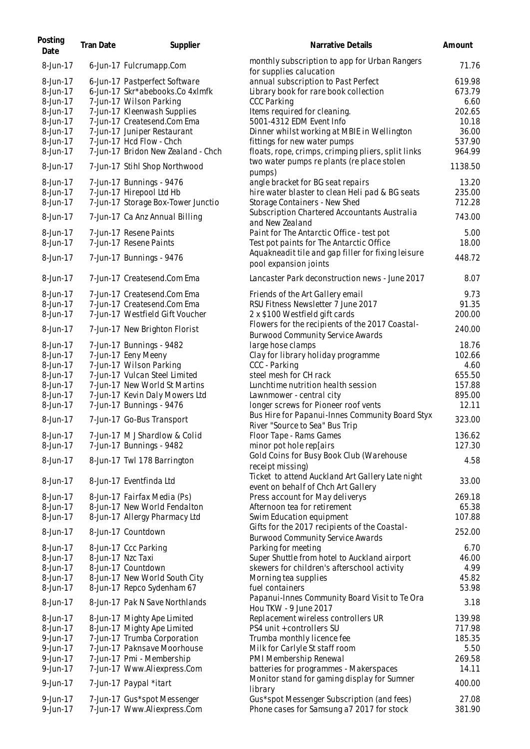| Posting<br>Date      | <b>Tran Date</b> | Supplier                                                            | Narrative Details                                                                              | Amount            |
|----------------------|------------------|---------------------------------------------------------------------|------------------------------------------------------------------------------------------------|-------------------|
| 8-Jun-17             |                  | 6-Jun-17 Fulcrumapp.Com                                             | monthly subscription to app for Urban Rangers<br>for supplies calucation                       | 71.76             |
| 8-Jun-17<br>8-Jun-17 |                  | 6-Jun-17 Pastperfect Software<br>6-Jun-17 Skr*abebooks.Co 4xlmfk    | annual subscription to Past Perfect<br>Library book for rare book collection                   | 619.98<br>673.79  |
| 8-Jun-17             |                  | 7-Jun-17 Wilson Parking                                             | <b>CCC Parking</b>                                                                             | 6.60              |
| 8-Jun-17             |                  | 7-Jun-17 Kleenwash Supplies                                         | Items required for cleaning.                                                                   | 202.65            |
| 8-Jun-17             |                  | 7-Jun-17 Createsend.Com Ema                                         | 5001-4312 EDM Event Info                                                                       | 10.18             |
| 8-Jun-17             |                  | 7-Jun-17 Juniper Restaurant                                         | Dinner whilst working at MBIE in Wellington                                                    | 36.00             |
| 8-Jun-17             |                  | 7-Jun-17 Hcd Flow - Chch                                            | fittings for new water pumps                                                                   | 537.90            |
| 8-Jun-17<br>8-Jun-17 |                  | 7-Jun-17 Bridon New Zealand - Chch<br>7-Jun-17 Stihl Shop Northwood | floats, rope, crimps, crimping pliers, split links<br>two water pumps replants (replace stolen | 964.99<br>1138.50 |
|                      |                  |                                                                     | pumps)                                                                                         |                   |
| 8-Jun-17             |                  | 7-Jun-17 Bunnings - 9476                                            | angle bracket for BG seat repairs                                                              | 13.20             |
| 8-Jun-17             |                  | 7-Jun-17 Hirepool Ltd Hb                                            | hire water blaster to clean Heli pad & BG seats                                                | 235.00            |
| 8-Jun-17             |                  | 7-Jun-17 Storage Box-Tower Junctio                                  | Storage Containers - New Shed                                                                  | 712.28            |
| 8-Jun-17             |                  | 7-Jun-17 Ca Anz Annual Billing                                      | Subscription Chartered Accountants Australia<br>and New Zealand                                | 743.00            |
| 8-Jun-17             |                  | 7-Jun-17 Resene Paints                                              | Paint for The Antarctic Office - test pot                                                      | 5.00              |
| 8-Jun-17             |                  | 7-Jun-17 Resene Paints                                              | Test pot paints for The Antarctic Office                                                       | 18.00             |
|                      |                  |                                                                     | Aquakneadit tile and gap filler for fixing leisure                                             |                   |
| 8-Jun-17             |                  | 7-Jun-17 Bunnings - 9476                                            | pool expansion joints                                                                          | 448.72            |
| 8-Jun-17             |                  | 7-Jun-17 Createsend.Com Ema                                         | Lancaster Park deconstruction news - June 2017                                                 | 8.07              |
| 8-Jun-17             |                  | 7-Jun-17 Createsend.Com Ema                                         | Friends of the Art Gallery email                                                               | 9.73              |
| 8-Jun-17             |                  | 7-Jun-17 Createsend.Com Ema                                         | RSU Fitness Newsletter 7 June 2017                                                             | 91.35             |
| 8-Jun-17             |                  | 7-Jun-17 Westfield Gift Voucher                                     | 2 x \$100 Westfield gift cards                                                                 | 200.00            |
| 8-Jun-17             |                  | 7-Jun-17 New Brighton Florist                                       | Flowers for the recipients of the 2017 Coastal-<br><b>Burwood Community Service Awards</b>     | 240.00            |
| 8-Jun-17             |                  | 7-Jun-17 Bunnings - 9482                                            | large hose clamps                                                                              | 18.76             |
| 8-Jun-17             |                  | 7-Jun-17 Eeny Meeny                                                 | Clay for library holiday programme                                                             | 102.66            |
| 8-Jun-17             |                  | 7-Jun-17 Wilson Parking                                             | CCC - Parking                                                                                  | 4.60              |
| 8-Jun-17             |                  | 7-Jun-17 Vulcan Steel Limited                                       | steel mesh for CH rack                                                                         | 655.50            |
| 8-Jun-17             |                  | 7-Jun-17 New World St Martins                                       | Lunchtime nutrition health session                                                             | 157.88            |
| 8-Jun-17             |                  | 7-Jun-17 Kevin Daly Mowers Ltd                                      | Lawnmower - central city                                                                       | 895.00            |
| 8-Jun-17             |                  | 7-Jun-17 Bunnings - 9476                                            | longer screws for Pioneer roof vents                                                           | 12.11             |
| 8-Jun-17             |                  | 7-Jun-17 Go-Bus Transport                                           | Bus Hire for Papanui-Innes Community Board Styx                                                | 323.00            |
|                      |                  |                                                                     | River "Source to Sea" Bus Trip                                                                 |                   |
| 8-Jun-17             |                  | 7-Jun-17 M J Shardlow & Colid                                       | Floor Tape - Rams Games                                                                        | 136.62            |
| 8-Jun-17             |                  | 7-Jun-17 Bunnings - 9482                                            | minor pot hole rep[airs                                                                        | 127.30            |
| 8-Jun-17             |                  | 8-Jun-17 Twl 178 Barrington                                         | Gold Coins for Busy Book Club (Warehouse                                                       | 4.58              |
|                      |                  |                                                                     | receipt missing)                                                                               |                   |
| 8-Jun-17             |                  | 8-Jun-17 Eventfinda Ltd                                             | Ticket to attend Auckland Art Gallery Late night                                               | 33.00             |
| 8-Jun-17             |                  |                                                                     | event on behalf of Chch Art Gallery                                                            |                   |
| 8-Jun-17             |                  | 8-Jun-17 Fairfax Media (Ps)                                         | Press account for May deliverys                                                                | 269.18            |
| 8-Jun-17             |                  | 8-Jun-17 New World Fendalton                                        | Afternoon tea for retirement<br>Swim Education equipment                                       | 65.38<br>107.88   |
|                      |                  | 8-Jun-17 Allergy Pharmacy Ltd                                       | Gifts for the 2017 recipients of the Coastal-                                                  |                   |
| 8-Jun-17             |                  | 8-Jun-17 Countdown                                                  | <b>Burwood Community Service Awards</b>                                                        | 252.00            |
| 8-Jun-17             |                  | 8-Jun-17 Ccc Parking                                                | Parking for meeting                                                                            | 6.70              |
| 8-Jun-17             |                  | 8-Jun-17 Nzc Taxi                                                   | Super Shuttle from hotel to Auckland airport                                                   | 46.00             |
| 8-Jun-17             |                  | 8-Jun-17 Countdown                                                  | skewers for children's afterschool activity                                                    | 4.99              |
| 8-Jun-17             |                  | 8-Jun-17 New World South City                                       | Morning tea supplies                                                                           | 45.82             |
| 8-Jun-17             |                  | 8-Jun-17 Repco Sydenham 67                                          | fuel containers                                                                                | 53.98             |
| 8-Jun-17             |                  | 8-Jun-17 Pak N Save Northlands                                      | Papanui-Innes Community Board Visit to Te Ora                                                  | 3.18              |
|                      |                  |                                                                     | Hou TKW - 9 June 2017                                                                          |                   |
| 8-Jun-17             |                  | 8-Jun-17 Mighty Ape Limited                                         | Replacement wireless controllers UR                                                            | 139.98            |
| 8-Jun-17             |                  | 8-Jun-17 Mighty Ape Limited                                         | PS4 unit + controllers SU                                                                      | 717.98            |
| 9-Jun-17             |                  | 7-Jun-17 Trumba Corporation                                         | Trumba monthly licence fee                                                                     | 185.35            |
| 9-Jun-17             |                  | 7-Jun-17 Paknsave Moorhouse                                         | Milk for Carlyle St staff room                                                                 | 5.50              |
| 9-Jun-17             |                  | 7-Jun-17 Pmi - Membership                                           | PMI Membership Renewal                                                                         | 269.58            |
| 9-Jun-17             |                  | 7-Jun-17 Www.Aliexpress.Com                                         | batteries for programmes - Makerspaces                                                         | 14.11             |
| 9-Jun-17             |                  | 7-Jun-17 Paypal *itart                                              | Monitor stand for gaming display for Sumner<br>library                                         | 400.00            |
| 9-Jun-17             |                  | 7-Jun-17 Gus*spot Messenger                                         | Gus*spot Messenger Subscription (and fees)                                                     | 27.08             |
| 9-Jun-17             |                  | 7-Jun-17 Www.Aliexpress.Com                                         | Phone cases for Samsung a7 2017 for stock                                                      | 381.90            |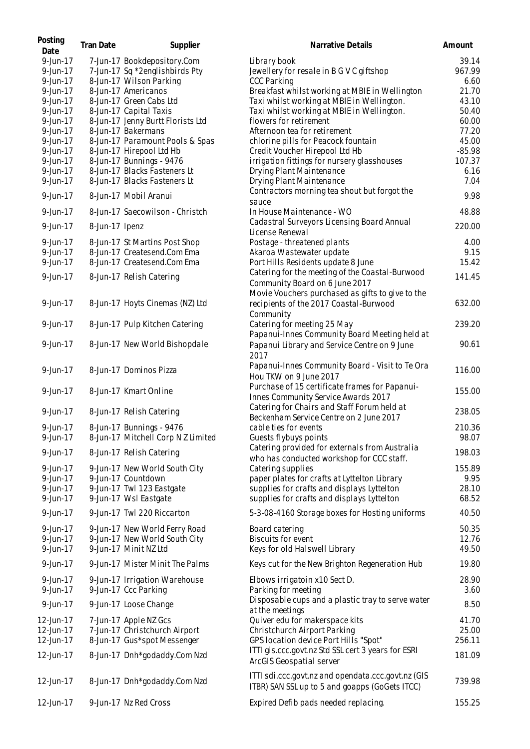| Posting<br>Date      | <b>Tran Date</b> | Supplier                                              | Narrative Details                                                                                       | Amount        |
|----------------------|------------------|-------------------------------------------------------|---------------------------------------------------------------------------------------------------------|---------------|
| 9-Jun-17             |                  | 7-Jun-17 Bookdepository.Com                           | Library book                                                                                            | 39.14         |
| 9-Jun-17             |                  | 7-Jun-17 Sq *2englishbirds Pty                        | Jewellery for resale in B G V C giftshop                                                                | 967.99        |
| 9-Jun-17             |                  | 8-Jun-17 Wilson Parking                               | <b>CCC Parking</b>                                                                                      | 6.60          |
| 9-Jun-17             |                  | 8-Jun-17 Americanos                                   | Breakfast whilst working at MBIE in Wellington                                                          | 21.70         |
| 9-Jun-17             |                  | 8-Jun-17 Green Cabs Ltd                               | Taxi whilst working at MBIE in Wellington.                                                              | 43.10         |
| 9-Jun-17             |                  | 8-Jun-17 Capital Taxis                                | Taxi whilst working at MBIE in Wellington.                                                              | 50.40         |
| 9-Jun-17             |                  | 8-Jun-17 Jenny Burtt Florists Ltd                     | flowers for retirement                                                                                  | 60.00         |
| 9-Jun-17             |                  | 8-Jun-17 Bakermans                                    | Afternoon tea for retirement                                                                            | 77.20         |
| 9-Jun-17             |                  | 8-Jun-17 Paramount Pools & Spas                       | chlorine pills for Peacock fountain                                                                     | 45.00         |
| 9-Jun-17             |                  | 8-Jun-17 Hirepool Ltd Hb                              | Credit Voucher Hirepool Ltd Hb                                                                          | $-85.98$      |
| 9-Jun-17             |                  | 8-Jun-17 Bunnings - 9476                              | irrigation fittings for nursery glasshouses                                                             | 107.37        |
| 9-Jun-17             |                  | 8-Jun-17 Blacks Fasteners Lt                          | Drying Plant Maintenance                                                                                | 6.16          |
| 9-Jun-17             |                  | 8-Jun-17 Blacks Fasteners Lt                          | Drying Plant Maintenance                                                                                | 7.04          |
| 9-Jun-17             |                  | 8-Jun-17 Mobil Aranui                                 | Contractors morning tea shout but forgot the<br>sauce                                                   | 9.98          |
| 9-Jun-17             |                  | 8-Jun-17 Saecowilson - Christch                       | In House Maintenance - WO                                                                               | 48.88         |
| 9-Jun-17             | 8-Jun-17 Ipenz   |                                                       | Cadastral Surveyors Licensing Board Annual<br>License Renewal                                           | 220.00        |
| 9-Jun-17             |                  | 8-Jun-17 St Martins Post Shop                         | Postage - threatened plants                                                                             | 4.00          |
| 9-Jun-17             |                  | 8-Jun-17 Createsend.Com Ema                           | Akaroa Wastewater update                                                                                | 9.15          |
| 9-Jun-17             |                  | 8-Jun-17 Createsend.Com Ema                           | Port Hills Residents update 8 June                                                                      | 15.42         |
|                      |                  |                                                       | Catering for the meeting of the Coastal-Burwood                                                         |               |
| 9-Jun-17             |                  | 8-Jun-17 Relish Catering                              | Community Board on 6 June 2017                                                                          | 141.45        |
| 9-Jun-17             |                  | 8-Jun-17 Hoyts Cinemas (NZ) Ltd                       | Movie Vouchers purchased as gifts to give to the<br>recipients of the 2017 Coastal-Burwood<br>Community | 632.00        |
| 9-Jun-17             |                  | 8-Jun-17 Pulp Kitchen Catering                        | Catering for meeting 25 May                                                                             | 239.20        |
| 9-Jun-17             |                  | 8-Jun-17 New World Bishopdale                         | Papanui-Innes Community Board Meeting held at<br>Papanui Library and Service Centre on 9 June<br>2017   | 90.61         |
| 9-Jun-17             |                  | 8-Jun-17 Dominos Pizza                                | Papanui-Innes Community Board - Visit to Te Ora<br>Hou TKW on 9 June 2017                               | 116.00        |
| 9-Jun-17             |                  | 8-Jun-17 Kmart Online                                 | Purchase of 15 certificate frames for Papanui-<br>Innes Community Service Awards 2017                   | 155.00        |
| 9-Jun-17             |                  | 8-Jun-17 Relish Catering                              | Catering for Chairs and Staff Forum held at<br>Beckenham Service Centre on 2 June 2017                  | 238.05        |
| 9-Jun-17             |                  | 8-Jun-17 Bunnings - 9476                              | cable ties for events                                                                                   | 210.36        |
| 9-Jun-17             |                  | 8-Jun-17 Mitchell Corp N Z Limited                    | Guests flybuys points                                                                                   | 98.07         |
| 9-Jun-17             |                  | 8-Jun-17 Relish Catering                              | Catering provided for externals from Australia                                                          | 198.03        |
|                      |                  |                                                       | who has conducted workshop for CCC staff.                                                               |               |
| 9-Jun-17             |                  | 9-Jun-17 New World South City                         | Catering supplies                                                                                       | 155.89        |
| 9-Jun-17             |                  | 9-Jun-17 Countdown                                    | paper plates for crafts at Lyttelton Library                                                            | 9.95          |
| 9-Jun-17             |                  | 9-Jun-17 Twl 123 Eastgate                             | supplies for crafts and displays Lyttelton                                                              | 28.10         |
| 9-Jun-17             |                  | 9-Jun-17 Wsl Eastgate                                 | supplies for crafts and displays Lyttelton                                                              | 68.52         |
| 9-Jun-17             |                  | 9-Jun-17 Twl 220 Riccarton                            | 5-3-08-4160 Storage boxes for Hosting uniforms                                                          | 40.50         |
| 9-Jun-17             |                  | 9-Jun-17 New World Ferry Road                         | Board catering                                                                                          | 50.35         |
| 9-Jun-17             |                  | 9-Jun-17 New World South City                         | Biscuits for event                                                                                      | 12.76         |
| 9-Jun-17             |                  | 9-Jun-17 Minit NZ Ltd                                 | Keys for old Halswell Library                                                                           | 49.50         |
| 9-Jun-17             |                  | 9-Jun-17 Mister Minit The Palms                       | Keys cut for the New Brighton Regeneration Hub                                                          | 19.80         |
| 9-Jun-17<br>9-Jun-17 |                  | 9-Jun-17 Irrigation Warehouse<br>9-Jun-17 Ccc Parking | Elbows irrigatoin x10 Sect D.<br>Parking for meeting                                                    | 28.90<br>3.60 |
| 9-Jun-17             |                  | 9-Jun-17 Loose Change                                 | Disposable cups and a plastic tray to serve water                                                       | 8.50          |
|                      |                  |                                                       | at the meetings<br>Quiver edu for makerspace kits                                                       | 41.70         |
| 12-Jun-17            |                  | 7-Jun-17 Apple NZ Gcs                                 |                                                                                                         |               |
| 12-Jun-17            |                  | 7-Jun-17 Christchurch Airport                         | Christchurch Airport Parking                                                                            | 25.00         |
| 12-Jun-17            |                  | 8-Jun-17 Gus*spot Messenger                           | GPS location device Port Hills "Spot"<br>ITTI gis.ccc.govt.nz Std SSL cert 3 years for ESRI             | 256.11        |
| 12-Jun-17            |                  | 8-Jun-17 Dnh*godaddy.Com Nzd                          | ArcGIS Geospatial server                                                                                | 181.09        |
| 12-Jun-17            |                  | 8-Jun-17 Dnh*godaddy.Com Nzd                          | ITTI sdi.ccc.govt.nz and opendata.ccc.govt.nz (GIS<br>ITBR) SAN SSL up to 5 and goapps (GoGets ITCC)    | 739.98        |
| 12-Jun-17            |                  | 9-Jun-17 Nz Red Cross                                 | Expired Defib pads needed replacing.                                                                    | 155.25        |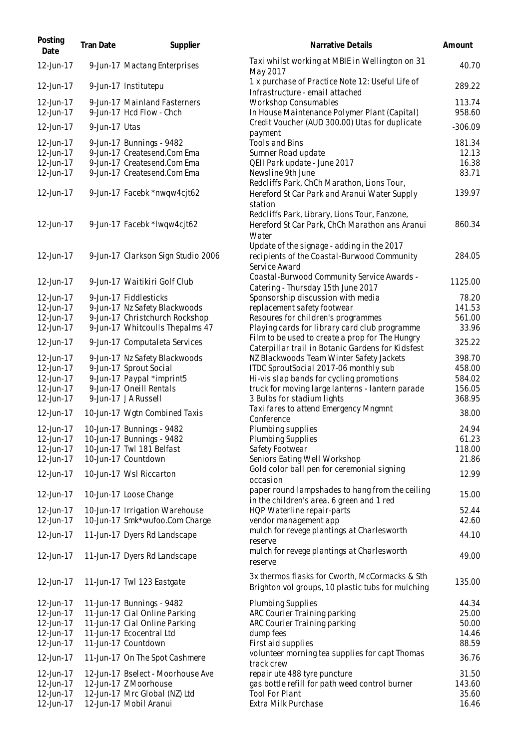| Posting<br>Date | Tran Date     | Supplier                           | Narrative Details                                                                                    | Amount    |
|-----------------|---------------|------------------------------------|------------------------------------------------------------------------------------------------------|-----------|
| 12-Jun-17       |               | 9-Jun-17 Mactang Enterprises       | Taxi whilst working at MBIE in Wellington on 31<br>May 2017                                          | 40.70     |
| 12-Jun-17       |               | 9-Jun-17 Institutepu               | 1 x purchase of Practice Note 12: Useful Life of<br>Infrastructure - email attached                  | 289.22    |
| 12-Jun-17       |               | 9-Jun-17 Mainland Fasterners       | <b>Workshop Consumables</b>                                                                          | 113.74    |
| 12-Jun-17       |               | 9-Jun-17 Hcd Flow - Chch           | In House Maintenance Polymer Plant (Capital)                                                         | 958.60    |
| 12-Jun-17       | 9-Jun-17 Utas |                                    | Credit Voucher (AUD 300.00) Utas for duplicate<br>payment                                            | $-306.09$ |
| 12-Jun-17       |               | 9-Jun-17 Bunnings - 9482           | <b>Tools and Bins</b>                                                                                | 181.34    |
| 12-Jun-17       |               | 9-Jun-17 Createsend.Com Ema        | Sumner Road update                                                                                   | 12.13     |
| 12-Jun-17       |               | 9-Jun-17 Createsend.Com Ema        | QEII Park update - June 2017                                                                         | 16.38     |
| 12-Jun-17       |               | 9-Jun-17 Createsend.Com Ema        | Newsline 9th June                                                                                    | 83.71     |
|                 |               |                                    | Redcliffs Park, ChCh Marathon, Lions Tour,                                                           |           |
| 12-Jun-17       |               | 9-Jun-17 Facebk *nwqw4cjt62        | Hereford St Car Park and Aranui Water Supply<br>station                                              | 139.97    |
|                 |               |                                    | Redcliffs Park, Library, Lions Tour, Fanzone,                                                        |           |
| 12-Jun-17       |               | 9-Jun-17 Facebk *Iwqw4cjt62        | Hereford St Car Park, ChCh Marathon ans Aranui                                                       | 860.34    |
|                 |               |                                    | Water                                                                                                |           |
|                 |               |                                    | Update of the signage - adding in the 2017                                                           |           |
| 12-Jun-17       |               | 9-Jun-17 Clarkson Sign Studio 2006 | recipients of the Coastal-Burwood Community                                                          | 284.05    |
|                 |               |                                    | Service Award                                                                                        |           |
|                 |               |                                    | Coastal-Burwood Community Service Awards -                                                           | 1125.00   |
| 12-Jun-17       |               | 9-Jun-17 Waitikiri Golf Club       | Catering - Thursday 15th June 2017                                                                   |           |
| 12-Jun-17       |               | 9-Jun-17 Fiddlesticks              | Sponsorship discussion with media                                                                    | 78.20     |
| 12-Jun-17       |               | 9-Jun-17 Nz Safety Blackwoods      | replacement safety footwear                                                                          | 141.53    |
| 12-Jun-17       |               | 9-Jun-17 Christchurch Rockshop     | Resoures for children's programmes                                                                   | 561.00    |
| 12-Jun-17       |               | 9-Jun-17 Whitcoulls Thepalms 47    | Playing cards for library card club programme                                                        | 33.96     |
| 12-Jun-17       |               | 9-Jun-17 Computaleta Services      | Film to be used to create a prop for The Hungry<br>Caterpillar trail in Botanic Gardens for Kidsfest | 325.22    |
| 12-Jun-17       |               | 9-Jun-17 Nz Safety Blackwoods      | NZ Blackwoods Team Winter Safety Jackets                                                             | 398.70    |
| 12-Jun-17       |               | 9-Jun-17 Sprout Social             | ITDC SproutSocial 2017-06 monthly sub                                                                | 458.00    |
| 12-Jun-17       |               | 9-Jun-17 Paypal *imprint5          | Hi-vis slap bands for cycling promotions                                                             | 584.02    |
| 12-Jun-17       |               | 9-Jun-17 Oneill Rentals            | truck for moving large lanterns - lantern parade                                                     | 156.05    |
| 12-Jun-17       |               | 9-Jun-17 JA Russell                | 3 Bulbs for stadium lights                                                                           | 368.95    |
| 12-Jun-17       |               | 10-Jun-17 Wgtn Combined Taxis      | Taxi fares to attend Emergency Mngmnt                                                                | 38.00     |
|                 |               |                                    | Conference                                                                                           |           |
| 12-Jun-17       |               | 10-Jun-17 Bunnings - 9482          | Plumbing supplies                                                                                    | 24.94     |
| 12-Jun-17       |               | 10-Jun-17 Bunnings - 9482          | <b>Plumbing Supplies</b>                                                                             | 61.23     |
| 12-Jun-17       |               | 10-Jun-17 Twl 181 Belfast          | Safety Footwear                                                                                      | 118.00    |
| 12-Jun-17       |               | 10-Jun-17 Countdown                | Seniors Eating Well Workshop                                                                         | 21.86     |
| 12-Jun-17       |               | 10-Jun-17 Wsl Riccarton            | Gold color ball pen for ceremonial signing                                                           | 12.99     |
|                 |               |                                    | occasion                                                                                             |           |
| 12-Jun-17       |               | 10-Jun-17 Loose Change             | paper round lampshades to hang from the ceiling<br>in the children's area. 6 green and 1 red         | 15.00     |
| 12-Jun-17       |               | 10-Jun-17 Irrigation Warehouse     | HQP Waterline repair-parts                                                                           | 52.44     |
| 12-Jun-17       |               | 10-Jun-17 Smk*wufoo.Com Charge     | vendor management app                                                                                | 42.60     |
| 12-Jun-17       |               | 11-Jun-17 Dyers Rd Landscape       | mulch for revege plantings at Charlesworth<br>reserve                                                | 44.10     |
| 12-Jun-17       |               | 11-Jun-17 Dyers Rd Landscape       | mulch for revege plantings at Charlesworth                                                           | 49.00     |
|                 |               |                                    | reserve                                                                                              |           |
| 12-Jun-17       |               | 11-Jun-17 Twl 123 Eastgate         | 3x thermos flasks for Cworth, McCormacks & Sth<br>Brighton vol groups, 10 plastic tubs for mulching  | 135.00    |
| 12-Jun-17       |               | 11-Jun-17 Bunnings - 9482          | Plumbing Supplies                                                                                    | 44.34     |
| 12-Jun-17       |               | 11-Jun-17 Cial Online Parking      | ARC Courier Training parking                                                                         | 25.00     |
| 12-Jun-17       |               | 11-Jun-17 Cial Online Parking      | ARC Courier Training parking                                                                         | 50.00     |
| 12-Jun-17       |               | 11-Jun-17 Ecocentral Ltd           | dump fees                                                                                            | 14.46     |
| 12-Jun-17       |               | 11-Jun-17 Countdown                | First aid supplies                                                                                   | 88.59     |
| 12-Jun-17       |               | 11-Jun-17 On The Spot Cashmere     | volunteer morning tea supplies for capt Thomas<br>track crew                                         | 36.76     |
| 12-Jun-17       |               | 12-Jun-17 Bselect - Moorhouse Ave  | repair ute 488 tyre puncture                                                                         | 31.50     |
| 12-Jun-17       |               | 12-Jun-17 Z Moorhouse              | gas bottle refill for path weed control burner                                                       | 143.60    |
| 12-Jun-17       |               | 12-Jun-17 Mrc Global (NZ) Ltd      | <b>Tool For Plant</b>                                                                                | 35.60     |
| 12-Jun-17       |               | 12-Jun-17 Mobil Aranui             | Extra Milk Purchase                                                                                  | 16.46     |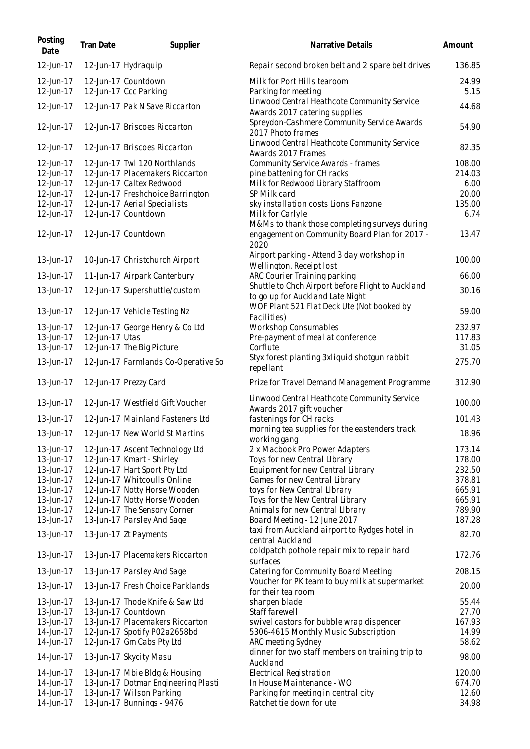| Posting<br>Date        | Tran Date      | Supplier                                            | Narrative Details                                                                      | Amount          |
|------------------------|----------------|-----------------------------------------------------|----------------------------------------------------------------------------------------|-----------------|
| 12-Jun-17              |                | 12-Jun-17 Hydraquip                                 | Repair second broken belt and 2 spare belt drives                                      | 136.85          |
| 12-Jun-17              |                | 12-Jun-17 Countdown                                 | Milk for Port Hills tearoom                                                            | 24.99           |
| 12-Jun-17              |                | 12-Jun-17 Ccc Parking                               | Parking for meeting                                                                    | 5.15            |
| 12-Jun-17              |                | 12-Jun-17 Pak N Save Riccarton                      | Linwood Central Heathcote Community Service                                            | 44.68           |
|                        |                |                                                     | Awards 2017 catering supplies                                                          |                 |
| 12-Jun-17              |                | 12-Jun-17 Briscoes Riccarton                        | Spreydon-Cashmere Community Service Awards<br>2017 Photo frames                        | 54.90           |
| 12-Jun-17              |                | 12-Jun-17 Briscoes Riccarton                        | Linwood Central Heathcote Community Service<br>Awards 2017 Frames                      | 82.35           |
| 12-Jun-17              |                | 12-Jun-17 Twl 120 Northlands                        | <b>Community Service Awards - frames</b>                                               | 108.00          |
| 12-Jun-17              |                | 12-Jun-17 Placemakers Riccarton                     | pine battening for CH racks                                                            | 214.03          |
| 12-Jun-17              |                | 12-Jun-17 Caltex Redwood                            | Milk for Redwood Library Staffroom                                                     | 6.00            |
| 12-Jun-17              |                | 12-Jun-17 Freshchoice Barrington                    | SP Milk card                                                                           | 20.00           |
| 12-Jun-17              |                | 12-Jun-17 Aerial Specialists                        | sky installation costs Lions Fanzone                                                   | 135.00          |
| 12-Jun-17              |                | 12-Jun-17 Countdown                                 | Milk for Carlyle<br>M&Ms to thank those completing surveys during                      | 6.74            |
| 12-Jun-17              |                | 12-Jun-17 Countdown                                 | engagement on Community Board Plan for 2017 -                                          | 13.47           |
|                        |                |                                                     | 2020                                                                                   |                 |
| 13-Jun-17              |                | 10-Jun-17 Christchurch Airport                      | Airport parking - Attend 3 day workshop in<br>Wellington. Receipt lost                 | 100.00          |
| 13-Jun-17              |                | 11-Jun-17 Airpark Canterbury                        | ARC Courier Training parking                                                           | 66.00           |
| 13-Jun-17              |                | 12-Jun-17 Supershuttle/custom                       | Shuttle to Chch Airport before Flight to Auckland                                      | 30.16           |
| 13-Jun-17              |                | 12-Jun-17 Vehicle Testing Nz                        | to go up for Auckland Late Night<br>WOF Plant 521 Flat Deck Ute (Not booked by         | 59.00           |
|                        |                |                                                     | Facilities)                                                                            |                 |
| 13-Jun-17              |                | 12-Jun-17 George Henry & Co Ltd                     | <b>Workshop Consumables</b>                                                            | 232.97          |
| 13-Jun-17              | 12-Jun-17 Utas |                                                     | Pre-payment of meal at conference<br>Corflute                                          | 117.83<br>31.05 |
| 13-Jun-17              |                | 12-Jun-17 The Big Picture                           | Styx forest planting 3xliquid shotgun rabbit                                           |                 |
| 13-Jun-17              |                | 12-Jun-17 Farmlands Co-Operative So                 | repellant                                                                              | 275.70          |
| 13-Jun-17              |                | 12-Jun-17 Prezzy Card                               | Prize for Travel Demand Management Programme                                           | 312.90          |
| 13-Jun-17              |                | 12-Jun-17 Westfield Gift Voucher                    | Linwood Central Heathcote Community Service<br>Awards 2017 gift voucher                | 100.00          |
| 13-Jun-17              |                | 12-Jun-17 Mainland Fasteners Ltd                    | fastenings for CH racks                                                                | 101.43          |
| 13-Jun-17              |                | 12-Jun-17 New World St Martins                      | morning tea supplies for the eastenders track<br>working gang                          | 18.96           |
| 13-Jun-17              |                | 12-Jun-17 Ascent Technology Ltd                     | 2 x Macbook Pro Power Adapters                                                         | 173.14          |
| 13-Jun-17              |                | 12-Jun-17 Kmart - Shirley                           | Toys for new Central LIbrary                                                           | 178.00          |
| 13-Jun-17              |                | 12-Jun-17 Hart Sport Pty Ltd                        | Equipment for new Central Library                                                      | 232.50          |
| 13-Jun-17              |                | 12-Jun-17 Whitcoulls Online                         | Games for new Central Library                                                          | 378.81          |
| 13-Jun-17              |                | 12-Jun-17 Notty Horse Wooden                        | toys for New Central LIbrary                                                           | 665.91          |
| 13-Jun-17              |                | 12-Jun-17 Notty Horse Wooden                        | Toys for the New Central Library                                                       | 665.91          |
| 13-Jun-17              |                | 12-Jun-17 The Sensory Corner                        | Animals for new Central Library                                                        | 789.90          |
| 13-Jun-17<br>13-Jun-17 |                | 13-Jun-17 Parsley And Sage<br>13-Jun-17 Zt Payments | Board Meeting - 12 June 2017<br>taxi from Auckland airport to Rydges hotel in          | 187.28<br>82.70 |
|                        |                |                                                     | central Auckland<br>coldpatch pothole repair mix to repair hard                        |                 |
| 13-Jun-17              |                | 13-Jun-17 Placemakers Riccarton                     | surfaces                                                                               | 172.76          |
| 13-Jun-17              |                | 13-Jun-17 Parsley And Sage                          | Catering for Community Board Meeting<br>Voucher for PK team to buy milk at supermarket | 208.15          |
| 13-Jun-17              |                | 13-Jun-17 Fresh Choice Parklands                    | for their tea room                                                                     | 20.00           |
| 13-Jun-17              |                | 13-Jun-17 Thode Knife & Saw Ltd                     | sharpen blade                                                                          | 55.44           |
| 13-Jun-17              |                | 13-Jun-17 Countdown                                 | Staff farewell                                                                         | 27.70           |
| 13-Jun-17              |                | 13-Jun-17 Placemakers Riccarton                     | swivel castors for bubble wrap dispencer                                               | 167.93          |
| 14-Jun-17              |                | 12-Jun-17 Spotify P02a2658bd                        | 5306-4615 Monthly Music Subscription                                                   | 14.99           |
| 14-Jun-17              |                | 12-Jun-17 Gm Cabs Pty Ltd                           | ARC meeting Sydney<br>dinner for two staff members on training trip to                 | 58.62           |
| 14-Jun-17              |                | 13-Jun-17 Skycity Masu                              | Auckland                                                                               | 98.00           |
| 14-Jun-17              |                | 13-Jun-17 Mbie Bldg & Housing                       | Electrical Registration                                                                | 120.00          |
| 14-Jun-17              |                | 13-Jun-17 Dotmar Engineering Plasti                 | In House Maintenance - WO                                                              | 674.70          |
| 14-Jun-17              |                | 13-Jun-17 Wilson Parking                            | Parking for meeting in central city                                                    | 12.60           |
| 14-Jun-17              |                | 13-Jun-17 Bunnings - 9476                           | Ratchet tie down for ute                                                               | 34.98           |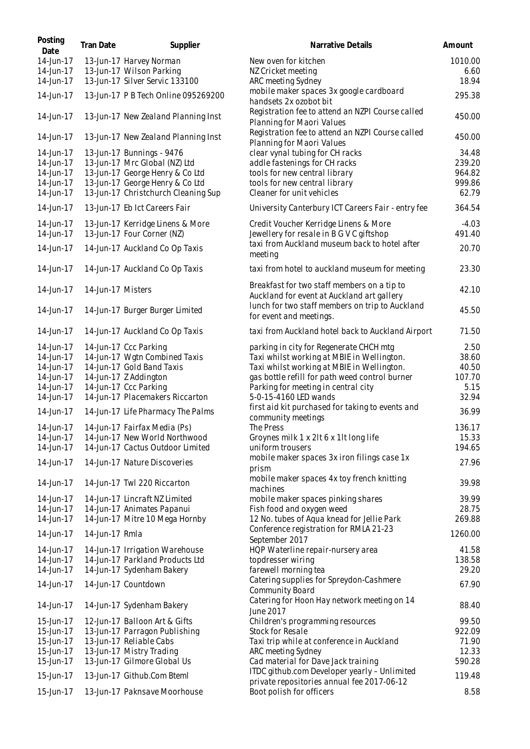| Posting<br>Date | <b>Tran Date</b>  | Supplier                            | Narrative Details                                                                         | Amount  |
|-----------------|-------------------|-------------------------------------|-------------------------------------------------------------------------------------------|---------|
| 14-Jun-17       |                   | 13-Jun-17 Harvey Norman             | New oven for kitchen                                                                      | 1010.00 |
| 14-Jun-17       |                   | 13-Jun-17 Wilson Parking            | NZ Cricket meeting                                                                        | 6.60    |
| 14-Jun-17       |                   | 13-Jun-17 Silver Servic 133100      | ARC meeting Sydney                                                                        | 18.94   |
| 14-Jun-17       |                   | 13-Jun-17 P B Tech Online 095269200 | mobile maker spaces 3x google cardboard<br>handsets 2x ozobot bit                         | 295.38  |
| 14-Jun-17       |                   | 13-Jun-17 New Zealand Planning Inst | Registration fee to attend an NZPI Course called<br>Planning for Maori Values             | 450.00  |
| 14-Jun-17       |                   | 13-Jun-17 New Zealand Planning Inst | Registration fee to attend an NZPI Course called<br>Planning for Maori Values             | 450.00  |
| 14-Jun-17       |                   | 13-Jun-17 Bunnings - 9476           | clear vynal tubing for CH racks                                                           | 34.48   |
| 14-Jun-17       |                   | 13-Jun-17 Mrc Global (NZ) Ltd       | addle fastenings for CH racks                                                             | 239.20  |
| 14-Jun-17       |                   | 13-Jun-17 George Henry & Co Ltd     | tools for new central library                                                             | 964.82  |
| 14-Jun-17       |                   | 13-Jun-17 George Henry & Co Ltd     | tools for new central library                                                             | 999.86  |
| 14-Jun-17       |                   | 13-Jun-17 Christchurch Cleaning Sup | Cleaner for unit vehicles                                                                 | 62.79   |
| 14-Jun-17       |                   | 13-Jun-17 Eb Ict Careers Fair       | University Canterbury ICT Careers Fair - entry fee                                        | 364.54  |
| 14-Jun-17       |                   | 13-Jun-17 Kerridge Linens & More    | Credit Voucher Kerridge Linens & More                                                     | $-4.03$ |
| 14-Jun-17       |                   | 13-Jun-17 Four Corner (NZ)          | Jewellery for resale in B G V C giftshop<br>taxi from Auckland museum back to hotel after | 491.40  |
| 14-Jun-17       |                   | 14-Jun-17 Auckland Co Op Taxis      | meeting                                                                                   | 20.70   |
| 14-Jun-17       |                   | 14-Jun-17 Auckland Co Op Taxis      | taxi from hotel to auckland museum for meeting                                            | 23.30   |
| 14-Jun-17       | 14-Jun-17 Misters |                                     | Breakfast for two staff members on a tip to<br>Auckland for event at Auckland art gallery | 42.10   |
| 14-Jun-17       |                   | 14-Jun-17 Burger Burger Limited     | lunch for two staff members on trip to Auckland<br>for event and meetings.                | 45.50   |
| 14-Jun-17       |                   | 14-Jun-17 Auckland Co Op Taxis      | taxi from Auckland hotel back to Auckland Airport                                         | 71.50   |
| 14-Jun-17       |                   | 14-Jun-17 Ccc Parking               | parking in city for Regenerate CHCH mtg                                                   | 2.50    |
| 14-Jun-17       |                   | 14-Jun-17 Wgtn Combined Taxis       | Taxi whilst working at MBIE in Wellington.                                                | 38.60   |
| 14-Jun-17       |                   | 14-Jun-17 Gold Band Taxis           | Taxi whilst working at MBIE in Wellington.                                                | 40.50   |
| 14-Jun-17       |                   | 14-Jun-17 Z Addington               | gas bottle refill for path weed control burner                                            | 107.70  |
| 14-Jun-17       |                   | 14-Jun-17 Ccc Parking               | Parking for meeting in central city                                                       | 5.15    |
| 14-Jun-17       |                   | 14-Jun-17 Placemakers Riccarton     | 5-0-15-4160 LED wands                                                                     | 32.94   |
| 14-Jun-17       |                   | 14-Jun-17 Life Pharmacy The Palms   | first aid kit purchased for taking to events and<br>community meetings                    | 36.99   |
| 14-Jun-17       |                   | 14-Jun-17 Fairfax Media (Ps)        | The Press                                                                                 | 136.17  |
| 14-Jun-17       |                   | 14-Jun-17 New World Northwood       | Groynes milk 1 x 2lt 6 x 1lt long life                                                    | 15.33   |
| 14-Jun-17       |                   | 14-Jun-17 Cactus Outdoor Limited    | uniform trousers                                                                          | 194.65  |
| 14-Jun-17       |                   | 14-Jun-17 Nature Discoveries        | mobile maker spaces 3x iron filings case 1x<br>prism                                      | 27.96   |
| 14-Jun-17       |                   | 14-Jun-17 Twl 220 Riccarton         | mobile maker spaces 4x toy french knitting<br>machines                                    | 39.98   |
| 14-Jun-17       |                   | 14-Jun-17 Lincraft NZ Limited       | mobile maker spaces pinking shares                                                        | 39.99   |
| 14-Jun-17       |                   | 14-Jun-17 Animates Papanui          | Fish food and oxygen weed                                                                 | 28.75   |
| 14-Jun-17       |                   | 14-Jun-17 Mitre 10 Mega Hornby      | 12 No. tubes of Aqua knead for Jellie Park                                                | 269.88  |
| 14-Jun-17       | 14-Jun-17 Rmla    |                                     | Conference registration for RMLA 21-23<br>September 2017                                  | 1260.00 |
| 14-Jun-17       |                   | 14-Jun-17 Irrigation Warehouse      | HQP Waterline repair-nursery area                                                         | 41.58   |
| 14-Jun-17       |                   | 14-Jun-17 Parkland Products Ltd     | topdresser wiring                                                                         | 138.58  |
| 14-Jun-17       |                   | 14-Jun-17 Sydenham Bakery           | farewell morning tea                                                                      | 29.20   |
| 14-Jun-17       |                   | 14-Jun-17 Countdown                 | Catering supplies for Spreydon-Cashmere<br><b>Community Board</b>                         | 67.90   |
| 14-Jun-17       |                   | 14-Jun-17 Sydenham Bakery           | Catering for Hoon Hay network meeting on 14<br>June 2017                                  | 88.40   |
| 15-Jun-17       |                   | 12-Jun-17 Balloon Art & Gifts       | Children's programming resources                                                          | 99.50   |
| 15-Jun-17       |                   | 13-Jun-17 Parragon Publishing       | Stock for Resale                                                                          | 922.09  |
| 15-Jun-17       |                   | 13-Jun-17 Reliable Cabs             | Taxi trip while at conference in Auckland                                                 | 71.90   |
| 15-Jun-17       |                   | 13-Jun-17 Mistry Trading            | ARC meeting Sydney                                                                        | 12.33   |
| 15-Jun-17       |                   | 13-Jun-17 Gilmore Global Us         | Cad material for Dave Jack training                                                       | 590.28  |
| 15-Jun-17       |                   | 13-Jun-17 Github.Com Bteml          | ITDC github.com Developer yearly - Unlimited                                              | 119.48  |
| 15-Jun-17       |                   | 13-Jun-17 Paknsave Moorhouse        | private repositories annual fee 2017-06-12<br>Boot polish for officers                    | 8.58    |
|                 |                   |                                     |                                                                                           |         |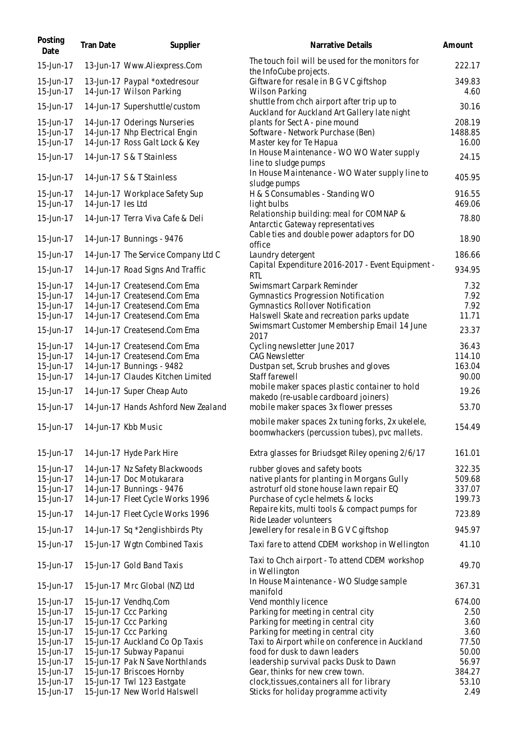| Posting<br>Date                     | <b>Tran Date</b>  | Supplier                                                                                         | Narrative Details                                                                                                                              | Amount                     |
|-------------------------------------|-------------------|--------------------------------------------------------------------------------------------------|------------------------------------------------------------------------------------------------------------------------------------------------|----------------------------|
| 15-Jun-17                           |                   | 13-Jun-17 Www.Aliexpress.Com                                                                     | The touch foil will be used for the monitors for<br>the InfoCube projects.                                                                     | 222.17                     |
| 15-Jun-17<br>15-Jun-17              |                   | 13-Jun-17 Paypal *oxtedresour<br>14-Jun-17 Wilson Parking                                        | Giftware for resale in B G V C giftshop<br><b>Wilson Parking</b>                                                                               | 349.83<br>4.60             |
| 15-Jun-17                           |                   | 14-Jun-17 Supershuttle/custom                                                                    | shuttle from chch airport after trip up to                                                                                                     | 30.16                      |
| 15-Jun-17<br>15-Jun-17<br>15-Jun-17 |                   | 14-Jun-17 Oderings Nurseries<br>14-Jun-17 Nhp Electrical Engin<br>14-Jun-17 Ross Galt Lock & Key | Auckland for Auckland Art Gallery late night<br>plants for Sect A - pine mound<br>Software - Network Purchase (Ben)<br>Master key for Te Hapua | 208.19<br>1488.85<br>16.00 |
| 15-Jun-17                           |                   | 14-Jun-17 S & T Stainless                                                                        | In House Maintenance - WO WO Water supply<br>line to sludge pumps                                                                              | 24.15                      |
| 15-Jun-17                           |                   | 14-Jun-17 S & T Stainless                                                                        | In House Maintenance - WO Water supply line to<br>sludge pumps                                                                                 | 405.95                     |
| 15-Jun-17<br>15-Jun-17              | 14-Jun-17 les Ltd | 14-Jun-17 Workplace Safety Sup                                                                   | H & S Consumables - Standing WO<br>light bulbs                                                                                                 | 916.55<br>469.06           |
| 15-Jun-17                           |                   | 14-Jun-17 Terra Viva Cafe & Deli                                                                 | Relationship building: meal for COMNAP &<br>Antarctic Gateway representatives                                                                  | 78.80                      |
| 15-Jun-17                           |                   | 14-Jun-17 Bunnings - 9476                                                                        | Cable ties and double power adaptors for DO<br>office                                                                                          | 18.90                      |
| 15-Jun-17                           |                   | 14-Jun-17 The Service Company Ltd C                                                              | Laundry detergent                                                                                                                              | 186.66                     |
| 15-Jun-17                           |                   | 14-Jun-17 Road Signs And Traffic                                                                 | Capital Expenditure 2016-2017 - Event Equipment -<br><b>RTL</b>                                                                                | 934.95                     |
| 15-Jun-17                           |                   | 14-Jun-17 Createsend.Com Ema                                                                     | Swimsmart Carpark Reminder                                                                                                                     | 7.32                       |
| 15-Jun-17<br>15-Jun-17              |                   | 14-Jun-17 Createsend.Com Ema<br>14-Jun-17 Createsend.Com Ema                                     | Gymnastics Progression Notification                                                                                                            | 7.92<br>7.92               |
| 15-Jun-17                           |                   | 14-Jun-17 Createsend.Com Ema                                                                     | Gymnastics Rollover Notification<br>Halswell Skate and recreation parks update                                                                 | 11.71                      |
| 15-Jun-17                           |                   | 14-Jun-17 Createsend.Com Ema                                                                     | Swimsmart Customer Membership Email 14 June<br>2017                                                                                            | 23.37                      |
| 15-Jun-17                           |                   | 14-Jun-17 Createsend.Com Ema                                                                     | Cycling newsletter June 2017                                                                                                                   | 36.43                      |
| 15-Jun-17                           |                   | 14-Jun-17 Createsend.Com Ema                                                                     | <b>CAG Newsletter</b>                                                                                                                          | 114.10                     |
| 15-Jun-17<br>15-Jun-17              |                   | 14-Jun-17 Bunnings - 9482<br>14-Jun-17 Claudes Kitchen Limited                                   | Dustpan set, Scrub brushes and gloves<br>Staff farewell                                                                                        | 163.04<br>90.00            |
| 15-Jun-17                           |                   | 14-Jun-17 Super Cheap Auto                                                                       | mobile maker spaces plastic container to hold<br>makedo (re-usable cardboard joiners)                                                          | 19.26                      |
| 15-Jun-17                           |                   | 14-Jun-17 Hands Ashford New Zealand                                                              | mobile maker spaces 3x flower presses                                                                                                          | 53.70                      |
| 15-Jun-17                           |                   | 14-Jun-17 Kbb Music                                                                              | mobile maker spaces 2x tuning forks, 2x ukelele,<br>boomwhackers (percussion tubes), pvc mallets.                                              | 154.49                     |
| 15-Jun-17                           |                   | 14-Jun-17 Hyde Park Hire                                                                         | Extra glasses for Briudsget Riley opening 2/6/17                                                                                               | 161.01                     |
| 15-Jun-17                           |                   | 14-Jun-17 Nz Safety Blackwoods                                                                   | rubber gloves and safety boots                                                                                                                 | 322.35                     |
| 15-Jun-17                           |                   | 14-Jun-17 Doc Motukarara                                                                         | native plants for planting in Morgans Gully                                                                                                    | 509.68                     |
| 15-Jun-17                           |                   | 14-Jun-17 Bunnings - 9476                                                                        | astroturf old stone house lawn repair EQ                                                                                                       | 337.07                     |
| 15-Jun-17<br>15-Jun-17              |                   | 14-Jun-17 Fleet Cycle Works 1996<br>14-Jun-17 Fleet Cycle Works 1996                             | Purchase of cycle helmets & locks<br>Repaire kits, multi tools & compact pumps for                                                             | 199.73<br>723.89           |
| 15-Jun-17                           |                   | 14-Jun-17 Sq *2englishbirds Pty                                                                  | Ride Leader volunteers<br>Jewellery for resale in B G V C giftshop                                                                             | 945.97                     |
| 15-Jun-17                           |                   | 15-Jun-17 Wgtn Combined Taxis                                                                    | Taxi fare to attend CDEM workshop in Wellington                                                                                                | 41.10                      |
| 15-Jun-17                           |                   | 15-Jun-17 Gold Band Taxis                                                                        | Taxi to Chch airport - To attend CDEM workshop<br>in Wellington                                                                                | 49.70                      |
| 15-Jun-17                           |                   | 15-Jun-17 Mrc Global (NZ) Ltd                                                                    | In House Maintenance - WO Sludge sample<br>manifold                                                                                            | 367.31                     |
| 15-Jun-17                           |                   | 15-Jun-17 Vendhq.Com                                                                             | Vend monthly licence                                                                                                                           | 674.00                     |
| 15-Jun-17                           |                   | 15-Jun-17 Ccc Parking                                                                            | Parking for meeting in central city                                                                                                            | 2.50                       |
| 15-Jun-17                           |                   | 15-Jun-17 Ccc Parking                                                                            | Parking for meeting in central city                                                                                                            | 3.60                       |
| 15-Jun-17                           |                   | 15-Jun-17 Ccc Parking                                                                            | Parking for meeting in central city                                                                                                            | 3.60                       |
| 15-Jun-17                           |                   | 15-Jun-17 Auckland Co Op Taxis                                                                   | Taxi to Airport while on conference in Auckland                                                                                                | 77.50                      |
| 15-Jun-17                           |                   | 15-Jun-17 Subway Papanui                                                                         | food for dusk to dawn leaders                                                                                                                  | 50.00                      |
| 15-Jun-17                           |                   | 15-Jun-17 Pak N Save Northlands                                                                  | leadership survival packs Dusk to Dawn                                                                                                         | 56.97                      |
| 15-Jun-17                           |                   | 15-Jun-17 Briscoes Hornby                                                                        | Gear, thinks for new crew town.                                                                                                                | 384.27                     |
| 15-Jun-17<br>15-Jun-17              |                   | 15-Jun-17 Twl 123 Eastgate<br>15-Jun-17 New World Halswell                                       | clock, tissues, containers all for library<br>Sticks for holiday programme activity                                                            | 53.10<br>2.49              |
|                                     |                   |                                                                                                  |                                                                                                                                                |                            |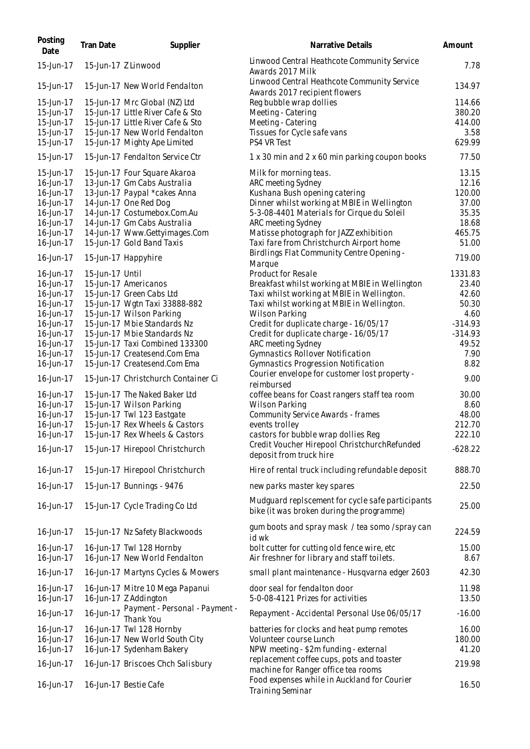| Posting<br>Date        | <b>Tran Date</b> | Supplier                                                            | Narrative Details                                                                             | Amount             |
|------------------------|------------------|---------------------------------------------------------------------|-----------------------------------------------------------------------------------------------|--------------------|
| 15-Jun-17              |                  | 15-Jun-17 Z Linwood                                                 | Linwood Central Heathcote Community Service<br>Awards 2017 Milk                               | 7.78               |
| 15-Jun-17              |                  | 15-Jun-17 New World Fendalton                                       | Linwood Central Heathcote Community Service<br>Awards 2017 recipient flowers                  | 134.97             |
| 15-Jun-17              |                  | 15-Jun-17 Mrc Global (NZ) Ltd                                       | Reg bubble wrap dollies                                                                       | 114.66             |
| 15-Jun-17              |                  | 15-Jun-17 Little River Cafe & Sto                                   | Meeting - Catering                                                                            | 380.20             |
| 15-Jun-17              |                  | 15-Jun-17 Little River Cafe & Sto                                   | Meeting - Catering                                                                            | 414.00             |
| 15-Jun-17              |                  | 15-Jun-17 New World Fendalton                                       | Tissues for Cycle safe vans                                                                   | 3.58               |
| 15-Jun-17              |                  | 15-Jun-17 Mighty Ape Limited                                        | PS4 VR Test                                                                                   | 629.99             |
| 15-Jun-17              |                  | 15-Jun-17 Fendalton Service Ctr                                     | 1 x 30 min and 2 x 60 min parking coupon books                                                | 77.50              |
| 15-Jun-17              |                  | 15-Jun-17 Four Square Akaroa                                        | Milk for morning teas.                                                                        | 13.15              |
| 16-Jun-17              |                  | 13-Jun-17 Gm Cabs Australia                                         | ARC meeting Sydney                                                                            | 12.16              |
| 16-Jun-17              |                  | 13-Jun-17 Paypal *cakes Anna                                        | Kushana Bush opening catering                                                                 | 120.00             |
| 16-Jun-17              |                  | 14-Jun-17 One Red Dog                                               | Dinner whilst working at MBIE in Wellington                                                   | 37.00              |
| 16-Jun-17              |                  | 14-Jun-17 Costumebox.Com.Au                                         | 5-3-08-4401 Materials for Cirque du Soleil                                                    | 35.35              |
| 16-Jun-17              |                  | 14-Jun-17 Gm Cabs Australia                                         | ARC meeting Sydney                                                                            | 18.68              |
| 16-Jun-17              |                  | 14-Jun-17 Www.Gettyimages.Com                                       | Matisse photograph for JAZZ exhibition                                                        | 465.75             |
| 16-Jun-17              |                  | 15-Jun-17 Gold Band Taxis                                           | Taxi fare from Christchurch Airport home                                                      | 51.00              |
| 16-Jun-17              |                  | 15-Jun-17 Happyhire                                                 | Birdlings Flat Community Centre Opening -                                                     | 719.00             |
| 16-Jun-17              | 15-Jun-17 Until  |                                                                     | Marque<br>Product for Resale                                                                  | 1331.83            |
| 16-Jun-17              |                  | 15-Jun-17 Americanos                                                | Breakfast whilst working at MBIE in Wellington                                                | 23.40              |
| 16-Jun-17              |                  | 15-Jun-17 Green Cabs Ltd                                            | Taxi whilst working at MBIE in Wellington.                                                    | 42.60              |
|                        |                  | 15-Jun-17 Wgtn Taxi 33888-882                                       |                                                                                               | 50.30              |
| 16-Jun-17              |                  | 15-Jun-17 Wilson Parking                                            | Taxi whilst working at MBIE in Wellington.<br><b>Wilson Parking</b>                           |                    |
| 16-Jun-17              |                  | 15-Jun-17 Mbie Standards Nz                                         | Credit for duplicate charge - 16/05/17                                                        | 4.60               |
| 16-Jun-17              |                  | 15-Jun-17 Mbie Standards Nz                                         |                                                                                               | $-314.93$          |
| 16-Jun-17              |                  | 15-Jun-17 Taxi Combined 133300                                      | Credit for duplicate charge - 16/05/17                                                        | $-314.93$<br>49.52 |
| 16-Jun-17              |                  |                                                                     | ARC meeting Sydney                                                                            |                    |
| 16-Jun-17              |                  | 15-Jun-17 Createsend.Com Ema                                        | Gymnastics Rollover Notification                                                              | 7.90               |
| 16-Jun-17<br>16-Jun-17 |                  | 15-Jun-17 Createsend.Com Ema<br>15-Jun-17 Christchurch Container Ci | Gymnastics Progression Notification<br>Courier envelope for customer lost property -          | 8.82<br>9.00       |
| 16-Jun-17              |                  | 15-Jun-17 The Naked Baker Ltd                                       | reimbursed                                                                                    | 30.00              |
| 16-Jun-17              |                  | 15-Jun-17 Wilson Parking                                            | coffee beans for Coast rangers staff tea room<br>Wilson Parking                               | 8.60               |
| 16-Jun-17              |                  | 15-Jun-17 Twl 123 Eastgate                                          | Community Service Awards - frames                                                             | 48.00              |
| 16-Jun-17              |                  | 15-Jun-17 Rex Wheels & Castors                                      | events trolley                                                                                | 212.70             |
| 16-Jun-17              |                  | 15-Jun-17 Rex Wheels & Castors                                      | castors for bubble wrap dollies Reg                                                           | 222.10             |
|                        |                  |                                                                     | Credit Voucher Hirepool ChristchurchRefunded                                                  |                    |
| 16-Jun-17              |                  | 15-Jun-17 Hirepool Christchurch                                     | deposit from truck hire                                                                       | $-628.22$          |
| 16-Jun-17              |                  | 15-Jun-17 Hirepool Christchurch                                     | Hire of rental truck including refundable deposit                                             | 888.70             |
| 16-Jun-17              |                  | 15-Jun-17 Bunnings - 9476                                           | new parks master key spares                                                                   | 22.50              |
| 16-Jun-17              |                  | 15-Jun-17 Cycle Trading Co Ltd                                      | Mudguard replscement for cycle safe participants<br>bike (it was broken during the programme) | 25.00              |
| 16-Jun-17              |                  | 15-Jun-17 Nz Safety Blackwoods                                      | gum boots and spray mask / tea somo / spray can<br>id wk                                      | 224.59             |
| 16-Jun-17<br>16-Jun-17 |                  | 16-Jun-17 Twl 128 Hornby<br>16-Jun-17 New World Fendalton           | bolt cutter for cutting old fence wire, etc<br>Air freshner for library and staff toilets.    | 15.00<br>8.67      |
| 16-Jun-17              |                  | 16-Jun-17 Martyns Cycles & Mowers                                   | small plant maintenance - Husqvarna edger 2603                                                | 42.30              |
|                        |                  |                                                                     |                                                                                               |                    |
| 16-Jun-17<br>16-Jun-17 |                  | 16-Jun-17 Mitre 10 Mega Papanui<br>16-Jun-17 Z Addington            | door seal for fendalton door<br>5-0-08-4121 Prizes for activities                             | 11.98<br>13.50     |
| 16-Jun-17              | 16-Jun-17        | Payment - Personal - Payment -<br>Thank You                         | Repayment - Accidental Personal Use 06/05/17                                                  | $-16.00$           |
| 16-Jun-17              |                  | 16-Jun-17 Twl 128 Hornby                                            | batteries for clocks and heat pump remotes                                                    | 16.00              |
| 16-Jun-17              |                  | 16-Jun-17 New World South City                                      | Volunteer course Lunch                                                                        | 180.00             |
| 16-Jun-17              |                  | 16-Jun-17 Sydenham Bakery                                           | NPW meeting - \$2m funding - external                                                         | 41.20              |
| 16-Jun-17              |                  | 16-Jun-17 Briscoes Chch Salisbury                                   | replacement coffee cups, pots and toaster                                                     | 219.98             |
|                        |                  |                                                                     | machine for Ranger office tea rooms                                                           |                    |
| 16-Jun-17              |                  | 16-Jun-17 Bestie Cafe                                               | Food expenses while in Auckland for Courier<br><b>Training Seminar</b>                        | 16.50              |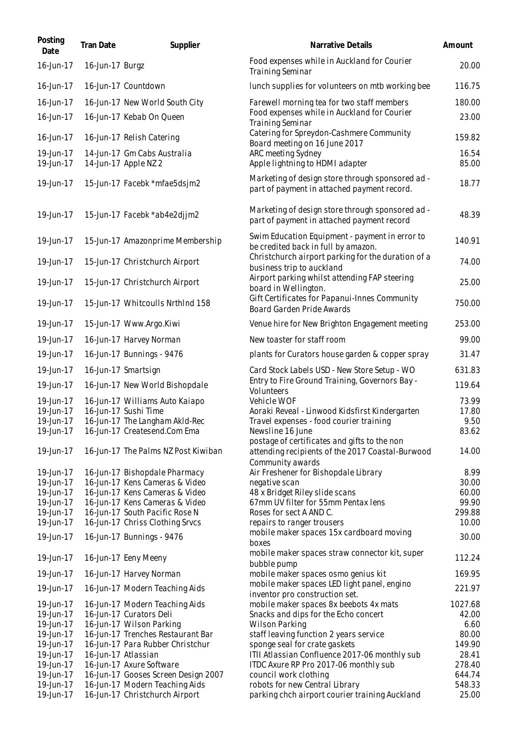| Posting<br>Date        | <b>Tran Date</b> | Supplier                                                              | Narrative Details                                                                               | Amount           |
|------------------------|------------------|-----------------------------------------------------------------------|-------------------------------------------------------------------------------------------------|------------------|
| 16-Jun-17              | 16-Jun-17 Burgz  |                                                                       | Food expenses while in Auckland for Courier<br><b>Training Seminar</b>                          | 20.00            |
| 16-Jun-17              |                  | 16-Jun-17 Countdown                                                   | lunch supplies for volunteers on mtb working bee                                                | 116.75           |
| 16-Jun-17              |                  | 16-Jun-17 New World South City                                        | Farewell morning tea for two staff members                                                      | 180.00           |
| 16-Jun-17              |                  | 16-Jun-17 Kebab On Queen                                              | Food expenses while in Auckland for Courier<br><b>Training Seminar</b>                          | 23.00            |
| 16-Jun-17              |                  | 16-Jun-17 Relish Catering                                             | Catering for Spreydon-Cashmere Community<br>Board meeting on 16 June 2017                       | 159.82           |
| 19-Jun-17<br>19-Jun-17 |                  | 14-Jun-17 Gm Cabs Australia<br>14-Jun-17 Apple NZ 2                   | ARC meeting Sydney<br>Apple lightning to HDMI adapter                                           | 16.54<br>85.00   |
| 19-Jun-17              |                  | 15-Jun-17 Facebk *mfae5dsjm2                                          | Marketing of design store through sponsored ad -<br>part of payment in attached payment record. | 18.77            |
| 19-Jun-17              |                  | 15-Jun-17 Facebk *ab4e2djjm2                                          | Marketing of design store through sponsored ad -<br>part of payment in attached payment record  | 48.39            |
| 19-Jun-17              |                  | 15-Jun-17 Amazonprime Membership                                      | Swim Education Equipment - payment in error to<br>be credited back in full by amazon.           | 140.91           |
| 19-Jun-17              |                  | 15-Jun-17 Christchurch Airport                                        | Christchurch airport parking for the duration of a<br>business trip to auckland                 | 74.00            |
| 19-Jun-17              |                  | 15-Jun-17 Christchurch Airport                                        | Airport parking whilst attending FAP steering<br>board in Wellington.                           | 25.00            |
| 19-Jun-17              |                  | 15-Jun-17 Whitcoulls NrthInd 158                                      | Gift Certificates for Papanui-Innes Community<br><b>Board Garden Pride Awards</b>               | 750.00           |
| 19-Jun-17              |                  | 15-Jun-17 Www.Argo.Kiwi                                               | Venue hire for New Brighton Engagement meeting                                                  | 253.00           |
| 19-Jun-17              |                  | 16-Jun-17 Harvey Norman                                               | New toaster for staff room                                                                      | 99.00            |
| 19-Jun-17              |                  | 16-Jun-17 Bunnings - 9476                                             | plants for Curators house garden & copper spray                                                 | 31.47            |
| 19-Jun-17              |                  | 16-Jun-17 Smartsign                                                   | Card Stock Labels USD - New Store Setup - WO                                                    | 631.83           |
| 19-Jun-17              |                  | 16-Jun-17 New World Bishopdale                                        | Entry to Fire Ground Training, Governors Bay -<br>Volunteers                                    | 119.64           |
| 19-Jun-17              |                  | 16-Jun-17 Williams Auto Kaiapo                                        | Vehicle WOF                                                                                     | 73.99            |
| 19-Jun-17              |                  | 16-Jun-17 Sushi Time                                                  | Aoraki Reveal - Linwood Kidsfirst Kindergarten                                                  | 17.80            |
| 19-Jun-17              |                  | 16-Jun-17 The Langham AkId-Rec                                        | Travel expenses - food courier training                                                         | 9.50             |
| 19-Jun-17              |                  | 16-Jun-17 Createsend.Com Ema                                          | Newsline 16 June<br>postage of certificates and gifts to the non                                | 83.62            |
| 19-Jun-17              |                  | 16-Jun-17 The Palms NZ Post Kiwiban                                   | attending recipients of the 2017 Coastal-Burwood<br>Community awards                            | 14.00            |
| 19-Jun-17              |                  | 16-Jun-17 Bishopdale Pharmacy                                         | Air Freshener for Bishopdale Library                                                            | 8.99             |
| 19-Jun-17              |                  | 16-Jun-17 Kens Cameras & Video                                        | negative scan                                                                                   | 30.00            |
| 19-Jun-17              |                  | 16-Jun-17 Kens Cameras & Video                                        | 48 x Bridget Riley slide scans                                                                  | 60.00            |
| 19-Jun-17              |                  | 16-Jun-17 Kens Cameras & Video                                        | 67mm UV filter for 55mm Pentax lens                                                             | 99.90            |
| 19-Jun-17              |                  | 16-Jun-17 South Pacific Rose N                                        | Roses for sect A AND C.                                                                         | 299.88           |
| 19-Jun-17              |                  | 16-Jun-17 Chriss Clothing Srvcs                                       | repairs to ranger trousers                                                                      | 10.00            |
| 19-Jun-17              |                  | 16-Jun-17 Bunnings - 9476                                             | mobile maker spaces 15x cardboard moving<br>boxes                                               | 30.00            |
| 19-Jun-17              |                  | 16-Jun-17 Eeny Meeny                                                  | mobile maker spaces straw connector kit, super<br>bubble pump                                   | 112.24           |
| 19-Jun-17              |                  | 16-Jun-17 Harvey Norman                                               | mobile maker spaces osmo genius kit                                                             | 169.95           |
| 19-Jun-17              |                  | 16-Jun-17 Modern Teaching Aids                                        | mobile maker spaces LED light panel, engino<br>inventor pro construction set.                   | 221.97           |
| 19-Jun-17              |                  | 16-Jun-17 Modern Teaching Aids                                        | mobile maker spaces 8x beebots 4x mats                                                          | 1027.68          |
| 19-Jun-17              |                  | 16-Jun-17 Curators Deli                                               | Snacks and dips for the Echo concert                                                            | 42.00            |
| 19-Jun-17              |                  | 16-Jun-17 Wilson Parking                                              | <b>Wilson Parking</b>                                                                           | 6.60             |
| 19-Jun-17              |                  | 16-Jun-17 Trenches Restaurant Bar                                     | staff leaving function 2 years service                                                          | 80.00            |
| 19-Jun-17              |                  | 16-Jun-17 Para Rubber Christchur                                      | sponge seal for crate gaskets                                                                   | 149.90           |
| 19-Jun-17              |                  | 16-Jun-17 Atlassian                                                   | ITII Atlassian Confluence 2017-06 monthly sub                                                   | 28.41            |
| 19-Jun-17<br>19-Jun-17 |                  | 16-Jun-17 Axure Software                                              | ITDC Axure RP Pro 2017-06 monthly sub                                                           | 278.40           |
| 19-Jun-17              |                  | 16-Jun-17 Gooses Screen Design 2007<br>16-Jun-17 Modern Teaching Aids | council work clothing<br>robots for new Central Library                                         | 644.74<br>548.33 |
| 19-Jun-17              |                  | 16-Jun-17 Christchurch Airport                                        | parking chch airport courier training Auckland                                                  | 25.00            |
|                        |                  |                                                                       |                                                                                                 |                  |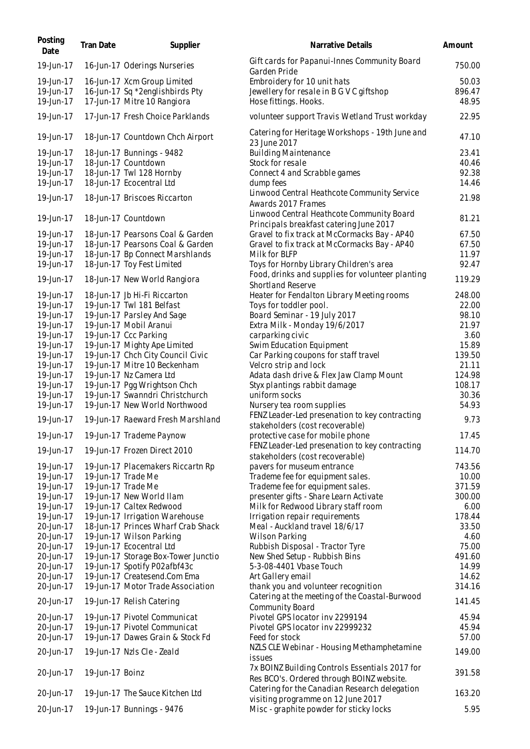| Posting<br>Date        | <b>Tran Date</b> | Supplier                                                   | Narrative Details                                                                           | Amount         |
|------------------------|------------------|------------------------------------------------------------|---------------------------------------------------------------------------------------------|----------------|
| 19-Jun-17              |                  | 16-Jun-17 Oderings Nurseries                               | Gift cards for Papanui-Innes Community Board<br>Garden Pride                                | 750.00         |
| 19-Jun-17              |                  | 16-Jun-17 Xcm Group Limited                                | Embroidery for 10 unit hats                                                                 | 50.03          |
| 19-Jun-17              |                  | 16-Jun-17 Sq *2englishbirds Pty                            | Jewellery for resale in B G V C giftshop                                                    | 896.47         |
| 19-Jun-17              |                  | 17-Jun-17 Mitre 10 Rangiora                                | Hose fittings. Hooks.                                                                       | 48.95          |
| 19-Jun-17              |                  | 17-Jun-17 Fresh Choice Parklands                           | volunteer support Travis Wetland Trust workday                                              | 22.95          |
|                        |                  |                                                            | Catering for Heritage Workshops - 19th June and                                             |                |
| 19-Jun-17              |                  | 18-Jun-17 Countdown Chch Airport                           | 23 June 2017                                                                                | 47.10          |
| 19-Jun-17              |                  | 18-Jun-17 Bunnings - 9482                                  | <b>Building Maintenance</b>                                                                 | 23.41          |
| 19-Jun-17              |                  | 18-Jun-17 Countdown                                        | Stock for resale                                                                            | 40.46          |
| 19-Jun-17              |                  | 18-Jun-17 Twl 128 Hornby                                   | Connect 4 and Scrabble games                                                                | 92.38          |
| 19-Jun-17              |                  | 18-Jun-17 Ecocentral Ltd                                   | dump fees                                                                                   | 14.46          |
| 19-Jun-17              |                  | 18-Jun-17 Briscoes Riccarton                               | Linwood Central Heathcote Community Service<br>Awards 2017 Frames                           | 21.98          |
| 19-Jun-17              |                  | 18-Jun-17 Countdown                                        | Linwood Central Heathcote Community Board<br>Principals breakfast catering June 2017        | 81.21          |
| 19-Jun-17              |                  | 18-Jun-17 Pearsons Coal & Garden                           | Gravel to fix track at McCormacks Bay - AP40                                                | 67.50          |
| 19-Jun-17              |                  | 18-Jun-17 Pearsons Coal & Garden                           | Gravel to fix track at McCormacks Bay - AP40                                                | 67.50          |
| 19-Jun-17              |                  | 18-Jun-17 Bp Connect Marshlands                            | Milk for BLFP                                                                               | 11.97          |
| 19-Jun-17              |                  | 18-Jun-17 Toy Fest Limited                                 | Toys for Hornby Library Children's area                                                     | 92.47          |
| 19-Jun-17              |                  | 18-Jun-17 New World Rangiora                               | Food, drinks and supplies for volunteer planting                                            | 119.29         |
|                        |                  |                                                            | <b>Shortland Reserve</b>                                                                    |                |
| 19-Jun-17              |                  | 18-Jun-17 Jb Hi-Fi Riccarton                               | Heater for Fendalton Library Meeting rooms                                                  | 248.00         |
| 19-Jun-17              |                  | 19-Jun-17 Twl 181 Belfast                                  | Toys for toddler pool.                                                                      | 22.00          |
| 19-Jun-17              |                  | 19-Jun-17 Parsley And Sage                                 | Board Seminar - 19 July 2017                                                                | 98.10          |
| 19-Jun-17              |                  | 19-Jun-17 Mobil Aranui                                     | Extra Milk - Monday 19/6/2017                                                               | 21.97          |
| 19-Jun-17<br>19-Jun-17 |                  | 19-Jun-17 Ccc Parking<br>19-Jun-17 Mighty Ape Limited      | carparking civic<br>Swim Education Equipment                                                | 3.60<br>15.89  |
| 19-Jun-17              |                  | 19-Jun-17 Chch City Council Civic                          | Car Parking coupons for staff travel                                                        | 139.50         |
| 19-Jun-17              |                  | 19-Jun-17 Mitre 10 Beckenham                               | Velcro strip and lock                                                                       | 21.11          |
| 19-Jun-17              |                  | 19-Jun-17 Nz Camera Ltd                                    | Adata dash drive & Flex Jaw Clamp Mount                                                     | 124.98         |
| 19-Jun-17              |                  | 19-Jun-17 Pgg Wrightson Chch                               | Styx plantings rabbit damage                                                                | 108.17         |
| 19-Jun-17              |                  | 19-Jun-17 Swanndri Christchurch                            | uniform socks                                                                               | 30.36          |
| 19-Jun-17              |                  | 19-Jun-17 New World Northwood                              | Nursery tea room supplies                                                                   | 54.93          |
| 19-Jun-17              |                  | 19-Jun-17 Raeward Fresh Marshland                          | FENZ Leader-Led presenation to key contracting<br>stakeholders (cost recoverable)           | 9.73           |
| 19-Jun-17              |                  | 19-Jun-17 Trademe Paynow                                   | protective case for mobile phone                                                            | 17.45          |
| 19-Jun-17              |                  | 19-Jun-17 Frozen Direct 2010                               | FENZ Leader-Led presenation to key contracting                                              |                |
|                        |                  |                                                            | stakeholders (cost recoverable)                                                             | 114.70         |
| 19-Jun-17              |                  | 19-Jun-17 Placemakers Riccartn Rp                          | pavers for museum entrance                                                                  | 743.56         |
| 19-Jun-17              |                  | 19-Jun-17 Trade Me                                         | Trademe fee for equipment sales.                                                            | 10.00          |
| 19-Jun-17              |                  | 19-Jun-17 Trade Me                                         | Trademe fee for equipment sales.                                                            | 371.59         |
| 19-Jun-17              |                  | 19-Jun-17 New World IIam                                   | presenter gifts - Share Learn Activate                                                      | 300.00         |
| 19-Jun-17<br>19-Jun-17 |                  | 19-Jun-17 Caltex Redwood<br>19-Jun-17 Irrigation Warehouse | Milk for Redwood Library staff room<br>Irrigation repair requirements                       | 6.00<br>178.44 |
| 20-Jun-17              |                  | 18-Jun-17 Princes Wharf Crab Shack                         | Meal - Auckland travel 18/6/17                                                              | 33.50          |
| 20-Jun-17              |                  | 19-Jun-17 Wilson Parking                                   | <b>Wilson Parking</b>                                                                       | 4.60           |
| 20-Jun-17              |                  | 19-Jun-17 Ecocentral Ltd                                   | Rubbish Disposal - Tractor Tyre                                                             | 75.00          |
| 20-Jun-17              |                  | 19-Jun-17 Storage Box-Tower Junctio                        | New Shed Setup - Rubbish Bins                                                               | 491.60         |
| 20-Jun-17              |                  | 19-Jun-17 Spotify P02afbf43c                               | 5-3-08-4401 Vbase Touch                                                                     | 14.99          |
| 20-Jun-17              |                  | 19-Jun-17 Createsend.Com Ema                               | Art Gallery email                                                                           | 14.62          |
| 20-Jun-17              |                  | 19-Jun-17 Motor Trade Association                          | thank you and volunteer recognition                                                         | 314.16         |
| 20-Jun-17              |                  | 19-Jun-17 Relish Catering                                  | Catering at the meeting of the Coastal-Burwood<br><b>Community Board</b>                    | 141.45         |
| 20-Jun-17              |                  | 19-Jun-17 Pivotel Communicat                               | Pivotel GPS locator inv 2299194                                                             | 45.94          |
| 20-Jun-17              |                  | 19-Jun-17 Pivotel Communicat                               | Pivotel GPS locator inv 22999232                                                            | 45.94          |
| 20-Jun-17              |                  | 19-Jun-17 Dawes Grain & Stock Fd                           | Feed for stock                                                                              | 57.00          |
| 20-Jun-17              |                  | 19-Jun-17 Nzls Cle - Zeald                                 | NZLS CLE Webinar - Housing Methamphetamine<br>issues                                        | 149.00         |
| 20-Jun-17              | 19-Jun-17 Boinz  |                                                            | 7x BOINZ Building Controls Essentials 2017 for<br>Res BCO's. Ordered through BOINZ website. | 391.58         |
| 20-Jun-17              |                  | 19-Jun-17 The Sauce Kitchen Ltd                            | Catering for the Canadian Research delegation<br>visiting programme on 12 June 2017         | 163.20         |
| 20-Jun-17              |                  | 19-Jun-17 Bunnings - 9476                                  | Misc - graphite powder for sticky locks                                                     | 5.95           |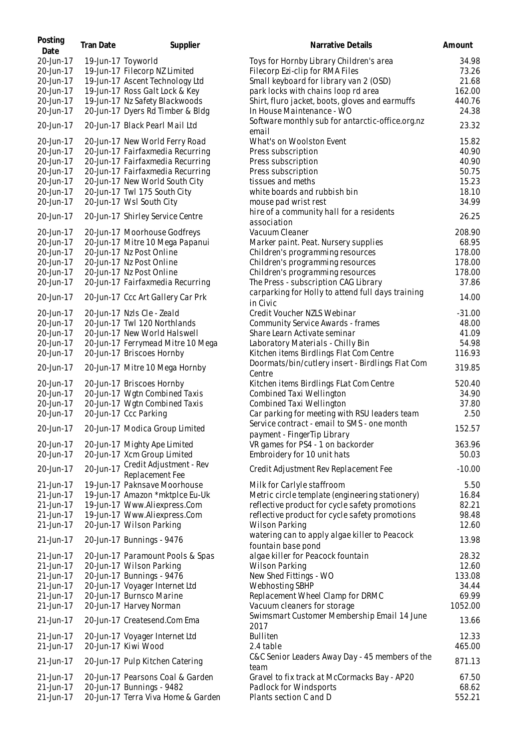| Posting<br>Date        | <b>Tran Date</b>   | Supplier                                                            | Narrative Details                                                           | Amount          |
|------------------------|--------------------|---------------------------------------------------------------------|-----------------------------------------------------------------------------|-----------------|
| 20-Jun-17              | 19-Jun-17 Toyworld |                                                                     | Toys for Hornby Library Children's area                                     | 34.98           |
| 20-Jun-17              |                    | 19-Jun-17 Filecorp NZ Limited                                       | Filecorp Ezi-clip for RMA Files                                             | 73.26           |
| 20-Jun-17              |                    | 19-Jun-17 Ascent Technology Ltd                                     | Small keyboard for library van 2 (OSD)                                      | 21.68           |
| 20-Jun-17              |                    | 19-Jun-17 Ross Galt Lock & Key                                      | park locks with chains loop rd area                                         | 162.00          |
| 20-Jun-17              |                    | 19-Jun-17 Nz Safety Blackwoods                                      | Shirt, fluro jacket, boots, gloves and earmuffs                             | 440.76          |
| 20-Jun-17              |                    | 20-Jun-17 Dyers Rd Timber & Bldg                                    | In House Maintenance - WO                                                   | 24.38           |
| 20-Jun-17              |                    | 20-Jun-17 Black Pearl Mail Ltd                                      | Software monthly sub for antarctic-office.org.nz<br>email                   | 23.32           |
| 20-Jun-17              |                    | 20-Jun-17 New World Ferry Road                                      | What's on Woolston Event                                                    | 15.82           |
| 20-Jun-17              |                    | 20-Jun-17 Fairfaxmedia Recurring                                    | Press subscription                                                          | 40.90           |
| 20-Jun-17              |                    | 20-Jun-17 Fairfaxmedia Recurring                                    | Press subscription                                                          | 40.90           |
| 20-Jun-17              |                    | 20-Jun-17 Fairfaxmedia Recurring                                    | Press subscription                                                          | 50.75           |
| 20-Jun-17              |                    | 20-Jun-17 New World South City                                      | tissues and meths                                                           | 15.23           |
| 20-Jun-17              |                    | 20-Jun-17 Twl 175 South City                                        | white boards and rubbish bin                                                | 18.10           |
| 20-Jun-17              |                    | 20-Jun-17 Wsl South City                                            | mouse pad wrist rest                                                        | 34.99           |
| 20-Jun-17              |                    |                                                                     | hire of a community hall for a residents                                    |                 |
|                        |                    | 20-Jun-17 Shirley Service Centre                                    | association                                                                 | 26.25           |
| 20-Jun-17              |                    | 20-Jun-17 Moorhouse Godfreys                                        | Vacuum Cleaner                                                              | 208.90          |
| 20-Jun-17              |                    | 20-Jun-17 Mitre 10 Mega Papanui                                     | Marker paint. Peat. Nursery supplies                                        | 68.95           |
| 20-Jun-17              |                    | 20-Jun-17 Nz Post Online                                            | Children's programming resources                                            | 178.00          |
| 20-Jun-17              |                    | 20-Jun-17 Nz Post Online                                            | Children's programming resources                                            | 178.00          |
| 20-Jun-17              |                    | 20-Jun-17 Nz Post Online                                            | Children's programming resources                                            | 178.00          |
| 20-Jun-17              |                    | 20-Jun-17 Fairfaxmedia Recurring                                    | The Press - subscription CAG Library                                        | 37.86           |
| 20-Jun-17              |                    | 20-Jun-17 Ccc Art Gallery Car Prk                                   | carparking for Holly to attend full days training<br>in Civic               | 14.00           |
| 20-Jun-17              |                    | 20-Jun-17 Nzls Cle - Zeald                                          | Credit Voucher NZLS Webinar                                                 | $-31.00$        |
| 20-Jun-17              |                    | 20-Jun-17 Twl 120 Northlands                                        | Community Service Awards - frames                                           | 48.00           |
| 20-Jun-17              |                    | 20-Jun-17 New World Halswell                                        | Share Learn Activate seminar                                                | 41.09           |
| 20-Jun-17              |                    |                                                                     |                                                                             | 54.98           |
| 20-Jun-17              |                    | 20-Jun-17 Ferrymead Mitre 10 Mega<br>20-Jun-17 Briscoes Hornby      | Laboratory Materials - Chilly Bin                                           | 116.93          |
|                        |                    |                                                                     | Kitchen items Birdlings Flat Com Centre                                     |                 |
| 20-Jun-17              |                    | 20-Jun-17 Mitre 10 Mega Hornby                                      | Doormats/bin/cutlery insert - Birdlings Flat Com<br>Centre                  | 319.85          |
| 20-Jun-17              |                    | 20-Jun-17 Briscoes Hornby                                           | Kitchen items Birdlings FLat Com Centre                                     | 520.40          |
| 20-Jun-17              |                    | 20-Jun-17 Wgtn Combined Taxis                                       | Combined Taxi Wellington                                                    | 34.90           |
| 20-Jun-17              |                    | 20-Jun-17 Wgtn Combined Taxis                                       | Combined Taxi Wellington                                                    | 37.80           |
| 20-Jun-17              |                    | 20-Jun-17 Ccc Parking                                               | Car parking for meeting with RSU leaders team                               | 2.50            |
| 20-Jun-17              |                    | 20-Jun-17 Modica Group Limited                                      | Service contract - email to SMS - one month<br>payment - Finger Tip Library | 152.57          |
| 20-Jun-17              |                    | 20-Jun-17 Mighty Ape Limited                                        | VR games for PS4 - 1 on backorder                                           | 363.96          |
| 20-Jun-17              |                    | 20-Jun-17 Xcm Group Limited                                         | Embroidery for 10 unit hats                                                 | 50.03           |
| 20-Jun-17              | 20-Jun-17          | Credit Adjustment - Rev                                             | Credit Adjustment Rev Replacement Fee                                       | $-10.00$        |
|                        |                    | Replacement Fee                                                     |                                                                             |                 |
| 21-Jun-17              |                    | 19-Jun-17 Paknsave Moorhouse                                        | Milk for Carlyle staffroom                                                  | 5.50            |
| 21-Jun-17              |                    | 19-Jun-17 Amazon *mktplce Eu-Uk                                     | Metric circle template (engineering stationery)                             | 16.84           |
| 21-Jun-17              |                    | 19-Jun-17 Www.Aliexpress.Com<br>19-Jun-17 Www.Aliexpress.Com        | reflective product for cycle safety promotions                              | 82.21<br>98.48  |
| 21-Jun-17<br>21-Jun-17 |                    | 20-Jun-17 Wilson Parking                                            | reflective product for cycle safety promotions<br>Wilson Parking            | 12.60           |
| 21-Jun-17              |                    | 20-Jun-17 Bunnings - 9476                                           | watering can to apply algae killer to Peacock<br>fountain base pond         | 13.98           |
| 21-Jun-17              |                    | 20-Jun-17 Paramount Pools & Spas                                    | algae killer for Peacock fountain                                           | 28.32           |
| 21-Jun-17              |                    | 20-Jun-17 Wilson Parking                                            | Wilson Parking                                                              | 12.60           |
| 21-Jun-17              |                    | 20-Jun-17 Bunnings - 9476                                           | New Shed Fittings - WO                                                      | 133.08          |
| 21-Jun-17              |                    | 20-Jun-17 Voyager Internet Ltd                                      | Webhosting SBHP                                                             | 34.44           |
| 21-Jun-17              |                    | 20-Jun-17 Burnsco Marine                                            | Replacement Wheel Clamp for DRMC                                            | 69.99           |
| 21-Jun-17              |                    | 20-Jun-17 Harvey Norman                                             | Vacuum cleaners for storage                                                 | 1052.00         |
| 21-Jun-17              |                    | 20-Jun-17 Createsend.Com Ema                                        | Swimsmart Customer Membership Email 14 June<br>2017                         | 13.66           |
| 21-Jun-17              |                    | 20-Jun-17 Voyager Internet Ltd                                      | <b>Bulliten</b>                                                             | 12.33           |
| 21-Jun-17              |                    | 20-Jun-17 Kiwi Wood                                                 | 2.4 table                                                                   | 465.00          |
|                        |                    |                                                                     | C&C Senior Leaders Away Day - 45 members of the                             |                 |
| 21-Jun-17              |                    | 20-Jun-17 Pulp Kitchen Catering<br>20-Jun-17 Pearsons Coal & Garden | team                                                                        | 871.13<br>67.50 |
| 21-Jun-17<br>21-Jun-17 |                    | 20-Jun-17 Bunnings - 9482                                           | Gravel to fix track at McCormacks Bay - AP20<br>Padlock for Windsports      | 68.62           |
|                        |                    |                                                                     |                                                                             |                 |
| 21-Jun-17              |                    | 20-Jun-17 Terra Viva Home & Garden                                  | Plants section C and D                                                      | 552.21          |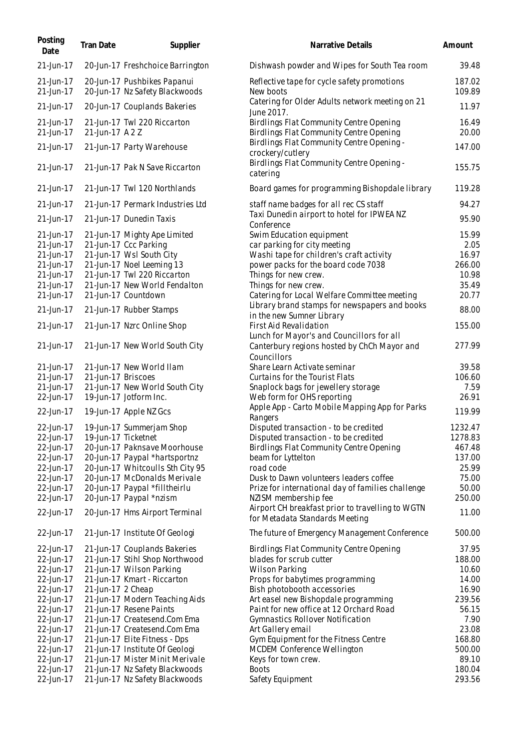| Posting<br>Date        | <b>Tran Date</b>   | Supplier                                                      | Narrative Details                                                                                       | Amount           |
|------------------------|--------------------|---------------------------------------------------------------|---------------------------------------------------------------------------------------------------------|------------------|
| 21-Jun-17              |                    | 20-Jun-17 Freshchoice Barrington                              | Dishwash powder and Wipes for South Tea room                                                            | 39.48            |
| 21-Jun-17<br>21-Jun-17 |                    | 20-Jun-17 Pushbikes Papanui<br>20-Jun-17 Nz Safety Blackwoods | Reflective tape for cycle safety promotions<br>New boots                                                | 187.02<br>109.89 |
| 21-Jun-17              |                    | 20-Jun-17 Couplands Bakeries                                  | Catering for Older Adults network meeting on 21<br>June 2017.                                           | 11.97            |
| 21-Jun-17<br>21-Jun-17 | 21-Jun-17 A 2 Z    | 21-Jun-17 Twl 220 Riccarton                                   | Birdlings Flat Community Centre Opening<br>Birdlings Flat Community Centre Opening                      | 16.49<br>20.00   |
| 21-Jun-17              |                    | 21-Jun-17 Party Warehouse                                     | Birdlings Flat Community Centre Opening -<br>crockery/cutlery                                           | 147.00           |
| 21-Jun-17              |                    | 21-Jun-17 Pak N Save Riccarton                                | Birdlings Flat Community Centre Opening -<br>catering                                                   | 155.75           |
| 21-Jun-17              |                    | 21-Jun-17 Twl 120 Northlands                                  | Board games for programming Bishopdale library                                                          | 119.28           |
| 21-Jun-17              |                    | 21-Jun-17 Permark Industries Ltd                              | staff name badges for all rec CS staff<br>Taxi Dunedin airport to hotel for IPWEA NZ                    | 94.27            |
| 21-Jun-17              |                    | 21-Jun-17 Dunedin Taxis                                       | Conference                                                                                              | 95.90            |
| 21-Jun-17              |                    | 21-Jun-17 Mighty Ape Limited                                  | Swim Education equipment                                                                                | 15.99            |
| 21-Jun-17              |                    | 21-Jun-17 Ccc Parking                                         | car parking for city meeting                                                                            | 2.05             |
| 21-Jun-17              |                    | 21-Jun-17 Wsl South City                                      | Washi tape for children's craft activity                                                                | 16.97            |
| 21-Jun-17              |                    | 21-Jun-17 Noel Leeming 13                                     | power packs for the board code 7038                                                                     | 266.00           |
| 21-Jun-17              |                    | 21-Jun-17 Twl 220 Riccarton                                   | Things for new crew.                                                                                    | 10.98            |
| 21-Jun-17              |                    | 21-Jun-17 New World Fendalton                                 | Things for new crew.                                                                                    | 35.49            |
| 21-Jun-17              |                    | 21-Jun-17 Countdown                                           | Catering for Local Welfare Committee meeting                                                            | 20.77            |
|                        |                    |                                                               |                                                                                                         |                  |
| 21-Jun-17              |                    | 21-Jun-17 Rubber Stamps                                       | Library brand stamps for newspapers and books<br>in the new Sumner Library                              | 88.00            |
| 21-Jun-17              |                    | 21-Jun-17 Nzrc Online Shop                                    | First Aid Revalidation                                                                                  | 155.00           |
| 21-Jun-17              |                    | 21-Jun-17 New World South City                                | Lunch for Mayor's and Councillors for all<br>Canterbury regions hosted by ChCh Mayor and<br>Councillors | 277.99           |
| 21-Jun-17              |                    | 21-Jun-17 New World Ilam                                      | Share Learn Activate seminar                                                                            | 39.58            |
| 21-Jun-17              | 21-Jun-17 Briscoes |                                                               | Curtains for the Tourist Flats                                                                          | 106.60           |
|                        |                    |                                                               |                                                                                                         |                  |
| 21-Jun-17              |                    | 21-Jun-17 New World South City                                | Snaplock bags for jewellery storage                                                                     | 7.59             |
| 22-Jun-17              |                    | 19-Jun-17 Jotform Inc.                                        | Web form for OHS reporting                                                                              | 26.91            |
| 22-Jun-17              |                    | 19-Jun-17 Apple NZ Gcs                                        | Apple App - Carto Mobile Mapping App for Parks<br>Rangers                                               | 119.99           |
| 22-Jun-17              |                    | 19-Jun-17 Summerjam Shop                                      | Disputed transaction - to be credited                                                                   | 1232.47          |
| 22-Jun-17              |                    | 19-Jun-17 Ticketnet                                           | Disputed transaction - to be credited                                                                   | 1278.83          |
| 22-Jun-17              |                    | 20-Jun-17 Paknsave Moorhouse                                  | Birdlings Flat Community Centre Opening                                                                 | 467.48           |
| 22-Jun-17              |                    | 20-Jun-17 Paypal *hartsportnz                                 | beam for Lyttelton                                                                                      | 137.00           |
|                        |                    |                                                               |                                                                                                         |                  |
| 22-Jun-17              |                    | 20-Jun-17 Whitcoulls Sth City 95                              | road code                                                                                               | 25.99            |
| 22-Jun-17              |                    | 20-Jun-17 McDonalds Merivale                                  | Dusk to Dawn volunteers leaders coffee                                                                  | 75.00            |
| 22-Jun-17              |                    | 20-Jun-17 Paypal *filltheirlu                                 | Prize for international day of families challenge                                                       | 50.00            |
| 22-Jun-17              |                    | 20-Jun-17 Paypal *nzism                                       | NZISM membership fee                                                                                    | 250.00           |
| 22-Jun-17              |                    | 20-Jun-17 Hms Airport Terminal                                | Airport CH breakfast prior to travelling to WGTN<br>for Metadata Standards Meeting                      | 11.00            |
| 22-Jun-17              |                    | 21-Jun-17 Institute Of Geologi                                | The future of Emergency Management Conference                                                           | 500.00           |
| 22-Jun-17              |                    | 21-Jun-17 Couplands Bakeries                                  | Birdlings Flat Community Centre Opening                                                                 | 37.95            |
| 22-Jun-17              |                    | 21-Jun-17 Stihl Shop Northwood                                | blades for scrub cutter                                                                                 | 188.00           |
| 22-Jun-17              |                    | 21-Jun-17 Wilson Parking                                      | <b>Wilson Parking</b>                                                                                   | 10.60            |
|                        |                    | 21-Jun-17 Kmart - Riccarton                                   |                                                                                                         |                  |
| 22-Jun-17              |                    |                                                               | Props for babytimes programming                                                                         | 14.00            |
| 22-Jun-17              | 21-Jun-17 2 Cheap  |                                                               | Bish photobooth accessories                                                                             | 16.90            |
| 22-Jun-17              |                    | 21-Jun-17 Modern Teaching Aids                                | Art easel new Bishopdale programming                                                                    | 239.56           |
| 22-Jun-17              |                    | 21-Jun-17 Resene Paints                                       | Paint for new office at 12 Orchard Road                                                                 | 56.15            |
| 22-Jun-17              |                    | 21-Jun-17 Createsend.Com Ema                                  | Gymnastics Rollover Notification                                                                        | 7.90             |
| 22-Jun-17              |                    | 21-Jun-17 Createsend.Com Ema                                  | Art Gallery email                                                                                       | 23.08            |
| 22-Jun-17              |                    | 21-Jun-17 Elite Fitness - Dps                                 | Gym Equipment for the Fitness Centre                                                                    | 168.80           |
| 22-Jun-17              |                    | 21-Jun-17 Institute Of Geologi                                | MCDEM Conference Wellington                                                                             | 500.00           |
|                        |                    |                                                               |                                                                                                         | 89.10            |
| 22-Jun-17              |                    | 21-Jun-17 Mister Minit Merivale                               | Keys for town crew.                                                                                     |                  |
| 22-Jun-17              |                    | 21-Jun-17 Nz Safety Blackwoods                                | <b>Boots</b>                                                                                            | 180.04           |
| 22-Jun-17              |                    | 21-Jun-17 Nz Safety Blackwoods                                | Safety Equipment                                                                                        | 293.56           |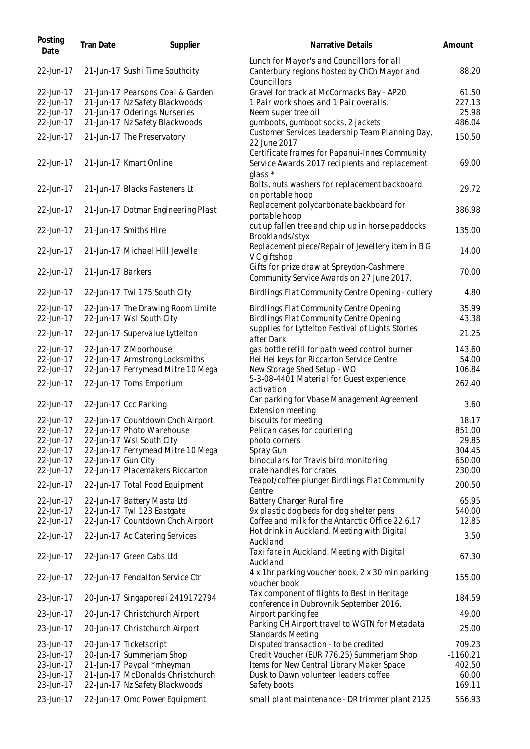| Posting<br>Date        | Tran Date          | Supplier                                                      | Narrative Details                                                                                             | Amount         |
|------------------------|--------------------|---------------------------------------------------------------|---------------------------------------------------------------------------------------------------------------|----------------|
| 22-Jun-17              |                    | 21-Jun-17 Sushi Time Southcity                                | Lunch for Mayor's and Councillors for all<br>Canterbury regions hosted by ChCh Mayor and<br>Councillors       | 88.20          |
| 22-Jun-17              |                    | 21-Jun-17 Pearsons Coal & Garden                              | Gravel for track at McCormacks Bay - AP20                                                                     | 61.50          |
| 22-Jun-17              |                    | 21-Jun-17 Nz Safety Blackwoods                                | 1 Pair work shoes and 1 Pair overalls.                                                                        | 227.13         |
| 22-Jun-17              |                    | 21-Jun-17 Oderings Nurseries                                  | Neem super tree oil                                                                                           | 25.98          |
| 22-Jun-17              |                    | 21-Jun-17 Nz Safety Blackwoods                                | gumboots, gumboot socks, 2 jackets<br>Customer Services Leadership Team Planning Day,                         | 486.04         |
| 22-Jun-17              |                    | 21-Jun-17 The Preservatory                                    | 22 June 2017                                                                                                  | 150.50         |
| 22-Jun-17              |                    | 21-Jun-17 Kmart Online                                        | Certificate frames for Papanui-Innes Community<br>Service Awards 2017 recipients and replacement<br>$glass *$ | 69.00          |
| 22-Jun-17              |                    | 21-Jun-17 Blacks Fasteners Lt                                 | Bolts, nuts washers for replacement backboard<br>on portable hoop                                             | 29.72          |
| 22-Jun-17              |                    | 21-Jun-17 Dotmar Engineering Plast                            | Replacement polycarbonate backboard for<br>portable hoop                                                      | 386.98         |
| 22-Jun-17              |                    | 21-Jun-17 Smiths Hire                                         | cut up fallen tree and chip up in horse paddocks<br>Brooklands/styx                                           | 135.00         |
| 22-Jun-17              |                    | 21-Jun-17 Michael Hill Jewelle                                | Replacement piece/Repair of Jewellery item in B G<br>V C giftshop                                             | 14.00          |
| 22-Jun-17              | 21-Jun-17 Barkers  |                                                               | Gifts for prize draw at Spreydon-Cashmere<br>Community Service Awards on 27 June 2017.                        | 70.00          |
| 22-Jun-17              |                    | 22-Jun-17 Twl 175 South City                                  | Birdlings Flat Community Centre Opening - cutlery                                                             | 4.80           |
| 22-Jun-17<br>22-Jun-17 |                    | 22-Jun-17 The Drawing Room Limite<br>22-Jun-17 Wsl South City | Birdlings Flat Community Centre Opening<br>Birdlings Flat Community Centre Opening                            | 35.99<br>43.38 |
| 22-Jun-17              |                    | 22-Jun-17 Supervalue Lyttelton                                | supplies for Lyttelton Festival of Lights Stories<br>after Dark                                               | 21.25          |
| 22-Jun-17              |                    | 22-Jun-17 Z Moorhouse                                         | gas bottle refill for path weed control burner                                                                | 143.60         |
| 22-Jun-17              |                    | 22-Jun-17 Armstrong Locksmiths                                | Hei Hei keys for Riccarton Service Centre                                                                     | 54.00          |
| 22-Jun-17              |                    | 22-Jun-17 Ferrymead Mitre 10 Mega                             | New Storage Shed Setup - WO                                                                                   | 106.84         |
| 22-Jun-17              |                    | 22-Jun-17 Toms Emporium                                       | 5-3-08-4401 Material for Guest experience<br>activation                                                       | 262.40         |
| 22-Jun-17              |                    | 22-Jun-17 Ccc Parking                                         | Car parking for Vbase Management Agreement<br>Extension meeting                                               | 3.60           |
| 22-Jun-17              |                    | 22-Jun-17 Countdown Chch Airport                              | biscuits for meeting                                                                                          | 18.17          |
| 22-Jun-17              |                    | 22-Jun-17 Photo Warehouse                                     | Pelican cases for couriering                                                                                  | 851.00         |
| 22-Jun-17              |                    | 22-Jun-17 Wsl South City                                      | photo corners                                                                                                 | 29.85          |
| 22-Jun-17              |                    | 22-Jun-17 Ferrymead Mitre 10 Mega                             | Spray Gun                                                                                                     | 304.45         |
| 22-Jun-17              | 22-Jun-17 Gun City |                                                               | binoculars for Travis bird monitoring                                                                         | 650.00         |
| 22-Jun-17              |                    | 22-Jun-17 Placemakers Riccarton                               | crate handles for crates<br>Teapot/coffee plunger Birdlings Flat Community                                    | 230.00         |
| 22-Jun-17              |                    | 22-Jun-17 Total Food Equipment                                | Centre                                                                                                        | 200.50         |
| 22-Jun-17              |                    | 22-Jun-17 Battery Masta Ltd                                   | Battery Charger Rural fire                                                                                    | 65.95          |
| 22-Jun-17              |                    | 22-Jun-17 Twl 123 Eastgate                                    | 9x plastic dog beds for dog shelter pens                                                                      | 540.00         |
| 22-Jun-17              |                    | 22-Jun-17 Countdown Chch Airport                              | Coffee and milk for the Antarctic Office 22.6.17                                                              | 12.85          |
| 22-Jun-17              |                    | 22-Jun-17 Ac Catering Services                                | Hot drink in Auckland. Meeting with Digital<br>Auckland                                                       | 3.50           |
| 22-Jun-17              |                    | 22-Jun-17 Green Cabs Ltd                                      | Taxi fare in Auckland. Meeting with Digital<br>Auckland                                                       | 67.30          |
| 22-Jun-17              |                    | 22-Jun-17 Fendalton Service Ctr                               | 4 x 1hr parking voucher book, 2 x 30 min parking<br>voucher book                                              | 155.00         |
| 23-Jun-17              |                    | 20-Jun-17 Singaporeai 2419172794                              | Tax component of flights to Best in Heritage<br>conference in Dubrovnik September 2016.                       | 184.59         |
| 23-Jun-17              |                    | 20-Jun-17 Christchurch Airport                                | Airport parking fee                                                                                           | 49.00          |
| 23-Jun-17              |                    | 20-Jun-17 Christchurch Airport                                | Parking CH Airport travel to WGTN for Metadata<br>Standards Meeting                                           | 25.00          |
| 23-Jun-17              |                    | 20-Jun-17 Ticketscript                                        | Disputed transaction - to be credited                                                                         | 709.23         |
| 23-Jun-17              |                    | 20-Jun-17 Summerjam Shop                                      | Credit Voucher (EUR 776.25) Summerjam Shop                                                                    | $-1160.21$     |
| 23-Jun-17              |                    | 21-Jun-17 Paypal *mheyman                                     | Items for New Central Library Maker Space                                                                     | 402.50         |
| 23-Jun-17              |                    | 21-Jun-17 McDonalds Christchurch                              | Dusk to Dawn volunteer leaders coffee                                                                         | 60.00          |
| 23-Jun-17              |                    | 22-Jun-17 Nz Safety Blackwoods                                | Safety boots                                                                                                  | 169.11         |
| 23-Jun-17              |                    | 22-Jun-17 Omc Power Equipment                                 | small plant maintenance - DR trimmer plant 2125                                                               | 556.93         |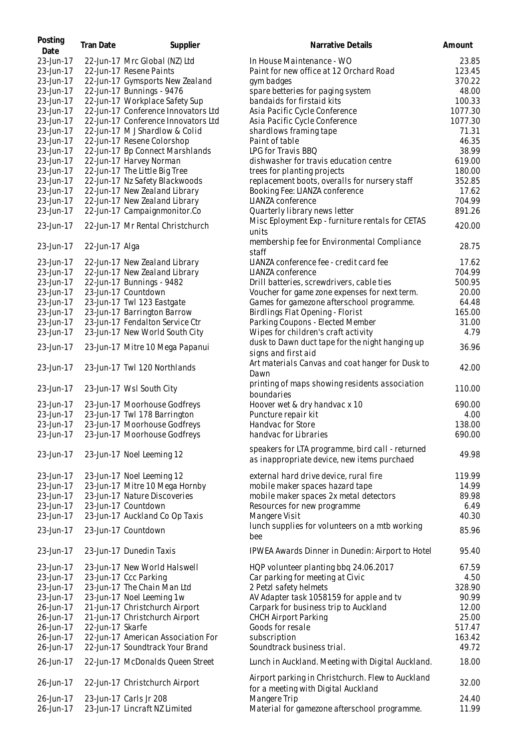| Posting<br>Date | <b>Tran Date</b> | Supplier                            | Narrative Details                                                                               | Amount  |
|-----------------|------------------|-------------------------------------|-------------------------------------------------------------------------------------------------|---------|
| 23-Jun-17       |                  | 22-Jun-17 Mrc Global (NZ) Ltd       | In House Maintenance - WO                                                                       | 23.85   |
| 23-Jun-17       |                  | 22-Jun-17 Resene Paints             | Paint for new office at 12 Orchard Road                                                         | 123.45  |
| 23-Jun-17       |                  | 22-Jun-17 Gymsports New Zealand     | gym badges                                                                                      | 370.22  |
| 23-Jun-17       |                  | 22-Jun-17 Bunnings - 9476           | spare betteries for paging system                                                               | 48.00   |
| 23-Jun-17       |                  | 22-Jun-17 Workplace Safety Sup      | bandaids for firstaid kits                                                                      | 100.33  |
| 23-Jun-17       |                  | 22-Jun-17 Conference Innovators Ltd | Asia Pacific Cycle Conference                                                                   | 1077.30 |
| 23-Jun-17       |                  | 22-Jun-17 Conference Innovators Ltd | Asia Pacific Cycle Conference                                                                   | 1077.30 |
| 23-Jun-17       |                  | 22-Jun-17 M J Shardlow & Colid      | shardlows framing tape                                                                          | 71.31   |
| 23-Jun-17       |                  | 22-Jun-17 Resene Colorshop          | Paint of table                                                                                  | 46.35   |
| 23-Jun-17       |                  | 22-Jun-17 Bp Connect Marshlands     | LPG for Travis BBQ                                                                              | 38.99   |
| 23-Jun-17       |                  | 22-Jun-17 Harvey Norman             | dishwasher for travis education centre                                                          | 619.00  |
|                 |                  |                                     |                                                                                                 | 180.00  |
| 23-Jun-17       |                  | 22-Jun-17 The Little Big Tree       | trees for planting projects                                                                     | 352.85  |
| 23-Jun-17       |                  | 22-Jun-17 Nz Safety Blackwoods      | replacement boots, overalls for nursery staff                                                   |         |
| 23-Jun-17       |                  | 22-Jun-17 New Zealand Library       | Booking Fee: LIANZA conference                                                                  | 17.62   |
| 23-Jun-17       |                  | 22-Jun-17 New Zealand Library       | LIANZA conference                                                                               | 704.99  |
| 23-Jun-17       |                  | 22-Jun-17 Campaignmonitor.Co        | Quarterly library news letter                                                                   | 891.26  |
| 23-Jun-17       |                  | 22-Jun-17 Mr Rental Christchurch    | Misc Eployment Exp - furniture rentals for CETAS<br>units                                       | 420.00  |
| 23-Jun-17       | 22-Jun-17 Alga   |                                     | membership fee for Environmental Compliance<br>staff                                            | 28.75   |
| 23-Jun-17       |                  | 22-Jun-17 New Zealand Library       | LIANZA conference fee - credit card fee                                                         | 17.62   |
| 23-Jun-17       |                  | 22-Jun-17 New Zealand Library       | LIANZA conference                                                                               | 704.99  |
| 23-Jun-17       |                  | 22-Jun-17 Bunnings - 9482           | Drill batteries, screwdrivers, cable ties                                                       | 500.95  |
| 23-Jun-17       |                  | 23-Jun-17 Countdown                 | Voucher for game zone expenses for next term.                                                   | 20.00   |
| 23-Jun-17       |                  | 23-Jun-17 Twl 123 Eastgate          | Games for gamezone afterschool programme.                                                       | 64.48   |
| 23-Jun-17       |                  | 23-Jun-17 Barrington Barrow         | Birdlings Flat Opening - Florist                                                                | 165.00  |
| 23-Jun-17       |                  | 23-Jun-17 Fendalton Service Ctr     | Parking Coupons - Elected Member                                                                | 31.00   |
| 23-Jun-17       |                  | 23-Jun-17 New World South City      | Wipes for children's craft activity                                                             | 4.79    |
|                 |                  |                                     | dusk to Dawn duct tape for the night hanging up                                                 |         |
| 23-Jun-17       |                  | 23-Jun-17 Mitre 10 Mega Papanui     | signs and first aid                                                                             | 36.96   |
| 23-Jun-17       |                  | 23-Jun-17 Twl 120 Northlands        | Art materials Canvas and coat hanger for Dusk to<br>Dawn                                        | 42.00   |
| 23-Jun-17       |                  | 23-Jun-17 Wsl South City            | printing of maps showing residents association<br>boundaries                                    | 110.00  |
| 23-Jun-17       |                  | 23-Jun-17 Moorhouse Godfreys        | Hoover wet & dry handvac x 10                                                                   | 690.00  |
| 23-Jun-17       |                  | 23-Jun-17 Twl 178 Barrington        | Puncture repair kit                                                                             | 4.00    |
| 23-Jun-17       |                  | 23-Jun-17 Moorhouse Godfreys        | Handvac for Store                                                                               | 138.00  |
| 23-Jun-17       |                  | 23-Jun-17 Moorhouse Godfreys        | handvac for Libraries                                                                           | 690.00  |
| 23-Jun-17       |                  | 23-Jun-17 Noel Leeming 12           | speakers for LTA programme, bird call - returned<br>as inappropriate device, new items purchaed | 49.98   |
|                 |                  |                                     |                                                                                                 |         |
| 23-Jun-17       |                  | 23-Jun-17 Noel Leeming 12           | external hard drive device, rural fire                                                          | 119.99  |
| 23-Jun-17       |                  | 23-Jun-17 Mitre 10 Mega Hornby      | mobile maker spaces hazard tape                                                                 | 14.99   |
| 23-Jun-17       |                  | 23-Jun-17 Nature Discoveries        | mobile maker spaces 2x metal detectors                                                          | 89.98   |
| 23-Jun-17       |                  | 23-Jun-17 Countdown                 | Resources for new programme                                                                     | 6.49    |
| 23-Jun-17       |                  | 23-Jun-17 Auckland Co Op Taxis      | Mangere Visit                                                                                   | 40.30   |
| 23-Jun-17       |                  | 23-Jun-17 Countdown                 | lunch supplies for volunteers on a mtb working<br>bee                                           | 85.96   |
| 23-Jun-17       |                  | 23-Jun-17 Dunedin Taxis             | IPWEA Awards Dinner in Dunedin: Airport to Hotel                                                | 95.40   |
| 23-Jun-17       |                  | 23-Jun-17 New World Halswell        | HQP volunteer planting bbq 24.06.2017                                                           | 67.59   |
| 23-Jun-17       |                  | 23-Jun-17 Ccc Parking               | Car parking for meeting at Civic                                                                | 4.50    |
| 23-Jun-17       |                  | 23-Jun-17 The Chain Man Ltd         | 2 Petzl safety helmets                                                                          | 328.90  |
| 23-Jun-17       |                  | 23-Jun-17 Noel Leeming 1w           | AV Adapter task 1058159 for apple and tv                                                        | 90.99   |
| 26-Jun-17       |                  | 21-Jun-17 Christchurch Airport      | Carpark for business trip to Auckland                                                           | 12.00   |
| 26-Jun-17       |                  | 21-Jun-17 Christchurch Airport      | <b>CHCH Airport Parking</b>                                                                     | 25.00   |
| 26-Jun-17       | 22-Jun-17 Skarfe |                                     | Goods for resale                                                                                | 517.47  |
| 26-Jun-17       |                  | 22-Jun-17 American Association For  | subscription                                                                                    | 163.42  |
| 26-Jun-17       |                  | 22-Jun-17 Soundtrack Your Brand     | Soundtrack business trial.                                                                      | 49.72   |
| 26-Jun-17       |                  | 22-Jun-17 McDonalds Queen Street    | Lunch in Auckland. Meeting with Digital Auckland.                                               | 18.00   |
| 26-Jun-17       |                  | 22-Jun-17 Christchurch Airport      | Airport parking in Christchurch. Flew to Auckland<br>for a meeting with Digital Auckland        | 32.00   |
| 26-Jun-17       |                  | 23-Jun-17 Carls Jr 208              | Mangere Trip                                                                                    | 24.40   |
| 26-Jun-17       |                  | 23-Jun-17 Lincraft NZ Limited       | Material for gamezone afterschool programme.                                                    | 11.99   |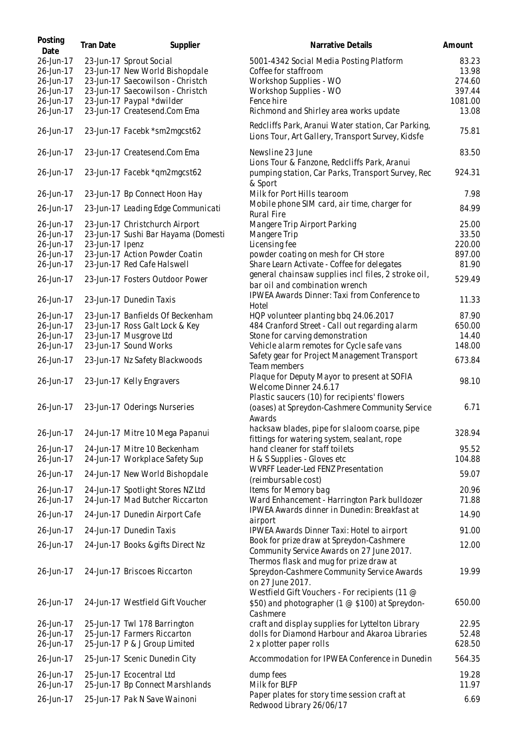| Posting<br>Date        | Tran Date       | Supplier                                                    | Narrative Details                                                                                                     | Amount         |
|------------------------|-----------------|-------------------------------------------------------------|-----------------------------------------------------------------------------------------------------------------------|----------------|
| 26-Jun-17              |                 | 23-Jun-17 Sprout Social                                     | 5001-4342 Social Media Posting Platform                                                                               | 83.23          |
| 26-Jun-17              |                 | 23-Jun-17 New World Bishopdale                              | Coffee for staffroom                                                                                                  | 13.98          |
| 26-Jun-17              |                 | 23-Jun-17 Saecowilson - Christch                            | Workshop Supplies - WO                                                                                                | 274.60         |
| 26-Jun-17              |                 | 23-Jun-17 Saecowilson - Christch                            | Workshop Supplies - WO                                                                                                | 397.44         |
| 26-Jun-17              |                 | 23-Jun-17 Paypal *dwilder                                   | Fence hire                                                                                                            | 1081.00        |
| 26-Jun-17              |                 | 23-Jun-17 Createsend.Com Ema                                | Richmond and Shirley area works update                                                                                | 13.08          |
| 26-Jun-17              |                 | 23-Jun-17 Facebk *sm2mgcst62                                | Redcliffs Park, Aranui Water station, Car Parking,<br>Lions Tour, Art Gallery, Transport Survey, Kidsfe               | 75.81          |
| 26-Jun-17              |                 | 23-Jun-17 Createsend.Com Ema                                | Newsline 23 June<br>Lions Tour & Fanzone, Redcliffs Park, Aranui                                                      | 83.50          |
| 26-Jun-17              |                 | 23-Jun-17 Facebk *qm2mgcst62                                | pumping station, Car Parks, Transport Survey, Rec<br>& Sport                                                          | 924.31         |
| 26-Jun-17              |                 | 23-Jun-17 Bp Connect Hoon Hay                               | Milk for Port Hills tearoom                                                                                           | 7.98           |
| 26-Jun-17              |                 | 23-Jun-17 Leading Edge Communicati                          | Mobile phone SIM card, air time, charger for<br><b>Rural Fire</b>                                                     | 84.99          |
| 26-Jun-17              |                 | 23-Jun-17 Christchurch Airport                              | Mangere Trip Airport Parking                                                                                          | 25.00          |
| 26-Jun-17              |                 | 23-Jun-17 Sushi Bar Hayama (Domesti                         | Mangere Trip                                                                                                          | 33.50          |
| 26-Jun-17              | 23-Jun-17 Ipenz |                                                             | Licensing fee                                                                                                         | 220.00         |
| 26-Jun-17              |                 | 23-Jun-17 Action Powder Coatin                              | powder coating on mesh for CH store                                                                                   | 897.00         |
| 26-Jun-17              |                 | 23-Jun-17 Red Cafe Halswell                                 | Share Learn Activate - Coffee for delegates                                                                           | 81.90          |
| 26-Jun-17              |                 | 23-Jun-17 Fosters Outdoor Power                             | general chainsaw supplies incl files, 2 stroke oil,<br>bar oil and combination wrench                                 | 529.49         |
| 26-Jun-17              |                 | 23-Jun-17 Dunedin Taxis                                     | IPWEA Awards Dinner: Taxi from Conference to<br>Hotel                                                                 | 11.33          |
| 26-Jun-17              |                 | 23-Jun-17 Banfields Of Beckenham                            | HQP volunteer planting bbq 24.06.2017                                                                                 | 87.90          |
| 26-Jun-17              |                 | 23-Jun-17 Ross Galt Lock & Key                              | 484 Cranford Street - Call out regarding alarm                                                                        | 650.00         |
| 26-Jun-17              |                 | 23-Jun-17 Musgrove Ltd                                      | Stone for carving demonstration                                                                                       | 14.40          |
| 26-Jun-17              |                 | 23-Jun-17 Sound Works                                       | Vehicle alarm remotes for Cycle safe vans                                                                             | 148.00         |
| 26-Jun-17              |                 | 23-Jun-17 Nz Safety Blackwoods                              | Safety gear for Project Management Transport<br>Team members                                                          | 673.84         |
| 26-Jun-17              |                 | 23-Jun-17 Kelly Engravers                                   | Plaque for Deputy Mayor to present at SOFIA<br>Welcome Dinner 24.6.17<br>Plastic saucers (10) for recipients' flowers | 98.10          |
| 26-Jun-17              |                 | 23-Jun-17 Oderings Nurseries                                | (oases) at Spreydon-Cashmere Community Service<br>Awards                                                              | 6.71           |
| 26-Jun-17              |                 | 24-Jun-17 Mitre 10 Mega Papanui                             | hacksaw blades, pipe for slaloom coarse, pipe<br>fittings for watering system, sealant, rope                          | 328.94         |
| 26-Jun-17              |                 | 24-Jun-17 Mitre 10 Beckenham                                | hand cleaner for staff toilets                                                                                        | 95.52          |
| 26-Jun-17              |                 | 24-Jun-17 Workplace Safety Sup                              | H & S Supplies - Gloves etc                                                                                           | 104.88         |
| 26-Jun-17              |                 | 24-Jun-17 New World Bishopdale                              | WVRFF Leader-Led FENZ Presentation<br>(reimbursable cost)                                                             | 59.07          |
| 26-Jun-17              |                 | 24-Jun-17 Spotlight Stores NZ Ltd                           | Items for Memory bag                                                                                                  | 20.96          |
| 26-Jun-17              |                 | 24-Jun-17 Mad Butcher Riccarton                             | Ward Enhancement - Harrington Park bulldozer                                                                          | 71.88          |
| 26-Jun-17              |                 | 24-Jun-17 Dunedin Airport Cafe                              | IPWEA Awards dinner in Dunedin: Breakfast at<br>airport                                                               | 14.90          |
| 26-Jun-17              |                 | 24-Jun-17 Dunedin Taxis                                     | IPWEA Awards Dinner Taxi: Hotel to airport                                                                            | 91.00          |
| 26-Jun-17              |                 | 24-Jun-17 Books &gifts Direct Nz                            | Book for prize draw at Spreydon-Cashmere<br>Community Service Awards on 27 June 2017.                                 | 12.00          |
| 26-Jun-17              |                 | 24-Jun-17 Briscoes Riccarton                                | Thermos flask and mug for prize draw at<br>Spreydon-Cashmere Community Service Awards<br>on 27 June 2017.             | 19.99          |
| 26-Jun-17              |                 | 24-Jun-17 Westfield Gift Voucher                            | Westfield Gift Vouchers - For recipients (11 @<br>\$50) and photographer (1 @ \$100) at Spreydon-<br>Cashmere         | 650.00         |
| 26-Jun-17<br>26-Jun-17 |                 | 25-Jun-17 Twl 178 Barrington<br>25-Jun-17 Farmers Riccarton | craft and display supplies for Lyttelton Library<br>dolls for Diamond Harbour and Akaroa Libraries                    | 22.95<br>52.48 |
| 26-Jun-17              |                 | 25-Jun-17 P & J Group Limited                               | 2 x plotter paper rolls                                                                                               | 628.50         |
| 26-Jun-17              |                 | 25-Jun-17 Scenic Dunedin City                               | Accommodation for IPWEA Conference in Dunedin                                                                         | 564.35         |
| 26-Jun-17<br>26-Jun-17 |                 | 25-Jun-17 Ecocentral Ltd<br>25-Jun-17 Bp Connect Marshlands | dump fees<br>Milk for BLFP                                                                                            | 19.28<br>11.97 |
| 26-Jun-17              |                 | 25-Jun-17 Pak N Save Wainoni                                | Paper plates for story time session craft at<br>Redwood Library 26/06/17                                              | 6.69           |